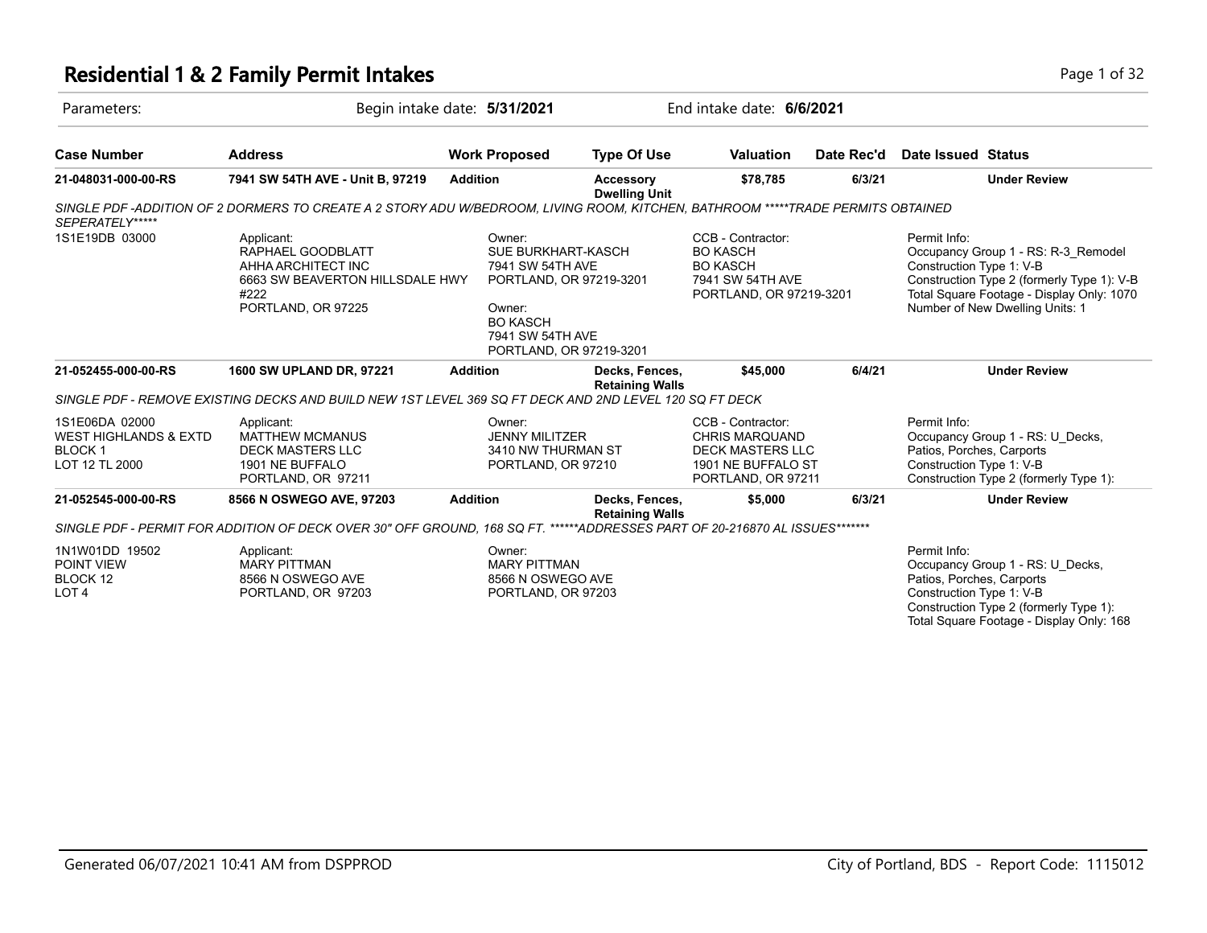# **Residential 1 & 2 Family Permit Intakes Page 1 of 32**

| Parameters:                                                                           | Begin intake date: 5/31/2021                                                                                                       |                                                                                                                                                         | End intake date: 6/6/2021                |                                                                                                                   |            |                                                                       |                                                                                                                                                                   |
|---------------------------------------------------------------------------------------|------------------------------------------------------------------------------------------------------------------------------------|---------------------------------------------------------------------------------------------------------------------------------------------------------|------------------------------------------|-------------------------------------------------------------------------------------------------------------------|------------|-----------------------------------------------------------------------|-------------------------------------------------------------------------------------------------------------------------------------------------------------------|
| <b>Case Number</b>                                                                    | <b>Address</b>                                                                                                                     | <b>Work Proposed</b>                                                                                                                                    | <b>Type Of Use</b>                       | <b>Valuation</b>                                                                                                  | Date Rec'd | Date Issued Status                                                    |                                                                                                                                                                   |
| 21-048031-000-00-RS                                                                   | 7941 SW 54TH AVE - Unit B, 97219                                                                                                   | <b>Addition</b>                                                                                                                                         | <b>Accessory</b><br><b>Dwelling Unit</b> | \$78,785                                                                                                          | 6/3/21     |                                                                       | <b>Under Review</b>                                                                                                                                               |
| SEPERATELY*****                                                                       | SINGLE PDF -ADDITION OF 2 DORMERS TO CREATE A 2 STORY ADU W/BEDROOM, LIVING ROOM, KITCHEN, BATHROOM *****TRADE PERMITS OBTAINED    |                                                                                                                                                         |                                          |                                                                                                                   |            |                                                                       |                                                                                                                                                                   |
| 1S1E19DB 03000                                                                        | Applicant:<br>RAPHAEL GOODBLATT<br>AHHA ARCHITECT INC<br>6663 SW BEAVERTON HILLSDALE HWY<br>#222<br>PORTLAND, OR 97225             | Owner:<br>SUE BURKHART-KASCH<br>7941 SW 54TH AVE<br>PORTLAND, OR 97219-3201<br>Owner:<br><b>BO KASCH</b><br>7941 SW 54TH AVE<br>PORTLAND, OR 97219-3201 |                                          | CCB - Contractor:<br><b>BO KASCH</b><br><b>BO KASCH</b><br>7941 SW 54TH AVE<br>PORTLAND, OR 97219-3201            |            | Permit Info:<br>Construction Type 1: V-B                              | Occupancy Group 1 - RS: R-3_Remodel<br>Construction Type 2 (formerly Type 1): V-B<br>Total Square Footage - Display Only: 1070<br>Number of New Dwelling Units: 1 |
| 21-052455-000-00-RS                                                                   | 1600 SW UPLAND DR, 97221<br>SINGLE PDF - REMOVE EXISTING DECKS AND BUILD NEW 1ST LEVEL 369 SQ FT DECK AND 2ND LEVEL 120 SQ FT DECK | <b>Addition</b>                                                                                                                                         | Decks, Fences,<br><b>Retaining Walls</b> | \$45,000                                                                                                          | 6/4/21     |                                                                       | <b>Under Review</b>                                                                                                                                               |
| 1S1E06DA 02000<br><b>WEST HIGHLANDS &amp; EXTD</b><br><b>BLOCK1</b><br>LOT 12 TL 2000 | Applicant:<br><b>MATTHEW MCMANUS</b><br><b>DECK MASTERS LLC</b><br>1901 NE BUFFALO<br>PORTLAND, OR 97211                           | Owner:<br><b>JENNY MILITZER</b><br>3410 NW THURMAN ST<br>PORTLAND, OR 97210                                                                             |                                          | CCB - Contractor:<br><b>CHRIS MARQUAND</b><br><b>DECK MASTERS LLC</b><br>1901 NE BUFFALO ST<br>PORTLAND, OR 97211 |            | Permit Info:<br>Patios, Porches, Carports<br>Construction Type 1: V-B | Occupancy Group 1 - RS: U Decks,<br>Construction Type 2 (formerly Type 1):                                                                                        |
| 21-052545-000-00-RS                                                                   | 8566 N OSWEGO AVE, 97203                                                                                                           | <b>Addition</b>                                                                                                                                         | Decks, Fences,<br><b>Retaining Walls</b> | \$5,000                                                                                                           | 6/3/21     |                                                                       | <b>Under Review</b>                                                                                                                                               |
|                                                                                       | SINGLE PDF - PERMIT FOR ADDITION OF DECK OVER 30" OFF GROUND, 168 SQ FT. ******ADDRESSES PART OF 20-216870 AL ISSUES*******        |                                                                                                                                                         |                                          |                                                                                                                   |            |                                                                       |                                                                                                                                                                   |
| 1N1W01DD 19502<br>POINT VIEW<br>BLOCK 12<br>LOT <sub>4</sub>                          | Applicant:<br><b>MARY PITTMAN</b><br>8566 N OSWEGO AVE<br>PORTLAND, OR 97203                                                       | Owner:<br><b>MARY PITTMAN</b><br>8566 N OSWEGO AVE<br>PORTLAND, OR 97203                                                                                |                                          |                                                                                                                   |            | Permit Info:<br>Patios, Porches, Carports<br>Construction Type 1: V-B | Occupancy Group 1 - RS: U Decks,<br>Construction Type 2 (formerly Type 1):<br>Total Square Footage - Display Only: 168                                            |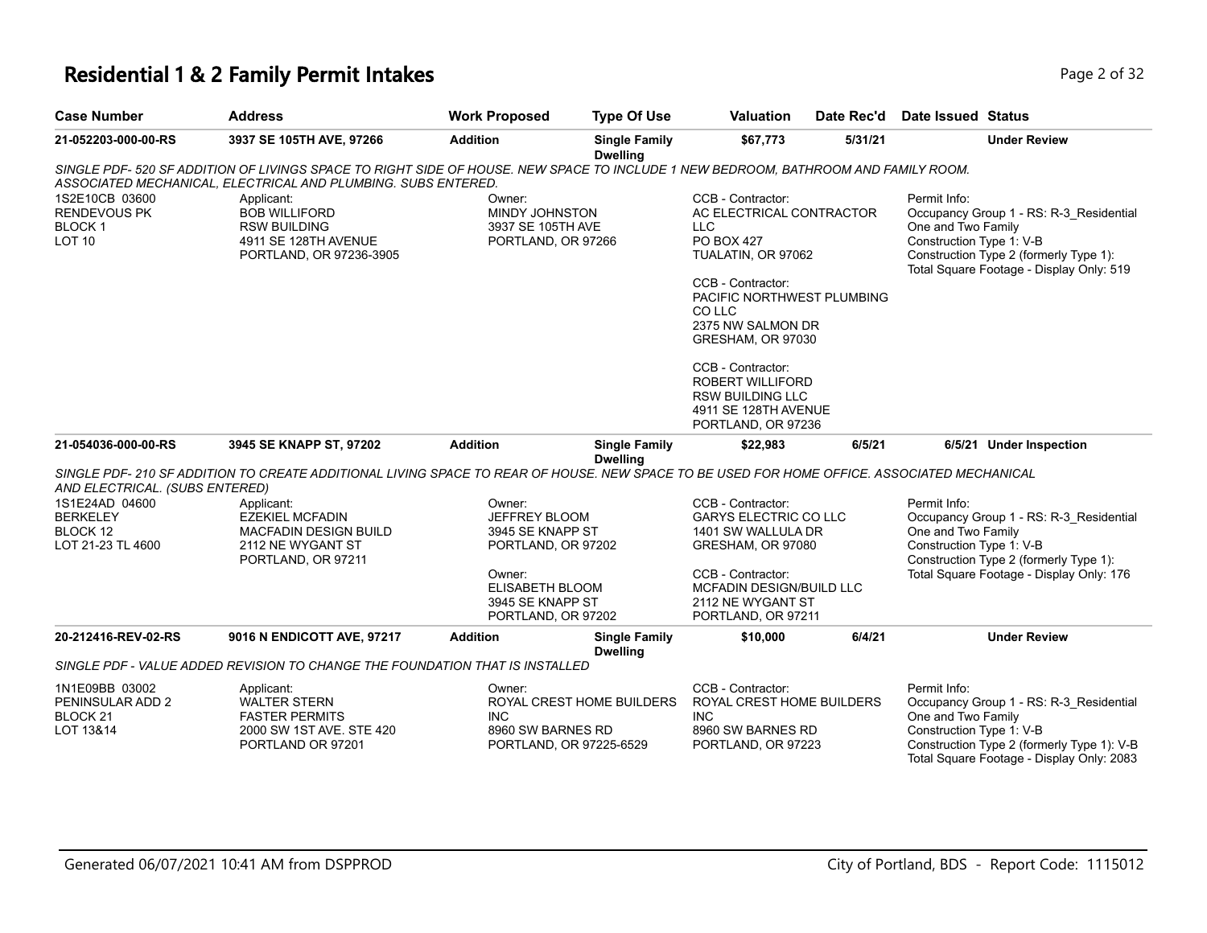#### **Residential 1 & 2 Family Permit Intakes Page 1 and 2 of 32** Page 2 of 32

| <b>Case Number</b>                                                      | <b>Address</b>                                                                                                                                                                                      | <b>Work Proposed</b>                                                                                                                            | <b>Type Of Use</b>                      | <b>Valuation</b>                                                                                                                                                                                                                                                                                                                       | Date Rec'd | <b>Date Issued Status</b>                                      |                                                                                                                               |
|-------------------------------------------------------------------------|-----------------------------------------------------------------------------------------------------------------------------------------------------------------------------------------------------|-------------------------------------------------------------------------------------------------------------------------------------------------|-----------------------------------------|----------------------------------------------------------------------------------------------------------------------------------------------------------------------------------------------------------------------------------------------------------------------------------------------------------------------------------------|------------|----------------------------------------------------------------|-------------------------------------------------------------------------------------------------------------------------------|
| 21-052203-000-00-RS                                                     | 3937 SE 105TH AVE, 97266                                                                                                                                                                            | <b>Addition</b>                                                                                                                                 | <b>Single Family</b><br><b>Dwelling</b> | \$67,773                                                                                                                                                                                                                                                                                                                               | 5/31/21    |                                                                | <b>Under Review</b>                                                                                                           |
|                                                                         | SINGLE PDF- 520 SF ADDITION OF LIVINGS SPACE TO RIGHT SIDE OF HOUSE. NEW SPACE TO INCLUDE 1 NEW BEDROOM, BATHROOM AND FAMILY ROOM.<br>ASSOCIATED MECHANICAL, ELECTRICAL AND PLUMBING. SUBS ENTERED. |                                                                                                                                                 |                                         |                                                                                                                                                                                                                                                                                                                                        |            |                                                                |                                                                                                                               |
| 1S2E10CB 03600<br><b>RENDEVOUS PK</b><br><b>BLOCK1</b><br><b>LOT 10</b> | Applicant:<br><b>BOB WILLIFORD</b><br><b>RSW BUILDING</b><br>4911 SE 128TH AVENUE<br>PORTLAND, OR 97236-3905                                                                                        | Owner:<br><b>MINDY JOHNSTON</b><br>3937 SE 105TH AVE<br>PORTLAND, OR 97266                                                                      |                                         | CCB - Contractor:<br>AC ELECTRICAL CONTRACTOR<br><b>LLC</b><br><b>PO BOX 427</b><br>TUALATIN, OR 97062<br>CCB - Contractor:<br>PACIFIC NORTHWEST PLUMBING<br>CO LLC<br>2375 NW SALMON DR<br>GRESHAM, OR 97030<br>CCB - Contractor:<br><b>ROBERT WILLIFORD</b><br><b>RSW BUILDING LLC</b><br>4911 SE 128TH AVENUE<br>PORTLAND, OR 97236 |            | Permit Info:<br>One and Two Family<br>Construction Type 1: V-B | Occupancy Group 1 - RS: R-3 Residential<br>Construction Type 2 (formerly Type 1):<br>Total Square Footage - Display Only: 519 |
| 21-054036-000-00-RS                                                     | 3945 SE KNAPP ST, 97202                                                                                                                                                                             | <b>Addition</b>                                                                                                                                 | <b>Single Family</b><br><b>Dwelling</b> | \$22,983                                                                                                                                                                                                                                                                                                                               | 6/5/21     |                                                                | 6/5/21 Under Inspection                                                                                                       |
| AND ELECTRICAL. (SUBS ENTERED)                                          | SINGLE PDF- 210 SF ADDITION TO CREATE ADDITIONAL LIVING SPACE TO REAR OF HOUSE. NEW SPACE TO BE USED FOR HOME OFFICE. ASSOCIATED MECHANICAL                                                         |                                                                                                                                                 |                                         |                                                                                                                                                                                                                                                                                                                                        |            |                                                                |                                                                                                                               |
| 1S1E24AD 04600<br><b>BERKELEY</b><br>BLOCK 12<br>LOT 21-23 TL 4600      | Applicant:<br><b>EZEKIEL MCFADIN</b><br><b>MACFADIN DESIGN BUILD</b><br>2112 NE WYGANT ST<br>PORTLAND, OR 97211                                                                                     | Owner:<br><b>JEFFREY BLOOM</b><br>3945 SE KNAPP ST<br>PORTLAND, OR 97202<br>Owner:<br>ELISABETH BLOOM<br>3945 SE KNAPP ST<br>PORTLAND, OR 97202 |                                         | CCB - Contractor:<br><b>GARYS ELECTRIC CO LLC</b><br>1401 SW WALLULA DR<br>GRESHAM, OR 97080<br>CCB - Contractor:<br>MCFADIN DESIGN/BUILD LLC<br>2112 NE WYGANT ST<br>PORTLAND, OR 97211                                                                                                                                               |            | Permit Info:<br>One and Two Family<br>Construction Type 1: V-B | Occupancy Group 1 - RS: R-3_Residential<br>Construction Type 2 (formerly Type 1):<br>Total Square Footage - Display Only: 176 |
| 20-212416-REV-02-RS                                                     | 9016 N ENDICOTT AVE, 97217                                                                                                                                                                          | <b>Addition</b>                                                                                                                                 | <b>Single Family</b><br><b>Dwelling</b> | \$10,000                                                                                                                                                                                                                                                                                                                               | 6/4/21     |                                                                | <b>Under Review</b>                                                                                                           |
|                                                                         | SINGLE PDF - VALUE ADDED REVISION TO CHANGE THE FOUNDATION THAT IS INSTALLED                                                                                                                        |                                                                                                                                                 |                                         |                                                                                                                                                                                                                                                                                                                                        |            |                                                                |                                                                                                                               |
| 1N1E09BB 03002<br>PENINSULAR ADD 2<br>BLOCK <sub>21</sub>               | Applicant:<br><b>WALTER STERN</b><br><b>FASTER PERMITS</b>                                                                                                                                          | Owner:<br><b>INC</b>                                                                                                                            | ROYAL CREST HOME BUILDERS               | CCB - Contractor:<br>ROYAL CREST HOME BUILDERS<br><b>INC</b>                                                                                                                                                                                                                                                                           |            | Permit Info:<br>One and Two Family                             | Occupancy Group 1 - RS: R-3 Residential                                                                                       |

One and Two Family Construction Type 1: V-B Construction Type 2 (formerly Type 1): V-B Total Square Footage - Display Only: 2083 INC 8960 SW BARNES RD PORTLAND, OR 97223 INC 8960 SW BARNES RD PORTLAND, OR 97225-6529 FASTER PERMITS 2000 SW 1ST AVE. STE 420 PORTLAND OR 97201

Generated 06/07/2021 10:41 AM from DSPPROD City of Portland, BDS - Report Code: 1115012

LOT 13&14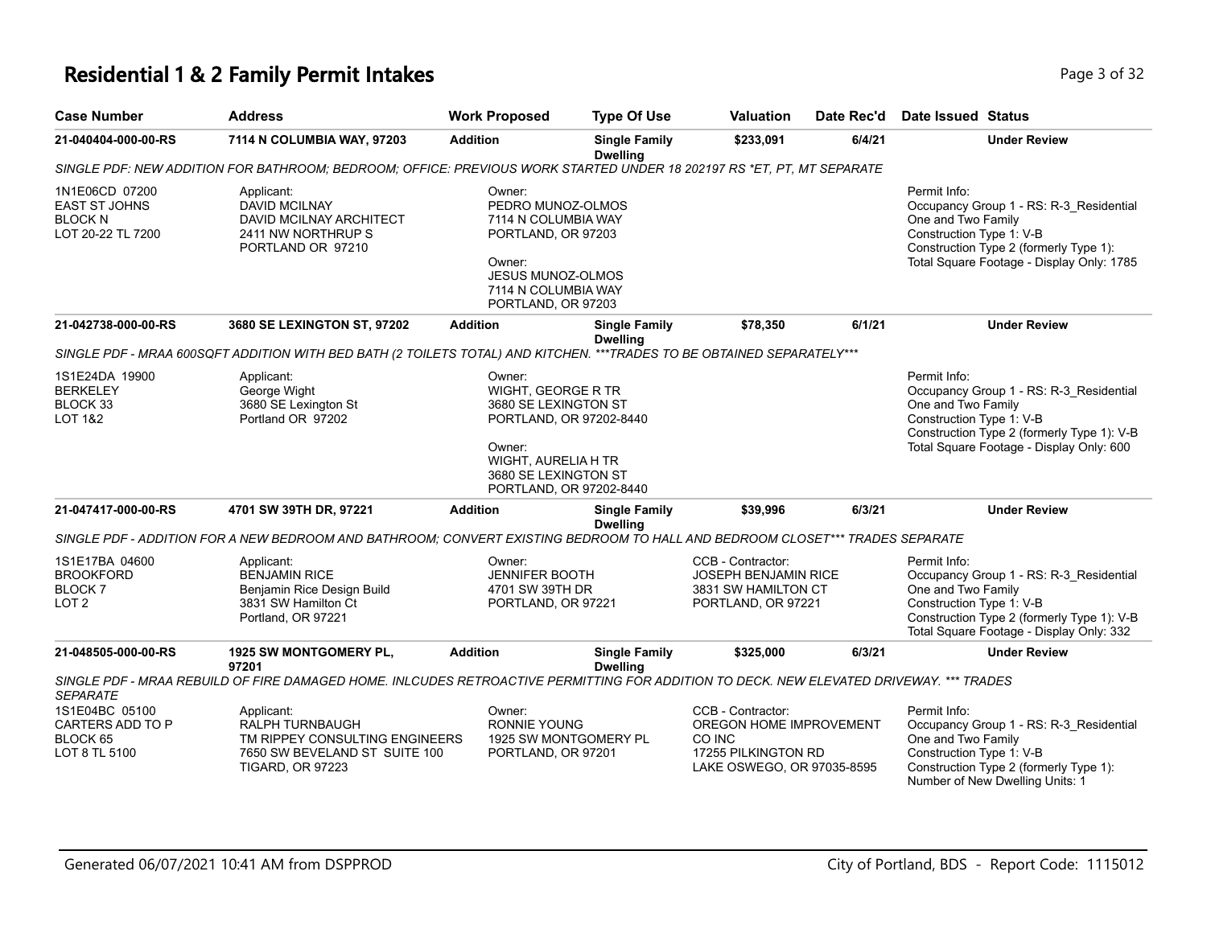# **Residential 1 & 2 Family Permit Intakes Page 1 and Security Page 1 of 32**

| <b>Case Number</b>                                                            | <b>Address</b>                                                                                                                          | <b>Work Proposed</b>                                                                                                                                                | <b>Type Of Use</b>                      | Valuation                                                                                                   | Date Rec'd | <b>Date Issued Status</b>                                                                                                                                                                           |
|-------------------------------------------------------------------------------|-----------------------------------------------------------------------------------------------------------------------------------------|---------------------------------------------------------------------------------------------------------------------------------------------------------------------|-----------------------------------------|-------------------------------------------------------------------------------------------------------------|------------|-----------------------------------------------------------------------------------------------------------------------------------------------------------------------------------------------------|
| 21-040404-000-00-RS                                                           | 7114 N COLUMBIA WAY, 97203                                                                                                              | <b>Addition</b>                                                                                                                                                     | <b>Single Family</b><br><b>Dwelling</b> | \$233,091                                                                                                   | 6/4/21     | <b>Under Review</b>                                                                                                                                                                                 |
|                                                                               | SINGLE PDF: NEW ADDITION FOR BATHROOM; BEDROOM; OFFICE: PREVIOUS WORK STARTED UNDER 18 202197 RS *ET, PT, MT SEPARATE                   |                                                                                                                                                                     |                                         |                                                                                                             |            |                                                                                                                                                                                                     |
| 1N1E06CD 07200<br><b>EAST ST JOHNS</b><br><b>BLOCK N</b><br>LOT 20-22 TL 7200 | Applicant:<br><b>DAVID MCILNAY</b><br>DAVID MCILNAY ARCHITECT<br>2411 NW NORTHRUP S<br>PORTLAND OR 97210                                | Owner:<br>PEDRO MUNOZ-OLMOS<br>7114 N COLUMBIA WAY<br>PORTLAND, OR 97203<br>Owner:<br>JESUS MUNOZ-OLMOS<br>7114 N COLUMBIA WAY<br>PORTLAND, OR 97203                |                                         |                                                                                                             |            | Permit Info:<br>Occupancy Group 1 - RS: R-3_Residential<br>One and Two Family<br>Construction Type 1: V-B<br>Construction Type 2 (formerly Type 1):<br>Total Square Footage - Display Only: 1785    |
| 21-042738-000-00-RS                                                           | 3680 SE LEXINGTON ST, 97202                                                                                                             | <b>Addition</b>                                                                                                                                                     | <b>Single Family</b><br><b>Dwelling</b> | \$78,350                                                                                                    | 6/1/21     | <b>Under Review</b>                                                                                                                                                                                 |
|                                                                               | SINGLE PDF - MRAA 600SQFT ADDITION WITH BED BATH (2 TOILETS TOTAL) AND KITCHEN. ***TRADES TO BE OBTAINED SEPARATELY***                  |                                                                                                                                                                     |                                         |                                                                                                             |            |                                                                                                                                                                                                     |
| 1S1E24DA 19900<br><b>BERKELEY</b><br>BLOCK 33<br><b>LOT 1&amp;2</b>           | Applicant:<br>George Wight<br>3680 SE Lexington St<br>Portland OR 97202                                                                 | Owner:<br>WIGHT, GEORGE R TR<br>3680 SE LEXINGTON ST<br>PORTLAND, OR 97202-8440<br>Owner:<br>WIGHT, AURELIA H TR<br>3680 SE LEXINGTON ST<br>PORTLAND, OR 97202-8440 |                                         |                                                                                                             |            | Permit Info:<br>Occupancy Group 1 - RS: R-3_Residential<br>One and Two Family<br>Construction Type 1: V-B<br>Construction Type 2 (formerly Type 1): V-B<br>Total Square Footage - Display Only: 600 |
| 21-047417-000-00-RS                                                           | 4701 SW 39TH DR, 97221                                                                                                                  | <b>Addition</b>                                                                                                                                                     | <b>Single Family</b><br><b>Dwelling</b> | \$39,996                                                                                                    | 6/3/21     | <b>Under Review</b>                                                                                                                                                                                 |
|                                                                               | SINGLE PDF - ADDITION FOR A NEW BEDROOM AND BATHROOM; CONVERT EXISTING BEDROOM TO HALL AND BEDROOM CLOSET*** TRADES SEPARATE            |                                                                                                                                                                     |                                         |                                                                                                             |            |                                                                                                                                                                                                     |
| 1S1E17BA 04600<br><b>BROOKFORD</b><br><b>BLOCK7</b><br>LOT <sub>2</sub>       | Applicant:<br><b>BENJAMIN RICE</b><br>Benjamin Rice Design Build<br>3831 SW Hamilton Ct<br>Portland, OR 97221                           | Owner:<br><b>JENNIFER BOOTH</b><br>4701 SW 39TH DR<br>PORTLAND, OR 97221                                                                                            |                                         | CCB - Contractor:<br><b>JOSEPH BENJAMIN RICE</b><br>3831 SW HAMILTON CT<br>PORTLAND, OR 97221               |            | Permit Info:<br>Occupancy Group 1 - RS: R-3_Residential<br>One and Two Family<br>Construction Type 1: V-B<br>Construction Type 2 (formerly Type 1): V-B<br>Total Square Footage - Display Only: 332 |
| 21-048505-000-00-RS                                                           | 1925 SW MONTGOMERY PL,<br>97201                                                                                                         | <b>Addition</b>                                                                                                                                                     | <b>Single Family</b><br><b>Dwelling</b> | \$325,000                                                                                                   | 6/3/21     | <b>Under Review</b>                                                                                                                                                                                 |
| <b>SEPARATE</b>                                                               | SINGLE PDF - MRAA REBUILD OF FIRE DAMAGED HOME. INLCUDES RETROACTIVE PERMITTING FOR ADDITION TO DECK. NEW ELEVATED DRIVEWAY. *** TRADES |                                                                                                                                                                     |                                         |                                                                                                             |            |                                                                                                                                                                                                     |
| 1S1E04BC 05100<br>CARTERS ADD TO P<br>BLOCK 65<br>LOT 8 TL 5100               | Applicant:<br>RALPH TURNBAUGH<br>TM RIPPEY CONSULTING ENGINEERS<br>7650 SW BEVELAND ST SUITE 100<br><b>TIGARD, OR 97223</b>             | Owner:<br><b>RONNIE YOUNG</b><br>1925 SW MONTGOMERY PL<br>PORTLAND, OR 97201                                                                                        |                                         | CCB - Contractor:<br>OREGON HOME IMPROVEMENT<br>CO INC<br>17255 PILKINGTON RD<br>LAKE OSWEGO, OR 97035-8595 |            | Permit Info:<br>Occupancy Group 1 - RS: R-3_Residential<br>One and Two Family<br>Construction Type 1: V-B<br>Construction Type 2 (formerly Type 1):<br>Number of New Dwelling Units: 1              |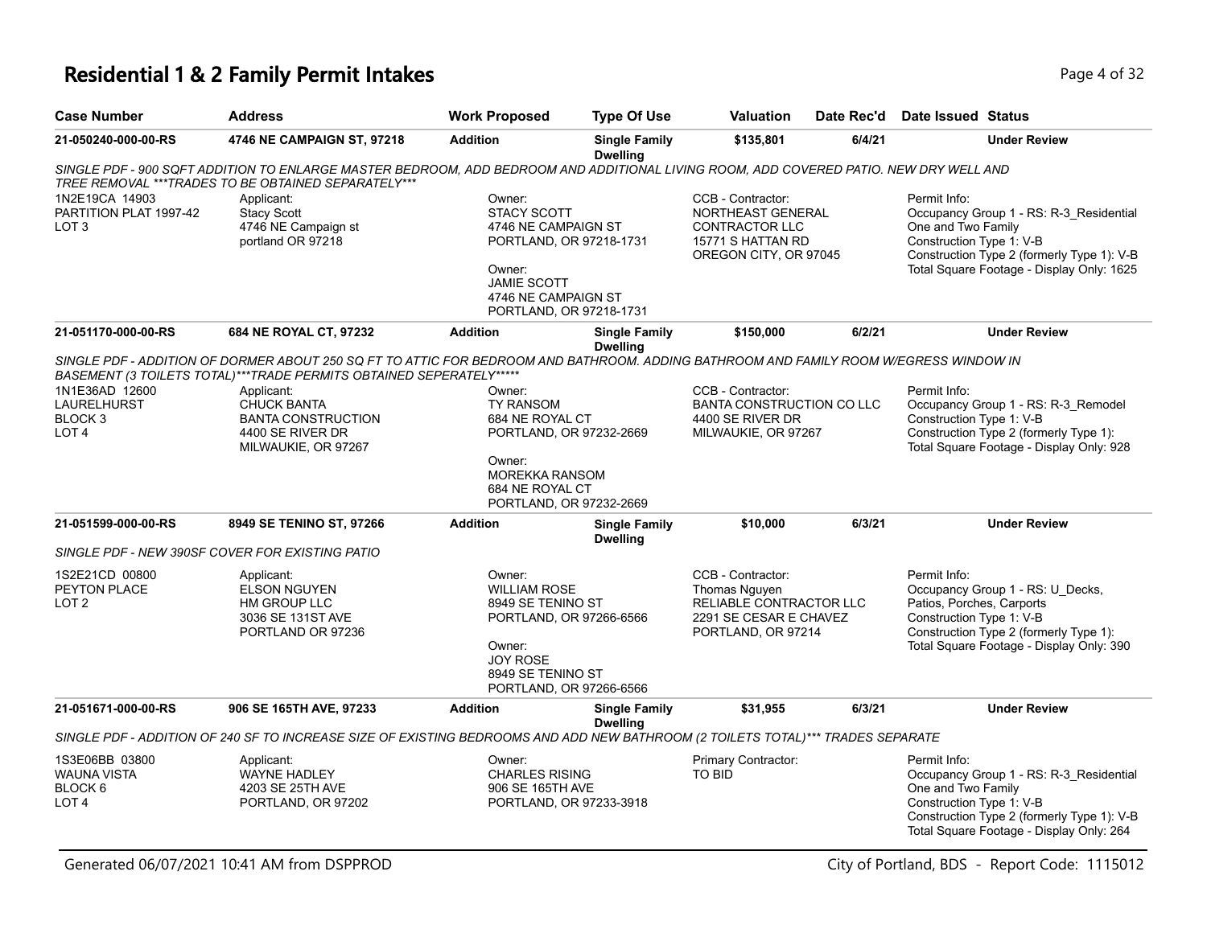#### **Residential 1 & 2 Family Permit Intakes Page 1 of 32** Page 4 of 32

| <b>Case Number</b>                                                      | <b>Address</b>                                                                                                                                                                                               | <b>Work Proposed</b>                                                                                                                                             | <b>Type Of Use</b>                                                                                                | <b>Valuation</b>                                                                                              | Date Rec'd                                              | Date Issued Status                                                                                                                                                                                   |
|-------------------------------------------------------------------------|--------------------------------------------------------------------------------------------------------------------------------------------------------------------------------------------------------------|------------------------------------------------------------------------------------------------------------------------------------------------------------------|-------------------------------------------------------------------------------------------------------------------|---------------------------------------------------------------------------------------------------------------|---------------------------------------------------------|------------------------------------------------------------------------------------------------------------------------------------------------------------------------------------------------------|
| 21-050240-000-00-RS                                                     | 4746 NE CAMPAIGN ST, 97218                                                                                                                                                                                   | <b>Addition</b>                                                                                                                                                  | <b>Single Family</b><br><b>Dwelling</b>                                                                           | \$135.801                                                                                                     | 6/4/21                                                  | <b>Under Review</b>                                                                                                                                                                                  |
|                                                                         | SINGLE PDF - 900 SQFT ADDITION TO ENLARGE MASTER BEDROOM, ADD BEDROOM AND ADDITIONAL LIVING ROOM, ADD COVERED PATIO. NEW DRY WELL AND<br>TREE REMOVAL *** TRADES TO BE OBTAINED SEPARATELY***                |                                                                                                                                                                  |                                                                                                                   |                                                                                                               |                                                         |                                                                                                                                                                                                      |
| 1N2E19CA 14903<br>PARTITION PLAT 1997-42<br>LOT <sub>3</sub>            | Applicant:<br><b>Stacy Scott</b><br>4746 NE Campaign st<br>portland OR 97218                                                                                                                                 | Owner:<br><b>STACY SCOTT</b><br>4746 NE CAMPAIGN ST<br>PORTLAND, OR 97218-1731<br>Owner:<br><b>JAMIE SCOTT</b><br>4746 NE CAMPAIGN ST<br>PORTLAND, OR 97218-1731 |                                                                                                                   | CCB - Contractor:<br>NORTHEAST GENERAL<br>CONTRACTOR LLC<br>15771 S HATTAN RD<br>OREGON CITY, OR 97045        |                                                         | Permit Info:<br>Occupancy Group 1 - RS: R-3 Residential<br>One and Two Family<br>Construction Type 1: V-B<br>Construction Type 2 (formerly Type 1): V-B<br>Total Square Footage - Display Only: 1625 |
| 21-051170-000-00-RS                                                     | 684 NE ROYAL CT, 97232                                                                                                                                                                                       | <b>Addition</b>                                                                                                                                                  | <b>Single Family</b><br><b>Dwelling</b>                                                                           | \$150,000                                                                                                     | 6/2/21                                                  | <b>Under Review</b>                                                                                                                                                                                  |
|                                                                         | SINGLE PDF - ADDITION OF DORMER ABOUT 250 SQ FT TO ATTIC FOR BEDROOM AND BATHROOM. ADDING BATHROOM AND FAMILY ROOM W/EGRESS WINDOW IN<br>BASEMENT (3 TOILETS TOTAL)***TRADE PERMITS OBTAINED SEPERATELY***** |                                                                                                                                                                  |                                                                                                                   |                                                                                                               |                                                         |                                                                                                                                                                                                      |
| 1N1E36AD 12600<br>LAURELHURST<br>BLOCK <sub>3</sub><br>LOT <sub>4</sub> | Applicant:<br><b>CHUCK BANTA</b><br><b>BANTA CONSTRUCTION</b><br>4400 SE RIVER DR<br>MILWAUKIE, OR 97267                                                                                                     | Owner:<br><b>TY RANSOM</b><br>Owner:                                                                                                                             | 684 NE ROYAL CT<br>PORTLAND, OR 97232-2669<br><b>MOREKKA RANSOM</b><br>684 NE ROYAL CT<br>PORTLAND, OR 97232-2669 |                                                                                                               | <b>BANTA CONSTRUCTION CO LLC</b><br>MILWAUKIE, OR 97267 | Permit Info:<br>Occupancy Group 1 - RS: R-3_Remodel<br>Construction Type 1: V-B<br>Construction Type 2 (formerly Type 1):<br>Total Square Footage - Display Only: 928                                |
| 21-051599-000-00-RS                                                     | 8949 SE TENINO ST, 97266                                                                                                                                                                                     | <b>Addition</b>                                                                                                                                                  | <b>Single Family</b><br><b>Dwelling</b>                                                                           | \$10,000                                                                                                      | 6/3/21                                                  | <b>Under Review</b>                                                                                                                                                                                  |
|                                                                         | SINGLE PDF - NEW 390SF COVER FOR EXISTING PATIO                                                                                                                                                              |                                                                                                                                                                  |                                                                                                                   |                                                                                                               |                                                         |                                                                                                                                                                                                      |
| 1S2E21CD 00800<br>PEYTON PLACE<br>LOT <sub>2</sub>                      | Applicant:<br><b>ELSON NGUYEN</b><br>HM GROUP LLC<br>3036 SE 131ST AVE<br>PORTLAND OR 97236                                                                                                                  | Owner:<br><b>WILLIAM ROSE</b><br>8949 SE TENINO ST<br>PORTLAND, OR 97266-6566<br>Owner:<br><b>JOY ROSE</b><br>8949 SE TENINO ST<br>PORTLAND, OR 97266-6566       |                                                                                                                   | CCB - Contractor:<br>Thomas Nguyen<br>RELIABLE CONTRACTOR LLC<br>2291 SE CESAR E CHAVEZ<br>PORTLAND, OR 97214 |                                                         | Permit Info:<br>Occupancy Group 1 - RS: U Decks,<br>Patios, Porches, Carports<br>Construction Type 1: V-B<br>Construction Type 2 (formerly Type 1):<br>Total Square Footage - Display Only: 390      |
| 21-051671-000-00-RS                                                     | 906 SE 165TH AVE, 97233                                                                                                                                                                                      | <b>Addition</b>                                                                                                                                                  | <b>Single Family</b><br><b>Dwelling</b>                                                                           | \$31,955                                                                                                      | 6/3/21                                                  | <b>Under Review</b>                                                                                                                                                                                  |
|                                                                         | SINGLE PDF - ADDITION OF 240 SF TO INCREASE SIZE OF EXISTING BEDROOMS AND ADD NEW BATHROOM (2 TOILETS TOTAL)*** TRADES SEPARATE                                                                              |                                                                                                                                                                  |                                                                                                                   |                                                                                                               |                                                         |                                                                                                                                                                                                      |
| 1S3E06BB 03800<br>WAUNA VISTA<br>BLOCK <sub>6</sub><br>LOT <sub>4</sub> | Applicant:<br>WAYNE HADLEY<br>4203 SE 25TH AVE<br>PORTLAND, OR 97202                                                                                                                                         | Owner:<br><b>CHARLES RISING</b><br>906 SE 165TH AVE<br>PORTLAND, OR 97233-3918                                                                                   |                                                                                                                   | Primary Contractor:<br><b>TO BID</b>                                                                          |                                                         | Permit Info:<br>Occupancy Group 1 - RS: R-3_Residential<br>One and Two Family<br>Construction Type 1: V-B                                                                                            |

Construction Type 2 (formerly Type 1): V-B Total Square Footage - Display Only: 264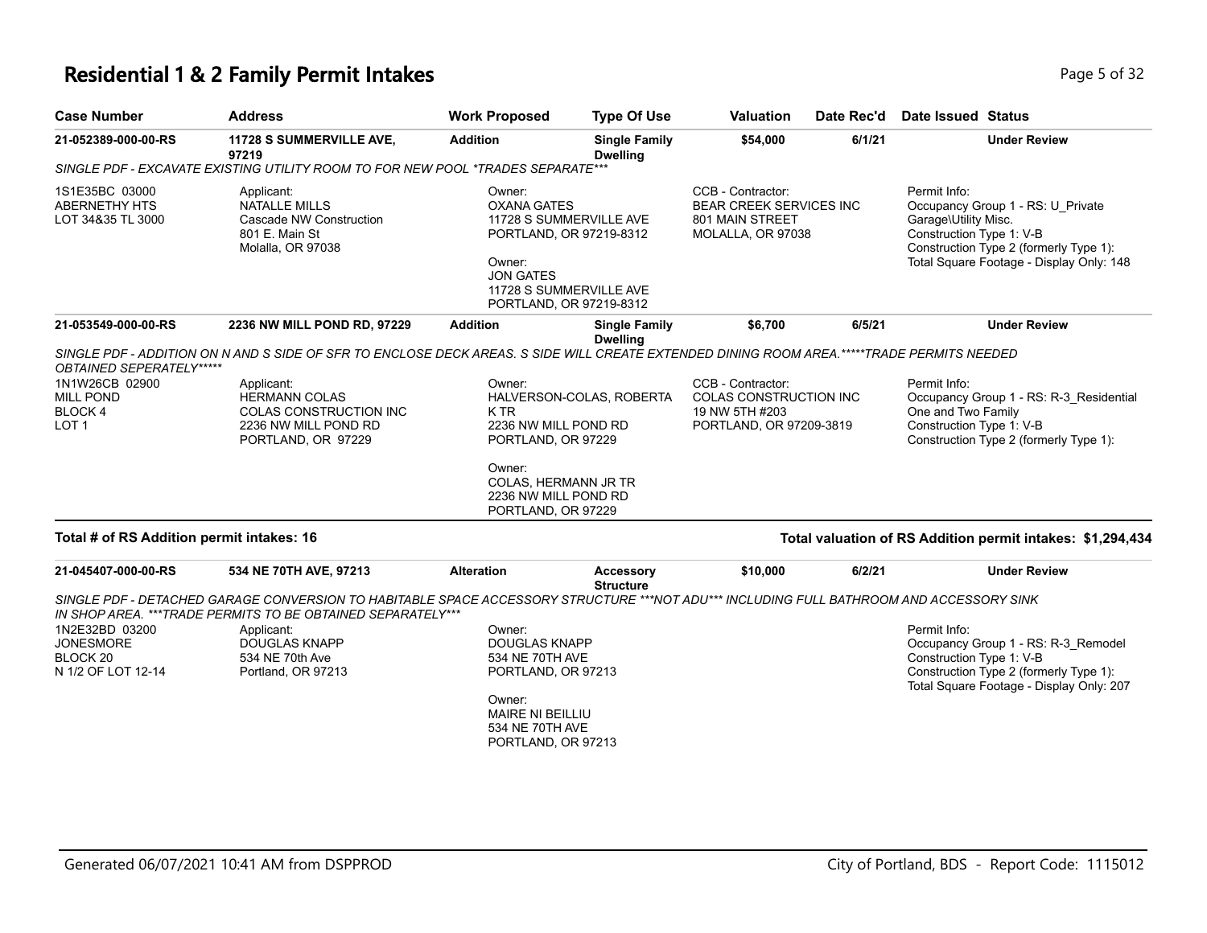### **Residential 1 & 2 Family Permit Intakes Page 1 and Security Page 1 and Security Page 5 of 32**

| <b>Case Number</b>                                                      | <b>Address</b>                                                                                                                                                                                         | <b>Work Proposed</b>                                                                                                                                                   | <b>Type Of Use</b>                      | <b>Valuation</b>                                                                                | Date Rec'd | Date Issued Status                                                                                                                                                                          |
|-------------------------------------------------------------------------|--------------------------------------------------------------------------------------------------------------------------------------------------------------------------------------------------------|------------------------------------------------------------------------------------------------------------------------------------------------------------------------|-----------------------------------------|-------------------------------------------------------------------------------------------------|------------|---------------------------------------------------------------------------------------------------------------------------------------------------------------------------------------------|
| 21-052389-000-00-RS                                                     | 11728 S SUMMERVILLE AVE,<br>97219                                                                                                                                                                      | <b>Addition</b>                                                                                                                                                        | <b>Single Family</b><br><b>Dwelling</b> | \$54,000                                                                                        | 6/1/21     | <b>Under Review</b>                                                                                                                                                                         |
|                                                                         | SINGLE PDF - EXCAVATE EXISTING UTILITY ROOM TO FOR NEW POOL *TRADES SEPARATE***                                                                                                                        |                                                                                                                                                                        |                                         |                                                                                                 |            |                                                                                                                                                                                             |
| 1S1E35BC 03000<br><b>ABERNETHY HTS</b><br>LOT 34&35 TL 3000             | Applicant:<br><b>NATALLE MILLS</b><br>Cascade NW Construction<br>801 E. Main St<br>Molalla, OR 97038                                                                                                   | Owner:<br><b>OXANA GATES</b><br>11728 S SUMMERVILLE AVE<br>PORTLAND, OR 97219-8312<br>Owner:<br><b>JON GATES</b><br>11728 S SUMMERVILLE AVE<br>PORTLAND, OR 97219-8312 |                                         | CCB - Contractor:<br><b>BEAR CREEK SERVICES INC</b><br>801 MAIN STREET<br>MOLALLA, OR 97038     |            | Permit Info:<br>Occupancy Group 1 - RS: U Private<br>Garage\Utility Misc.<br>Construction Type 1: V-B<br>Construction Type 2 (formerly Type 1):<br>Total Square Footage - Display Only: 148 |
| 21-053549-000-00-RS                                                     | 2236 NW MILL POND RD, 97229                                                                                                                                                                            | <b>Addition</b>                                                                                                                                                        | <b>Single Family</b><br><b>Dwelling</b> | \$6,700                                                                                         | 6/5/21     | <b>Under Review</b>                                                                                                                                                                         |
| OBTAINED SEPERATELY*****                                                | SINGLE PDF - ADDITION ON N AND S SIDE OF SFR TO ENCLOSE DECK AREAS. S SIDE WILL CREATE EXTENDED DINING ROOM AREA.*****TRADE PERMITS NEEDED                                                             |                                                                                                                                                                        |                                         |                                                                                                 |            |                                                                                                                                                                                             |
| 1N1W26CB 02900<br><b>MILL POND</b><br><b>BLOCK4</b><br>LOT <sub>1</sub> | Applicant:<br><b>HERMANN COLAS</b><br><b>COLAS CONSTRUCTION INC</b><br>2236 NW MILL POND RD<br>PORTLAND, OR 97229                                                                                      | Owner:<br>K TR<br>2236 NW MILL POND RD<br>PORTLAND, OR 97229<br>Owner:<br>COLAS, HERMANN JR TR<br>2236 NW MILL POND RD<br>PORTLAND, OR 97229                           | HALVERSON-COLAS, ROBERTA                | CCB - Contractor:<br><b>COLAS CONSTRUCTION INC</b><br>19 NW 5TH #203<br>PORTLAND, OR 97209-3819 |            | Permit Info:<br>Occupancy Group 1 - RS: R-3 Residential<br>One and Two Family<br>Construction Type 1: V-B<br>Construction Type 2 (formerly Type 1):                                         |
| Total # of RS Addition permit intakes: 16                               |                                                                                                                                                                                                        |                                                                                                                                                                        |                                         |                                                                                                 |            | Total valuation of RS Addition permit intakes: \$1,294,434                                                                                                                                  |
| 21-045407-000-00-RS                                                     | 534 NE 70TH AVE, 97213                                                                                                                                                                                 | <b>Alteration</b>                                                                                                                                                      | Accessory<br><b>Structure</b>           | \$10,000                                                                                        | 6/2/21     | <b>Under Review</b>                                                                                                                                                                         |
|                                                                         | SINGLE PDF - DETACHED GARAGE CONVERSION TO HABITABLE SPACE ACCESSORY STRUCTURE ***NOT ADU*** INCLUDING FULL BATHROOM AND ACCESSORY SINK<br>IN SHOP AREA. ***TRADE PERMITS TO BE OBTAINED SEPARATELY*** |                                                                                                                                                                        |                                         |                                                                                                 |            |                                                                                                                                                                                             |
| 1N2E32BD 03200<br><b>JONESMORE</b><br>BLOCK 20<br>N 1/2 OF LOT 12-14    | Applicant:<br><b>DOUGLAS KNAPP</b><br>534 NE 70th Ave<br>Portland, OR 97213                                                                                                                            | Owner:<br><b>DOUGLAS KNAPP</b><br>534 NE 70TH AVE<br>PORTLAND, OR 97213<br>Owner:                                                                                      |                                         |                                                                                                 |            | Permit Info:<br>Occupancy Group 1 - RS: R-3_Remodel<br>Construction Type 1: V-B<br>Construction Type 2 (formerly Type 1):<br>Total Square Footage - Display Only: 207                       |
|                                                                         |                                                                                                                                                                                                        | <b>MAIRE NI BEILLIU</b>                                                                                                                                                |                                         |                                                                                                 |            |                                                                                                                                                                                             |

534 NE 70TH AVE PORTLAND, OR 97213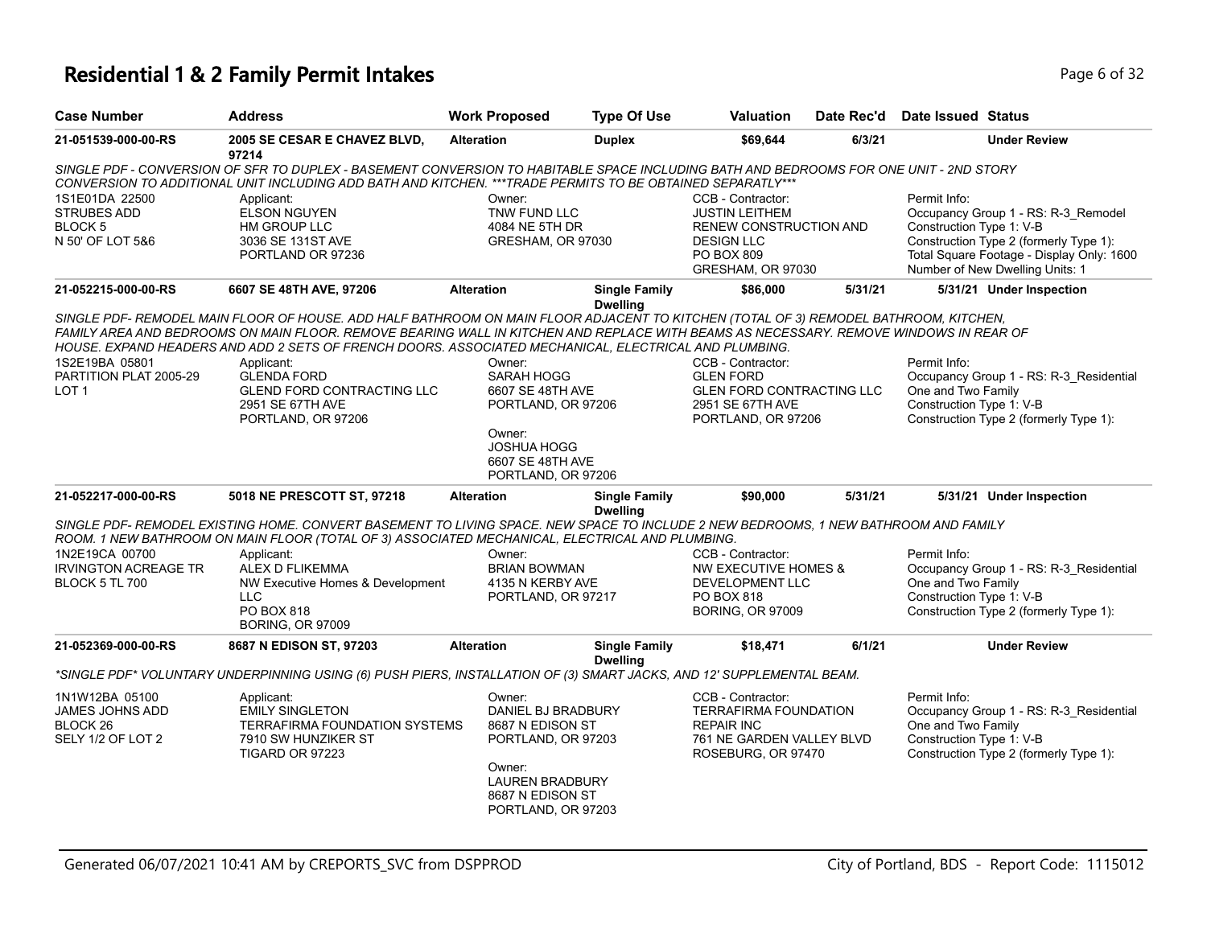### **Residential 1 & 2 Family Permit Intakes Page 1 and 2 and 2 and 2 and 2 and 2 and 2 and 2 and 2 and 2 and 2 and 2 and 2 and 2 and 2 and 2 and 2 and 2 and 2 and 2 and 2 and 2 and 2 and 2 and 2 and 2 and 2 and 2 and 2 and**

| <b>Case Number</b>                                                            | <b>Address</b>                                                                                                                                                                                                                                                                                                                                                                                                                                                                                            | <b>Work Proposed</b>                                                                                                                                 | <b>Type Of Use</b>                      | Valuation                                                                                                                           | Date Rec'd | <b>Date Issued Status</b>                                      |                                                                                                                                                               |
|-------------------------------------------------------------------------------|-----------------------------------------------------------------------------------------------------------------------------------------------------------------------------------------------------------------------------------------------------------------------------------------------------------------------------------------------------------------------------------------------------------------------------------------------------------------------------------------------------------|------------------------------------------------------------------------------------------------------------------------------------------------------|-----------------------------------------|-------------------------------------------------------------------------------------------------------------------------------------|------------|----------------------------------------------------------------|---------------------------------------------------------------------------------------------------------------------------------------------------------------|
| 21-051539-000-00-RS                                                           | 2005 SE CESAR E CHAVEZ BLVD,<br>97214                                                                                                                                                                                                                                                                                                                                                                                                                                                                     | <b>Alteration</b>                                                                                                                                    | <b>Duplex</b>                           | \$69,644                                                                                                                            | 6/3/21     |                                                                | <b>Under Review</b>                                                                                                                                           |
|                                                                               | SINGLE PDF - CONVERSION OF SFR TO DUPLEX - BASEMENT CONVERSION TO HABITABLE SPACE INCLUDING BATH AND BEDROOMS FOR ONE UNIT - 2ND STORY<br>CONVERSION TO ADDITIONAL UNIT INCLUDING ADD BATH AND KITCHEN. ***TRADE PERMITS TO BE OBTAINED SEPARATLY***                                                                                                                                                                                                                                                      |                                                                                                                                                      |                                         |                                                                                                                                     |            |                                                                |                                                                                                                                                               |
| 1S1E01DA 22500<br><b>STRUBES ADD</b><br><b>BLOCK 5</b><br>N 50' OF LOT 5&6    | Applicant:<br><b>ELSON NGUYEN</b><br>HM GROUP LLC<br>3036 SE 131ST AVE<br>PORTLAND OR 97236                                                                                                                                                                                                                                                                                                                                                                                                               | Owner:<br>TNW FUND LLC<br>4084 NE 5TH DR<br>GRESHAM, OR 97030                                                                                        |                                         | CCB - Contractor:<br><b>JUSTIN LEITHEM</b><br>RENEW CONSTRUCTION AND<br><b>DESIGN LLC</b><br><b>PO BOX 809</b><br>GRESHAM, OR 97030 |            | Permit Info:<br>Construction Type 1: V-B                       | Occupancy Group 1 - RS: R-3_Remodel<br>Construction Type 2 (formerly Type 1):<br>Total Square Footage - Display Only: 1600<br>Number of New Dwelling Units: 1 |
| 21-052215-000-00-RS                                                           | 6607 SE 48TH AVE, 97206                                                                                                                                                                                                                                                                                                                                                                                                                                                                                   | <b>Alteration</b>                                                                                                                                    | <b>Single Family</b>                    | \$86,000                                                                                                                            | 5/31/21    |                                                                | 5/31/21 Under Inspection                                                                                                                                      |
| 1S2E19BA 05801<br>PARTITION PLAT 2005-29<br>LOT <sub>1</sub>                  | SINGLE PDF- REMODEL MAIN FLOOR OF HOUSE. ADD HALF BATHROOM ON MAIN FLOOR ADJACENT TO KITCHEN (TOTAL OF 3) REMODEL BATHROOM, KITCHEN,<br>FAMILY AREA AND BEDROOMS ON MAIN FLOOR. REMOVE BEARING WALL IN KITCHEN AND REPLACE WITH BEAMS AS NECESSARY. REMOVE WINDOWS IN REAR OF<br>HOUSE. EXPAND HEADERS AND ADD 2 SETS OF FRENCH DOORS. ASSOCIATED MECHANICAL, ELECTRICAL AND PLUMBING.<br>Applicant:<br><b>GLENDA FORD</b><br><b>GLEND FORD CONTRACTING LLC</b><br>2951 SE 67TH AVE<br>PORTLAND, OR 97206 | Owner:<br>SARAH HOGG<br>6607 SE 48TH AVE<br>PORTLAND, OR 97206<br>Owner:<br><b>JOSHUA HOGG</b><br>6607 SE 48TH AVE<br>PORTLAND, OR 97206             | <b>Dwelling</b>                         | CCB - Contractor:<br><b>GLEN FORD</b><br><b>GLEN FORD CONTRACTING LLC</b><br>2951 SE 67TH AVE<br>PORTLAND, OR 97206                 |            | Permit Info:<br>One and Two Family<br>Construction Type 1: V-B | Occupancy Group 1 - RS: R-3_Residential<br>Construction Type 2 (formerly Type 1):                                                                             |
| 21-052217-000-00-RS                                                           | 5018 NE PRESCOTT ST, 97218                                                                                                                                                                                                                                                                                                                                                                                                                                                                                | <b>Alteration</b>                                                                                                                                    | <b>Single Family</b><br><b>Dwelling</b> | \$90,000                                                                                                                            | 5/31/21    |                                                                | 5/31/21 Under Inspection                                                                                                                                      |
|                                                                               | SINGLE PDF- REMODEL EXISTING HOME. CONVERT BASEMENT TO LIVING SPACE. NEW SPACE TO INCLUDE 2 NEW BEDROOMS, 1 NEW BATHROOM AND FAMILY<br>ROOM. 1 NEW BATHROOM ON MAIN FLOOR (TOTAL OF 3) ASSOCIATED MECHANICAL, ELECTRICAL AND PLUMBING.                                                                                                                                                                                                                                                                    |                                                                                                                                                      |                                         |                                                                                                                                     |            |                                                                |                                                                                                                                                               |
| 1N2E19CA 00700<br><b>IRVINGTON ACREAGE TR</b><br><b>BLOCK 5 TL 700</b>        | Applicant:<br>ALEX D FLIKEMMA<br>NW Executive Homes & Development<br><b>LLC</b><br>PO BOX 818<br><b>BORING, OR 97009</b>                                                                                                                                                                                                                                                                                                                                                                                  | Owner:<br><b>BRIAN BOWMAN</b><br>4135 N KERBY AVE<br>PORTLAND, OR 97217                                                                              |                                         | CCB - Contractor:<br>NW EXECUTIVE HOMES &<br>DEVELOPMENT LLC<br><b>PO BOX 818</b><br><b>BORING, OR 97009</b>                        |            | Permit Info:<br>One and Two Family<br>Construction Type 1: V-B | Occupancy Group 1 - RS: R-3_Residential<br>Construction Type 2 (formerly Type 1):                                                                             |
| 21-052369-000-00-RS                                                           | 8687 N EDISON ST, 97203                                                                                                                                                                                                                                                                                                                                                                                                                                                                                   | <b>Alteration</b>                                                                                                                                    | <b>Single Family</b><br><b>Dwelling</b> | \$18,471                                                                                                                            | 6/1/21     |                                                                | <b>Under Review</b>                                                                                                                                           |
|                                                                               | *SINGLE PDF* VOLUNTARY UNDERPINNING USING (6) PUSH PIERS, INSTALLATION OF (3) SMART JACKS, AND 12' SUPPLEMENTAL BEAM.                                                                                                                                                                                                                                                                                                                                                                                     |                                                                                                                                                      |                                         |                                                                                                                                     |            |                                                                |                                                                                                                                                               |
| 1N1W12BA 05100<br>JAMES JOHNS ADD<br>BLOCK <sub>26</sub><br>SELY 1/2 OF LOT 2 | Applicant:<br><b>EMILY SINGLETON</b><br><b>TERRAFIRMA FOUNDATION SYSTEMS</b><br>7910 SW HUNZIKER ST<br>TIGARD OR 97223                                                                                                                                                                                                                                                                                                                                                                                    | Owner:<br>DANIEL BJ BRADBURY<br>8687 N EDISON ST<br>PORTLAND, OR 97203<br>Owner:<br><b>LAUREN BRADBURY</b><br>8687 N EDISON ST<br>PORTLAND, OR 97203 |                                         | CCB - Contractor:<br><b>TERRAFIRMA FOUNDATION</b><br><b>REPAIR INC</b><br>761 NE GARDEN VALLEY BLVD<br>ROSEBURG, OR 97470           |            | Permit Info:<br>One and Two Family<br>Construction Type 1: V-B | Occupancy Group 1 - RS: R-3_Residential<br>Construction Type 2 (formerly Type 1):                                                                             |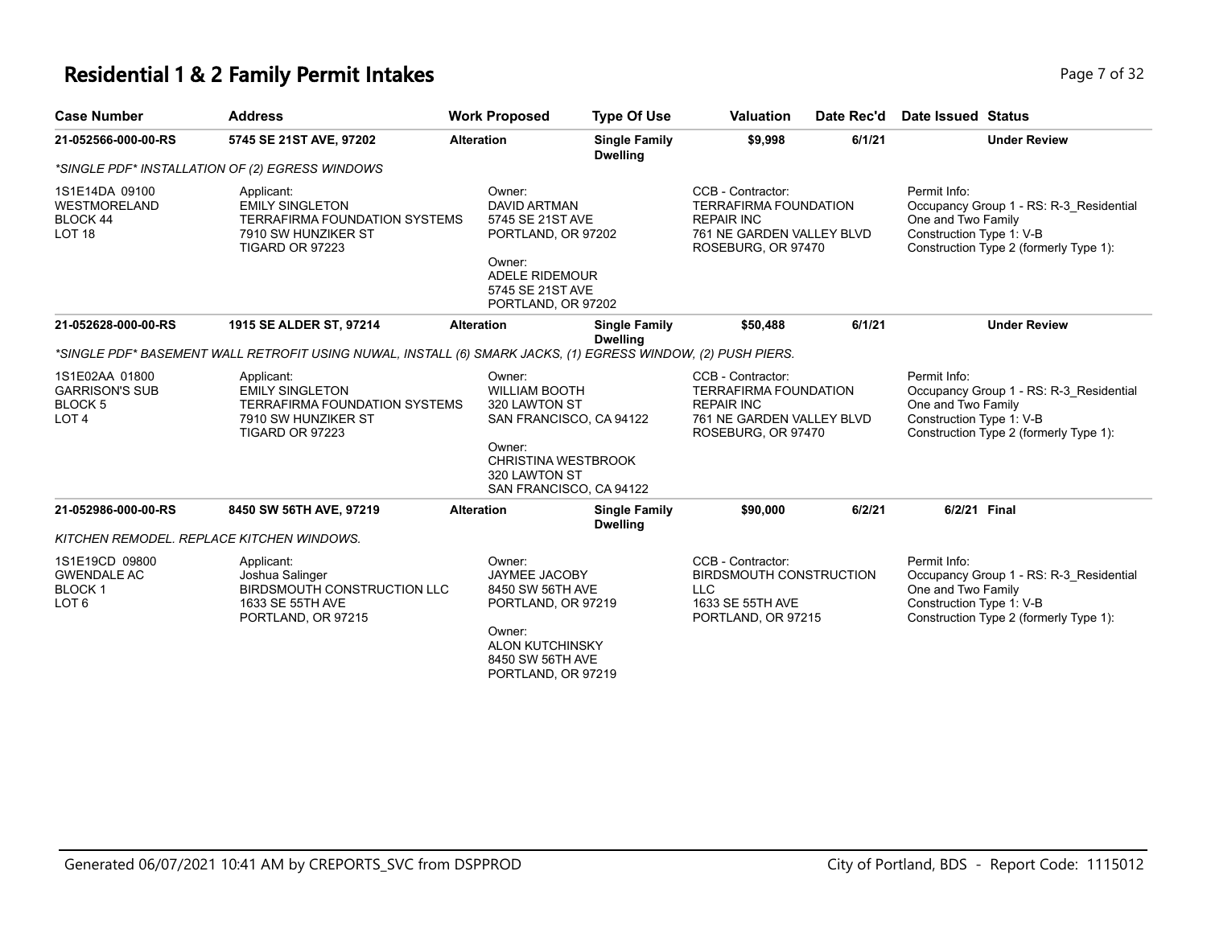### **Residential 1 & 2 Family Permit Intakes Page 7 of 32 Page 7 of 32**

| <b>Case Number</b>                                                                | <b>Address</b>                                                                                                         | <b>Work Proposed</b> | <b>Type Of Use</b>                                                                                                                         | <b>Valuation</b>                                                                                                          | Date Rec'd | Date Issued Status                                                                                                                                  |
|-----------------------------------------------------------------------------------|------------------------------------------------------------------------------------------------------------------------|----------------------|--------------------------------------------------------------------------------------------------------------------------------------------|---------------------------------------------------------------------------------------------------------------------------|------------|-----------------------------------------------------------------------------------------------------------------------------------------------------|
| 21-052566-000-00-RS                                                               | 5745 SE 21ST AVE, 97202                                                                                                | <b>Alteration</b>    | <b>Single Family</b><br><b>Dwelling</b>                                                                                                    | \$9,998                                                                                                                   | 6/1/21     | <b>Under Review</b>                                                                                                                                 |
|                                                                                   | *SINGLE PDF* INSTALLATION OF (2) EGRESS WINDOWS                                                                        |                      |                                                                                                                                            |                                                                                                                           |            |                                                                                                                                                     |
| 1S1E14DA 09100<br>WESTMORELAND<br>BLOCK 44<br><b>LOT 18</b>                       | Applicant:<br><b>EMILY SINGLETON</b><br><b>TERRAFIRMA FOUNDATION SYSTEMS</b><br>7910 SW HUNZIKER ST<br>TIGARD OR 97223 | Owner:<br>Owner:     | <b>DAVID ARTMAN</b><br>5745 SE 21ST AVE<br>PORTLAND, OR 97202<br>ADELE RIDEMOUR<br>5745 SE 21ST AVE<br>PORTLAND, OR 97202                  | CCB - Contractor:<br><b>TERRAFIRMA FOUNDATION</b><br><b>REPAIR INC</b><br>761 NE GARDEN VALLEY BLVD<br>ROSEBURG, OR 97470 |            | Permit Info:<br>Occupancy Group 1 - RS: R-3 Residential<br>One and Two Family<br>Construction Type 1: V-B<br>Construction Type 2 (formerly Type 1): |
| 21-052628-000-00-RS                                                               | 1915 SE ALDER ST, 97214                                                                                                | <b>Alteration</b>    | <b>Single Family</b><br><b>Dwelling</b>                                                                                                    | \$50,488                                                                                                                  | 6/1/21     | <b>Under Review</b>                                                                                                                                 |
|                                                                                   | *SINGLE PDF* BASEMENT WALL RETROFIT USING NUWAL, INSTALL (6) SMARK JACKS, (1) EGRESS WINDOW, (2) PUSH PIERS.           |                      |                                                                                                                                            |                                                                                                                           |            |                                                                                                                                                     |
| 1S1E02AA 01800<br><b>GARRISON'S SUB</b><br>BLOCK <sub>5</sub><br>LOT <sub>4</sub> | Applicant:<br><b>EMILY SINGLETON</b><br><b>TERRAFIRMA FOUNDATION SYSTEMS</b><br>7910 SW HUNZIKER ST<br>TIGARD OR 97223 | Owner:<br>Owner:     | <b>WILLIAM BOOTH</b><br>320 LAWTON ST<br>SAN FRANCISCO, CA 94122<br><b>CHRISTINA WESTBROOK</b><br>320 LAWTON ST<br>SAN FRANCISCO, CA 94122 | CCB - Contractor:<br><b>TERRAFIRMA FOUNDATION</b><br><b>REPAIR INC</b><br>761 NE GARDEN VALLEY BLVD<br>ROSEBURG, OR 97470 |            | Permit Info:<br>Occupancy Group 1 - RS: R-3 Residential<br>One and Two Family<br>Construction Type 1: V-B<br>Construction Type 2 (formerly Type 1): |
| 21-052986-000-00-RS                                                               | 8450 SW 56TH AVE, 97219                                                                                                | <b>Alteration</b>    | <b>Single Family</b><br><b>Dwelling</b>                                                                                                    | \$90,000                                                                                                                  | 6/2/21     | 6/2/21 Final                                                                                                                                        |
|                                                                                   | KITCHEN REMODEL. REPLACE KITCHEN WINDOWS.                                                                              |                      |                                                                                                                                            |                                                                                                                           |            |                                                                                                                                                     |
| 1S1E19CD 09800<br><b>GWENDALE AC</b><br><b>BLOCK1</b><br>LOT <sub>6</sub>         | Applicant:<br>Joshua Salinger<br><b>BIRDSMOUTH CONSTRUCTION LLC</b><br>1633 SE 55TH AVE<br>PORTLAND, OR 97215          | Owner:<br>Owner:     | <b>JAYMEE JACOBY</b><br>8450 SW 56TH AVE<br>PORTLAND, OR 97219<br>ALON KUTCHINSKY<br>8450 SW 56TH AVE<br>PORTLAND, OR 97219                | CCB - Contractor:<br>BIRDSMOUTH CONSTRUCTION<br><b>LLC</b><br>1633 SE 55TH AVE<br>PORTLAND, OR 97215                      |            | Permit Info:<br>Occupancy Group 1 - RS: R-3 Residential<br>One and Two Family<br>Construction Type 1: V-B<br>Construction Type 2 (formerly Type 1): |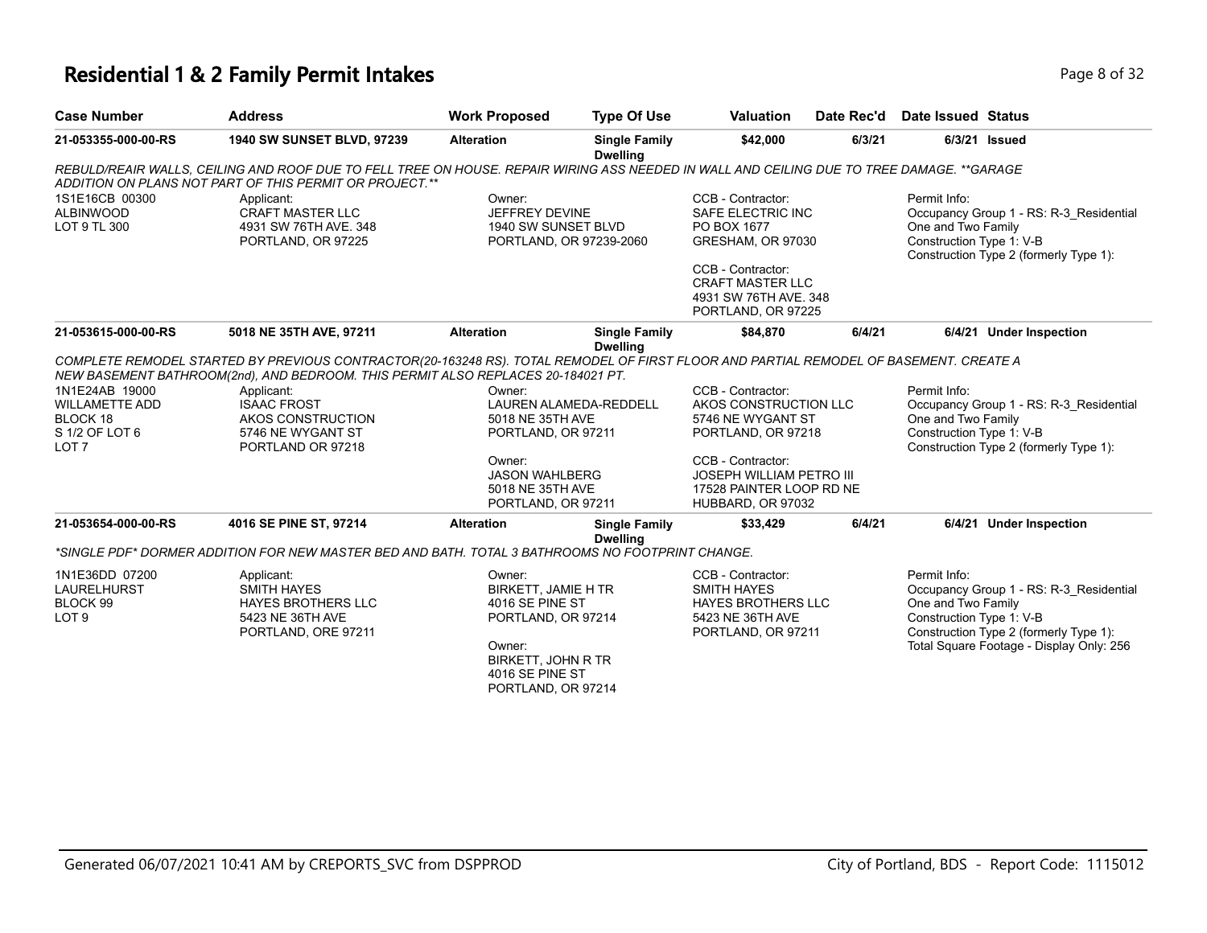### **Residential 1 & 2 Family Permit Intakes Page 1 and 2 and 2 and 2 and 2 and 2 and 2 and 2 and 2 and 2 and 2 and 2 and 2 and 2 and 2 and 2 and 2 and 2 and 2 and 2 and 2 and 2 and 2 and 2 and 2 and 2 and 2 and 2 and 2 and**

| <b>Case Number</b>                                                   | <b>Address</b>                                                                                                                                                                                                                                                                     | <b>Work Proposed</b>                                                                                                                                   | <b>Type Of Use</b>                                                                              | <b>Valuation</b>                                                                                               | Date Rec'd                                                     | Date Issued Status                                                                |                                                                                                                               |
|----------------------------------------------------------------------|------------------------------------------------------------------------------------------------------------------------------------------------------------------------------------------------------------------------------------------------------------------------------------|--------------------------------------------------------------------------------------------------------------------------------------------------------|-------------------------------------------------------------------------------------------------|----------------------------------------------------------------------------------------------------------------|----------------------------------------------------------------|-----------------------------------------------------------------------------------|-------------------------------------------------------------------------------------------------------------------------------|
| 21-053355-000-00-RS                                                  | 1940 SW SUNSET BLVD, 97239                                                                                                                                                                                                                                                         | <b>Alteration</b>                                                                                                                                      | <b>Single Family</b><br><b>Dwelling</b>                                                         | \$42,000                                                                                                       | 6/3/21                                                         |                                                                                   | 6/3/21 Issued                                                                                                                 |
|                                                                      | REBULD/REAIR WALLS. CEILING AND ROOF DUE TO FELL TREE ON HOUSE. REPAIR WIRING ASS NEEDED IN WALL AND CEILING DUE TO TREE DAMAGE. **GARAGE<br>ADDITION ON PLANS NOT PART OF THIS PERMIT OR PROJECT.**                                                                               |                                                                                                                                                        |                                                                                                 |                                                                                                                |                                                                |                                                                                   |                                                                                                                               |
| 1S1E16CB 00300<br><b>ALBINWOOD</b><br>LOT 9 TL 300                   | Applicant:<br>Owner:<br>JEFFREY DEVINE<br><b>CRAFT MASTER LLC</b><br>4931 SW 76TH AVE. 348<br>1940 SW SUNSET BLVD<br>PORTLAND, OR 97225<br>PORTLAND, OR 97239-2060                                                                                                                 |                                                                                                                                                        | CCB - Contractor:<br>SAFE ELECTRIC INC<br>PO BOX 1677<br>GRESHAM, OR 97030<br>CCB - Contractor: |                                                                                                                | Permit Info:<br>One and Two Family<br>Construction Type 1: V-B | Occupancy Group 1 - RS: R-3 Residential<br>Construction Type 2 (formerly Type 1): |                                                                                                                               |
|                                                                      |                                                                                                                                                                                                                                                                                    |                                                                                                                                                        |                                                                                                 | <b>CRAFT MASTER LLC</b><br>4931 SW 76TH AVE, 348<br>PORTLAND, OR 97225                                         |                                                                |                                                                                   |                                                                                                                               |
| 21-053615-000-00-RS                                                  | 5018 NE 35TH AVE, 97211                                                                                                                                                                                                                                                            | <b>Alteration</b>                                                                                                                                      | <b>Single Family</b>                                                                            | \$84.870                                                                                                       | 6/4/21                                                         |                                                                                   | 6/4/21 Under Inspection                                                                                                       |
| 1N1E24AB 19000<br><b>WILLAMETTE ADD</b><br>BLOCK 18                  | COMPLETE REMODEL STARTED BY PREVIOUS CONTRACTOR(20-163248 RS). TOTAL REMODEL OF FIRST FLOOR AND PARTIAL REMODEL OF BASEMENT. CREATE A<br>NEW BASEMENT BATHROOM(2nd), AND BEDROOM. THIS PERMIT ALSO REPLACES 20-184021 PT.<br>Applicant:<br><b>ISAAC FROST</b><br>AKOS CONSTRUCTION | Owner:<br>5018 NE 35TH AVE                                                                                                                             | <b>Dwelling</b><br>LAUREN ALAMEDA-REDDELL                                                       | CCB - Contractor:<br>AKOS CONSTRUCTION LLC<br>5746 NE WYGANT ST                                                |                                                                | Permit Info:<br>One and Two Family                                                | Occupancy Group 1 - RS: R-3 Residential                                                                                       |
| S 1/2 OF LOT 6<br>LOT <sub>7</sub>                                   | 5746 NE WYGANT ST<br>PORTLAND OR 97218                                                                                                                                                                                                                                             | PORTLAND, OR 97211                                                                                                                                     |                                                                                                 | PORTLAND, OR 97218                                                                                             |                                                                | Construction Type 1: V-B<br>Construction Type 2 (formerly Type 1):                |                                                                                                                               |
|                                                                      |                                                                                                                                                                                                                                                                                    | Owner:<br><b>JASON WAHLBERG</b><br>5018 NE 35TH AVE<br>PORTLAND, OR 97211                                                                              |                                                                                                 | CCB - Contractor:<br><b>JOSEPH WILLIAM PETRO III</b><br>17528 PAINTER LOOP RD NE<br>HUBBARD, OR 97032          |                                                                |                                                                                   |                                                                                                                               |
| 21-053654-000-00-RS                                                  | 4016 SE PINE ST, 97214                                                                                                                                                                                                                                                             | <b>Alteration</b>                                                                                                                                      | <b>Single Family</b>                                                                            | \$33,429                                                                                                       | 6/4/21                                                         |                                                                                   | 6/4/21 Under Inspection                                                                                                       |
|                                                                      | "SINGLE PDF" DORMER ADDITION FOR NEW MASTER BED AND BATH. TOTAL 3 BATHROOMS NO FOOTPRINT CHANGE.                                                                                                                                                                                   |                                                                                                                                                        | <b>Dwelling</b>                                                                                 |                                                                                                                |                                                                |                                                                                   |                                                                                                                               |
| 1N1E36DD 07200<br><b>LAURELHURST</b><br>BLOCK 99<br>LOT <sub>9</sub> | Applicant:<br><b>SMITH HAYES</b><br><b>HAYES BROTHERS LLC</b><br>5423 NE 36TH AVE<br>PORTLAND, ORE 97211                                                                                                                                                                           | Owner:<br>BIRKETT, JAMIE H TR<br>4016 SE PINE ST<br>PORTLAND, OR 97214<br>Owner:<br><b>BIRKETT, JOHN R TR</b><br>4016 SE PINE ST<br>PORTLAND, OR 97214 |                                                                                                 | CCB - Contractor:<br><b>SMITH HAYES</b><br><b>HAYES BROTHERS LLC</b><br>5423 NE 36TH AVE<br>PORTLAND, OR 97211 |                                                                | Permit Info:<br>One and Two Family<br>Construction Type 1: V-B                    | Occupancy Group 1 - RS: R-3_Residential<br>Construction Type 2 (formerly Type 1):<br>Total Square Footage - Display Only: 256 |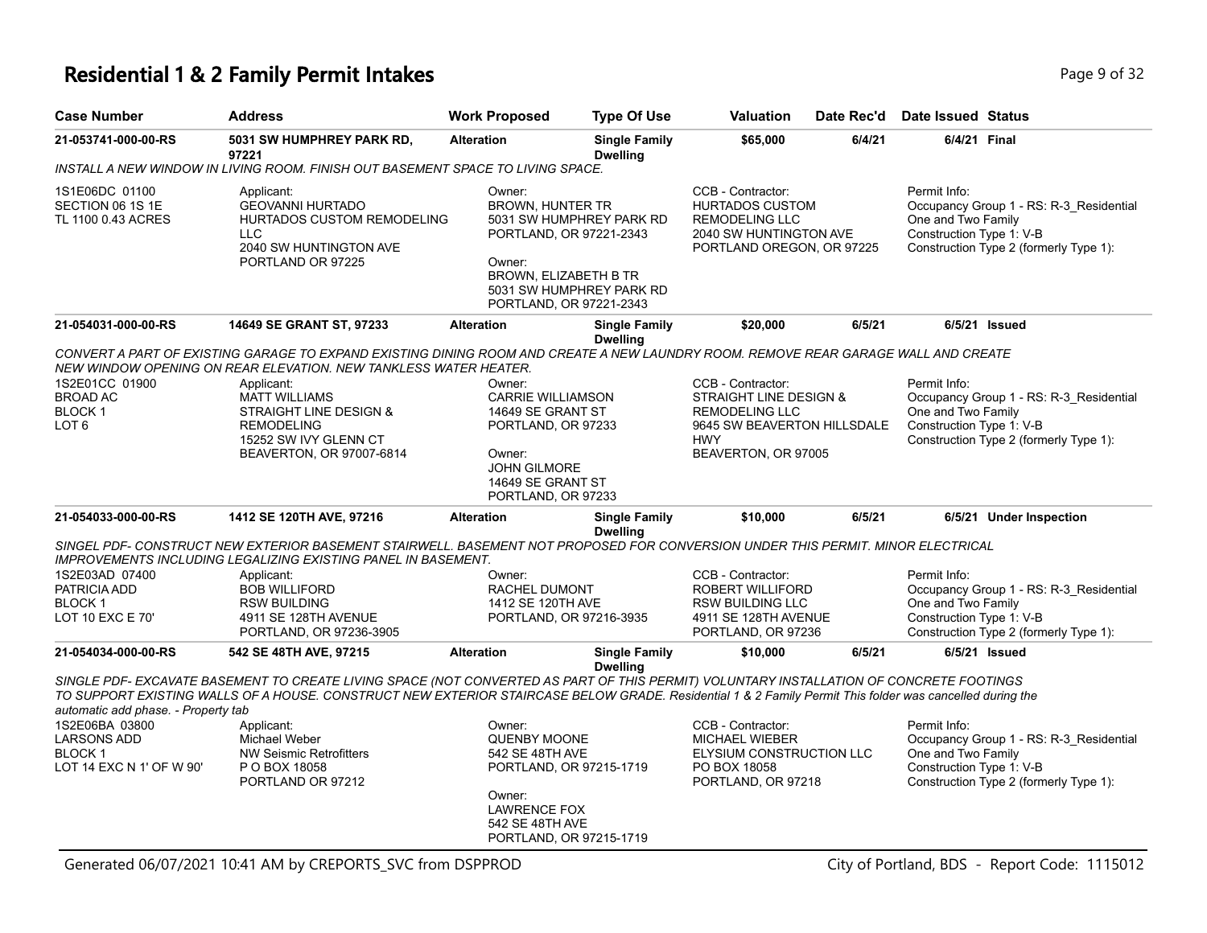### **Residential 1 & 2 Family Permit Intakes Page 1 and Security Page 9 of 32**

| <b>Case Number</b>                                                                | <b>Address</b>                                                                                                                                                                                                                                                                                                       | <b>Work Proposed</b>                                                                                                                                       | <b>Type Of Use</b>                                   | <b>Valuation</b>                                                                                                            | Date Rec'd | Date Issued Status                                                                                                                                  |
|-----------------------------------------------------------------------------------|----------------------------------------------------------------------------------------------------------------------------------------------------------------------------------------------------------------------------------------------------------------------------------------------------------------------|------------------------------------------------------------------------------------------------------------------------------------------------------------|------------------------------------------------------|-----------------------------------------------------------------------------------------------------------------------------|------------|-----------------------------------------------------------------------------------------------------------------------------------------------------|
| 21-053741-000-00-RS                                                               | 5031 SW HUMPHREY PARK RD,<br>97221                                                                                                                                                                                                                                                                                   | <b>Alteration</b>                                                                                                                                          | <b>Single Family</b><br><b>Dwelling</b>              | \$65,000                                                                                                                    | 6/4/21     | 6/4/21 Final                                                                                                                                        |
|                                                                                   | INSTALL A NEW WINDOW IN LIVING ROOM. FINISH OUT BASEMENT SPACE TO LIVING SPACE.                                                                                                                                                                                                                                      |                                                                                                                                                            |                                                      |                                                                                                                             |            |                                                                                                                                                     |
| 1S1E06DC 01100<br>SECTION 06 1S 1E<br>TL 1100 0.43 ACRES                          | Applicant:<br><b>GEOVANNI HURTADO</b><br>HURTADOS CUSTOM REMODELING<br><b>LLC</b><br>2040 SW HUNTINGTON AVE<br>PORTLAND OR 97225                                                                                                                                                                                     | Owner:<br><b>BROWN, HUNTER TR</b><br>PORTLAND, OR 97221-2343<br>Owner:<br>BROWN, ELIZABETH B TR<br>PORTLAND, OR 97221-2343                                 | 5031 SW HUMPHREY PARK RD<br>5031 SW HUMPHREY PARK RD | CCB - Contractor:<br><b>HURTADOS CUSTOM</b><br><b>REMODELING LLC</b><br>2040 SW HUNTINGTON AVE<br>PORTLAND OREGON, OR 97225 |            | Permit Info:<br>Occupancy Group 1 - RS: R-3 Residential<br>One and Two Family<br>Construction Type 1: V-B<br>Construction Type 2 (formerly Type 1): |
| 21-054031-000-00-RS                                                               | 14649 SE GRANT ST, 97233                                                                                                                                                                                                                                                                                             | <b>Alteration</b>                                                                                                                                          | <b>Single Family</b><br><b>Dwelling</b>              | \$20,000                                                                                                                    | 6/5/21     | $6/5/21$ Issued                                                                                                                                     |
| 1S2E01CC 01900<br><b>BROAD AC</b><br><b>BLOCK1</b><br>LOT <sub>6</sub>            | CONVERT A PART OF EXISTING GARAGE TO EXPAND EXISTING DINING ROOM AND CREATE A NEW LAUNDRY ROOM. REMOVE REAR GARAGE WALL AND CREATE<br>NEW WINDOW OPENING ON REAR ELEVATION. NEW TANKLESS WATER HEATER.<br>Applicant:<br><b>MATT WILLIAMS</b><br>STRAIGHT LINE DESIGN &<br><b>REMODELING</b><br>15252 SW IVY GLENN CT | Owner:<br><b>CARRIE WILLIAMSON</b><br>14649 SE GRANT ST<br>PORTLAND, OR 97233                                                                              |                                                      | CCB - Contractor:<br>STRAIGHT LINE DESIGN &<br><b>REMODELING LLC</b><br>9645 SW BEAVERTON HILLSDALE<br><b>HWY</b>           |            | Permit Info:<br>Occupancy Group 1 - RS: R-3_Residential<br>One and Two Family<br>Construction Type 1: V-B<br>Construction Type 2 (formerly Type 1): |
| 21-054033-000-00-RS                                                               | BEAVERTON, OR 97007-6814<br>1412 SE 120TH AVE, 97216                                                                                                                                                                                                                                                                 | Owner:<br><b>JOHN GILMORE</b><br>14649 SE GRANT ST<br>PORTLAND, OR 97233<br><b>Alteration</b>                                                              | <b>Single Family</b>                                 | BEAVERTON, OR 97005<br>\$10,000                                                                                             | 6/5/21     | 6/5/21 Under Inspection                                                                                                                             |
|                                                                                   | SINGEL PDF- CONSTRUCT NEW EXTERIOR BASEMENT STAIRWELL. BASEMENT NOT PROPOSED FOR CONVERSION UNDER THIS PERMIT. MINOR ELECTRICAL                                                                                                                                                                                      |                                                                                                                                                            | <b>Dwelling</b>                                      |                                                                                                                             |            |                                                                                                                                                     |
|                                                                                   | <b>IMPROVEMENTS INCLUDING LEGALIZING EXISTING PANEL IN BASEMENT.</b>                                                                                                                                                                                                                                                 |                                                                                                                                                            |                                                      |                                                                                                                             |            |                                                                                                                                                     |
| 1S2E03AD 07400<br>PATRICIA ADD<br><b>BLOCK1</b><br>LOT 10 EXC E 70'               | Applicant:<br><b>BOB WILLIFORD</b><br><b>RSW BUILDING</b><br>4911 SE 128TH AVENUE<br>PORTLAND, OR 97236-3905                                                                                                                                                                                                         | Owner:<br>RACHEL DUMONT<br>1412 SE 120TH AVE<br>PORTLAND, OR 97216-3935                                                                                    |                                                      | CCB - Contractor:<br>ROBERT WILLIFORD<br><b>RSW BUILDING LLC</b><br>4911 SE 128TH AVENUE<br>PORTLAND, OR 97236              |            | Permit Info:<br>Occupancy Group 1 - RS: R-3_Residential<br>One and Two Family<br>Construction Type 1: V-B<br>Construction Type 2 (formerly Type 1): |
| 21-054034-000-00-RS                                                               | 542 SE 48TH AVE, 97215                                                                                                                                                                                                                                                                                               | <b>Alteration</b>                                                                                                                                          | <b>Single Family</b><br><b>Dwelling</b>              | \$10,000                                                                                                                    | 6/5/21     | $6/5/21$ Issued                                                                                                                                     |
| automatic add phase. - Property tab                                               | SINGLE PDF- EXCAVATE BASEMENT TO CREATE LIVING SPACE (NOT CONVERTED AS PART OF THIS PERMIT) VOLUNTARY INSTALLATION OF CONCRETE FOOTINGS<br>TO SUPPORT EXISTING WALLS OF A HOUSE. CONSTRUCT NEW EXTERIOR STAIRCASE BELOW GRADE. Residential 1 & 2 Family Permit This folder was cancelled during the                  |                                                                                                                                                            |                                                      |                                                                                                                             |            |                                                                                                                                                     |
| 1S2E06BA 03800<br><b>LARSONS ADD</b><br><b>BLOCK1</b><br>LOT 14 EXC N 1' OF W 90' | Applicant:<br>Michael Weber<br><b>NW Seismic Retrofitters</b><br>P O BOX 18058<br>PORTLAND OR 97212                                                                                                                                                                                                                  | Owner:<br><b>QUENBY MOONE</b><br>542 SE 48TH AVE<br>PORTLAND, OR 97215-1719<br>Owner:<br><b>LAWRENCE FOX</b><br>542 SE 48TH AVE<br>PORTLAND, OR 97215-1719 |                                                      | CCB - Contractor:<br><b>MICHAEL WIEBER</b><br>ELYSIUM CONSTRUCTION LLC<br>PO BOX 18058<br>PORTLAND, OR 97218                |            | Permit Info:<br>Occupancy Group 1 - RS: R-3 Residential<br>One and Two Family<br>Construction Type 1: V-B<br>Construction Type 2 (formerly Type 1): |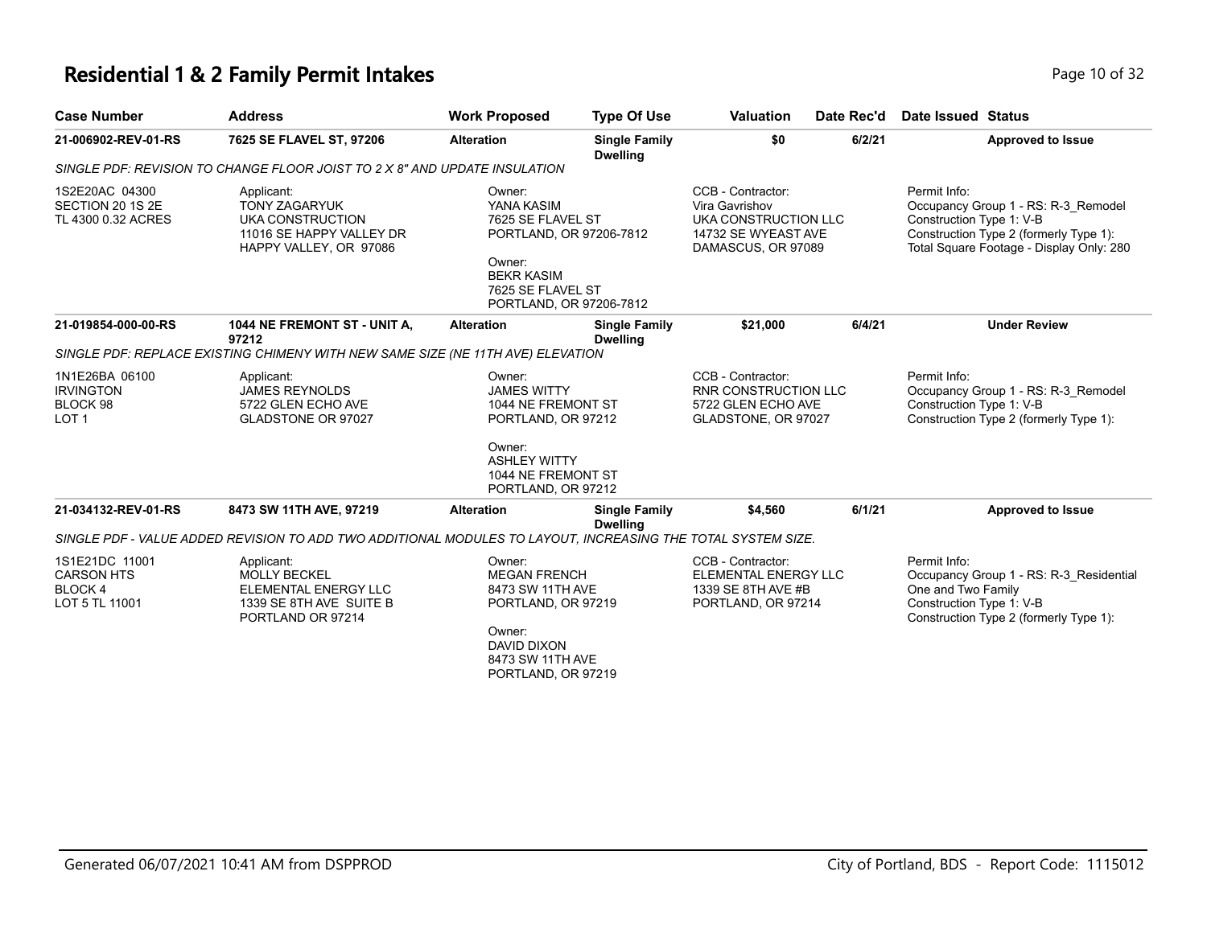### **Residential 1 & 2 Family Permit Intakes Page 10 of 32 Page 10 of 32**

| <b>Case Number</b>                                                 | <b>Address</b>                                                                                                                          | <b>Work Proposed</b>                                                                                                                                | <b>Type Of Use</b>                      | <b>Valuation</b>                                                                                         | Date Rec'd | <b>Date Issued Status</b>                                                                                                                                             |                          |
|--------------------------------------------------------------------|-----------------------------------------------------------------------------------------------------------------------------------------|-----------------------------------------------------------------------------------------------------------------------------------------------------|-----------------------------------------|----------------------------------------------------------------------------------------------------------|------------|-----------------------------------------------------------------------------------------------------------------------------------------------------------------------|--------------------------|
| 21-006902-REV-01-RS                                                | 7625 SE FLAVEL ST, 97206                                                                                                                | <b>Alteration</b>                                                                                                                                   | <b>Single Family</b><br><b>Dwelling</b> | \$0                                                                                                      | 6/2/21     |                                                                                                                                                                       | <b>Approved to Issue</b> |
|                                                                    | SINGLE PDF: REVISION TO CHANGE FLOOR JOIST TO 2 X 8" AND UPDATE INSULATION                                                              |                                                                                                                                                     |                                         |                                                                                                          |            |                                                                                                                                                                       |                          |
| 1S2E20AC 04300<br>SECTION 20 1S 2E<br>TL 4300 0.32 ACRES           | Applicant:<br><b>TONY ZAGARYUK</b><br>UKA CONSTRUCTION<br>11016 SE HAPPY VALLEY DR<br>HAPPY VALLEY, OR 97086                            | Owner:<br>YANA KASIM<br>7625 SE FLAVEL ST<br>PORTLAND, OR 97206-7812<br>Owner:<br><b>BEKR KASIM</b><br>7625 SE FLAVEL ST<br>PORTLAND, OR 97206-7812 |                                         | CCB - Contractor:<br>Vira Gavrishov<br>UKA CONSTRUCTION LLC<br>14732 SE WYEAST AVE<br>DAMASCUS, OR 97089 |            | Permit Info:<br>Occupancy Group 1 - RS: R-3 Remodel<br>Construction Type 1: V-B<br>Construction Type 2 (formerly Type 1):<br>Total Square Footage - Display Only: 280 |                          |
| 21-019854-000-00-RS                                                | 1044 NE FREMONT ST - UNIT A,<br>97212                                                                                                   | <b>Alteration</b>                                                                                                                                   | <b>Single Family</b><br><b>Dwelling</b> | \$21.000                                                                                                 | 6/4/21     | <b>Under Review</b>                                                                                                                                                   |                          |
|                                                                    | SINGLE PDF: REPLACE EXISTING CHIMENY WITH NEW SAME SIZE (NE 11TH AVE) ELEVATION                                                         |                                                                                                                                                     |                                         |                                                                                                          |            |                                                                                                                                                                       |                          |
| 1N1E26BA 06100<br><b>IRVINGTON</b><br>BLOCK 98<br>LOT <sub>1</sub> | Applicant:<br><b>JAMES REYNOLDS</b><br>5722 GLEN ECHO AVE<br><b>GLADSTONE OR 97027</b>                                                  | Owner:<br><b>JAMES WITTY</b><br>1044 NE FREMONT ST<br>PORTLAND, OR 97212<br>Owner:<br><b>ASHLEY WITTY</b><br>1044 NE FREMONT ST                     |                                         | CCB - Contractor:<br>RNR CONSTRUCTION LLC<br>5722 GLEN ECHO AVE<br>GLADSTONE, OR 97027                   |            | Permit Info:<br>Occupancy Group 1 - RS: R-3 Remodel<br>Construction Type 1: V-B<br>Construction Type 2 (formerly Type 1):                                             |                          |
|                                                                    |                                                                                                                                         | PORTLAND, OR 97212                                                                                                                                  |                                         |                                                                                                          |            |                                                                                                                                                                       |                          |
| 21-034132-REV-01-RS                                                | 8473 SW 11TH AVE, 97219<br>SINGLE PDF - VALUE ADDED REVISION TO ADD TWO ADDITIONAL MODULES TO LAYOUT, INCREASING THE TOTAL SYSTEM SIZE. | <b>Alteration</b>                                                                                                                                   | <b>Single Family</b><br><b>Dwelling</b> | \$4,560                                                                                                  | 6/1/21     |                                                                                                                                                                       | <b>Approved to Issue</b> |
| 1S1E21DC 11001<br><b>CARSON HTS</b><br>BLOCK 4<br>LOT 5 TL 11001   | Applicant:<br><b>MOLLY BECKEL</b><br>ELEMENTAL ENERGY LLC<br>1339 SE 8TH AVE SUITE B<br>PORTLAND OR 97214                               | Owner:<br><b>MEGAN FRENCH</b><br>8473 SW 11TH AVE<br>PORTLAND, OR 97219<br>Owner:<br><b>DAVID DIXON</b><br>8473 SW 11TH AVE<br>PORTLAND, OR 97219   |                                         | CCB - Contractor:<br>ELEMENTAL ENERGY LLC<br>1339 SE 8TH AVE #B<br>PORTLAND, OR 97214                    |            | Permit Info:<br>Occupancy Group 1 - RS: R-3 Residential<br>One and Two Family<br>Construction Type 1: V-B<br>Construction Type 2 (formerly Type 1):                   |                          |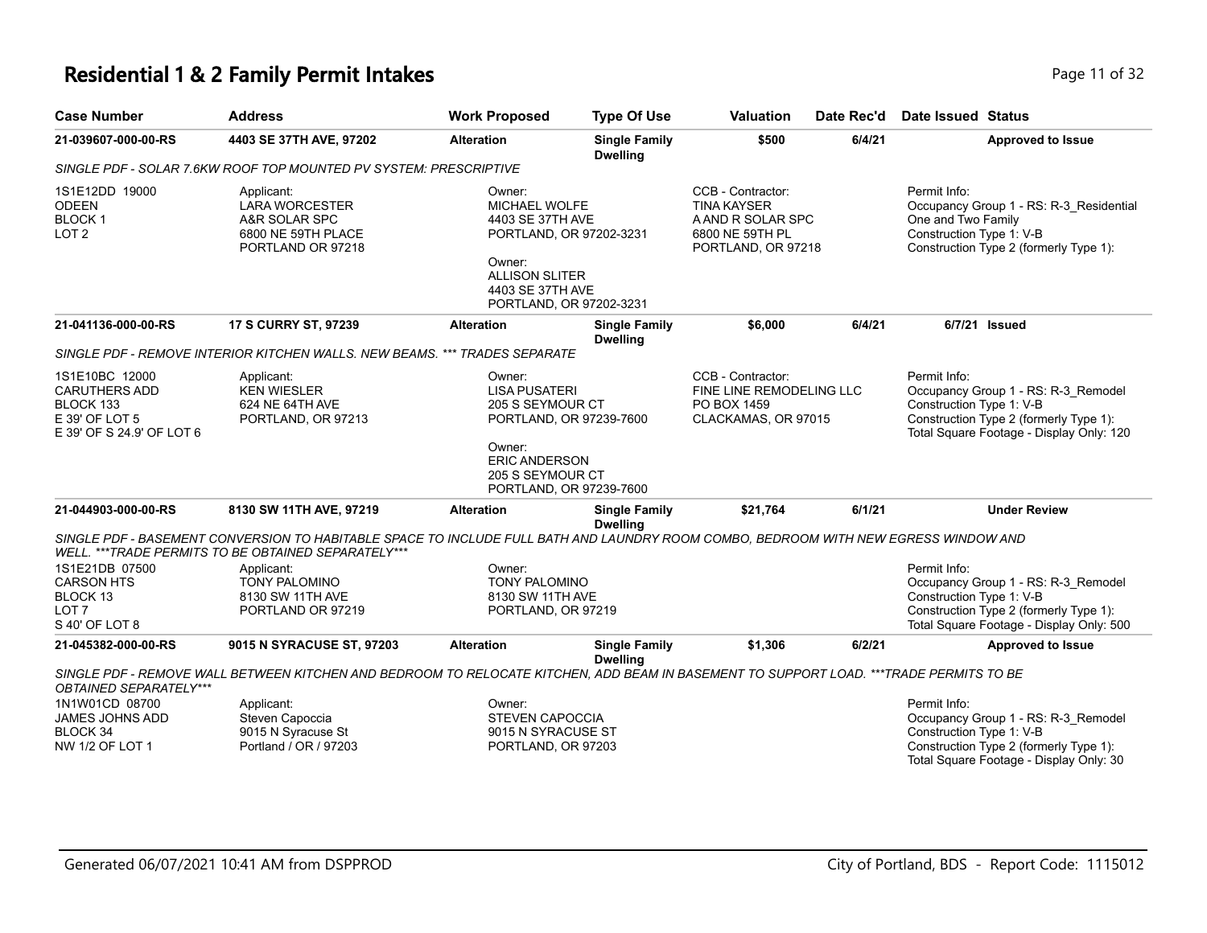#### **Residential 1 & 2 Family Permit Intakes Page 11 of 32 Page 11 of 32**

| <b>Case Number</b>                                                                                 | <b>Address</b>                                                                                                                                                                              | <b>Work Proposed</b>                                                                                                                                           | <b>Type Of Use</b>                      | <b>Valuation</b>                                                                                      | Date Rec'd | <b>Date Issued Status</b>                                                                                                                                             |
|----------------------------------------------------------------------------------------------------|---------------------------------------------------------------------------------------------------------------------------------------------------------------------------------------------|----------------------------------------------------------------------------------------------------------------------------------------------------------------|-----------------------------------------|-------------------------------------------------------------------------------------------------------|------------|-----------------------------------------------------------------------------------------------------------------------------------------------------------------------|
| 21-039607-000-00-RS                                                                                | 4403 SE 37TH AVE, 97202                                                                                                                                                                     | <b>Alteration</b>                                                                                                                                              | <b>Single Family</b><br><b>Dwelling</b> | \$500                                                                                                 | 6/4/21     | <b>Approved to Issue</b>                                                                                                                                              |
|                                                                                                    | SINGLE PDF - SOLAR 7.6KW ROOF TOP MOUNTED PV SYSTEM: PRESCRIPTIVE                                                                                                                           |                                                                                                                                                                |                                         |                                                                                                       |            |                                                                                                                                                                       |
| 1S1E12DD 19000<br><b>ODEEN</b><br><b>BLOCK1</b><br>LOT <sub>2</sub>                                | Applicant:<br><b>LARA WORCESTER</b><br>A&R SOLAR SPC<br>6800 NE 59TH PLACE<br>PORTLAND OR 97218                                                                                             | Owner:<br>MICHAEL WOLFE<br>4403 SE 37TH AVE<br>PORTLAND, OR 97202-3231<br>Owner:<br><b>ALLISON SLITER</b><br>4403 SE 37TH AVE<br>PORTLAND, OR 97202-3231       |                                         | CCB - Contractor:<br><b>TINA KAYSER</b><br>A AND R SOLAR SPC<br>6800 NE 59TH PL<br>PORTLAND, OR 97218 |            | Permit Info:<br>Occupancy Group 1 - RS: R-3_Residential<br>One and Two Family<br>Construction Type 1: V-B<br>Construction Type 2 (formerly Type 1):                   |
| 21-041136-000-00-RS                                                                                | <b>17 S CURRY ST, 97239</b>                                                                                                                                                                 | <b>Alteration</b>                                                                                                                                              | <b>Single Family</b><br><b>Dwelling</b> | \$6,000                                                                                               | 6/4/21     | 6/7/21 Issued                                                                                                                                                         |
|                                                                                                    | SINGLE PDF - REMOVE INTERIOR KITCHEN WALLS. NEW BEAMS. *** TRADES SEPARATE                                                                                                                  |                                                                                                                                                                |                                         |                                                                                                       |            |                                                                                                                                                                       |
| 1S1E10BC 12000<br><b>CARUTHERS ADD</b><br>BLOCK 133<br>E 39' OF LOT 5<br>E 39' OF S 24.9' OF LOT 6 | Applicant:<br><b>KEN WIESLER</b><br>624 NE 64TH AVE<br>PORTLAND, OR 97213                                                                                                                   | Owner:<br><b>LISA PUSATERI</b><br>205 S SEYMOUR CT<br>PORTLAND, OR 97239-7600<br>Owner:<br><b>ERIC ANDERSON</b><br>205 S SEYMOUR CT<br>PORTLAND, OR 97239-7600 |                                         | CCB - Contractor:<br>FINE LINE REMODELING LLC<br>PO BOX 1459<br>CLACKAMAS, OR 97015                   |            | Permit Info:<br>Occupancy Group 1 - RS: R-3_Remodel<br>Construction Type 1: V-B<br>Construction Type 2 (formerly Type 1):<br>Total Square Footage - Display Only: 120 |
| 21-044903-000-00-RS                                                                                | 8130 SW 11TH AVE, 97219                                                                                                                                                                     | <b>Alteration</b>                                                                                                                                              | <b>Single Family</b><br><b>Dwelling</b> | \$21.764                                                                                              | 6/1/21     | <b>Under Review</b>                                                                                                                                                   |
|                                                                                                    | SINGLE PDF - BASEMENT CONVERSION TO HABITABLE SPACE TO INCLUDE FULL BATH AND LAUNDRY ROOM COMBO, BEDROOM WITH NEW EGRESS WINDOW AND<br>WELL. *** TRADE PERMITS TO BE OBTAINED SEPARATELY*** |                                                                                                                                                                |                                         |                                                                                                       |            |                                                                                                                                                                       |
| 1S1E21DB 07500<br><b>CARSON HTS</b><br>BLOCK 13<br>LOT <sub>7</sub><br>S 40' OF LOT 8              | Applicant:<br><b>TONY PALOMINO</b><br>8130 SW 11TH AVE<br>PORTLAND OR 97219                                                                                                                 | Owner:<br><b>TONY PALOMINO</b><br>8130 SW 11TH AVE<br>PORTLAND, OR 97219                                                                                       |                                         |                                                                                                       |            | Permit Info:<br>Occupancy Group 1 - RS: R-3_Remodel<br>Construction Type 1: V-B<br>Construction Type 2 (formerly Type 1):<br>Total Square Footage - Display Only: 500 |
| 21-045382-000-00-RS                                                                                | 9015 N SYRACUSE ST, 97203                                                                                                                                                                   | <b>Alteration</b>                                                                                                                                              | <b>Single Family</b><br><b>Dwelling</b> | \$1,306                                                                                               | 6/2/21     | <b>Approved to Issue</b>                                                                                                                                              |
| OBTAINED SEPARATELY***                                                                             | SINGLE PDF - REMOVE WALL BETWEEN KITCHEN AND BEDROOM TO RELOCATE KITCHEN, ADD BEAM IN BASEMENT TO SUPPORT LOAD. ***TRADE PERMITS TO BE                                                      |                                                                                                                                                                |                                         |                                                                                                       |            |                                                                                                                                                                       |
| 1N1W01CD 08700<br>JAMES JOHNS ADD                                                                  | Applicant:<br>Steven Capoccia                                                                                                                                                               | Owner:<br><b>STEVEN CAPOCCIA</b>                                                                                                                               |                                         |                                                                                                       |            | Permit Info:<br>Occupancy Group 1 - RS: R-3_Remodel                                                                                                                   |

9015 N SYRACUSE ST PORTLAND, OR 97203 Occupancy Group 1 - RS: R-3\_Remodel Construction Type 1: V-B Construction Type 2 (formerly Type 1): Total Square Footage - Display Only: 30

BLOCK 34 NW 1/2 OF LOT 1 9015 N Syracuse St Portland / OR / 97203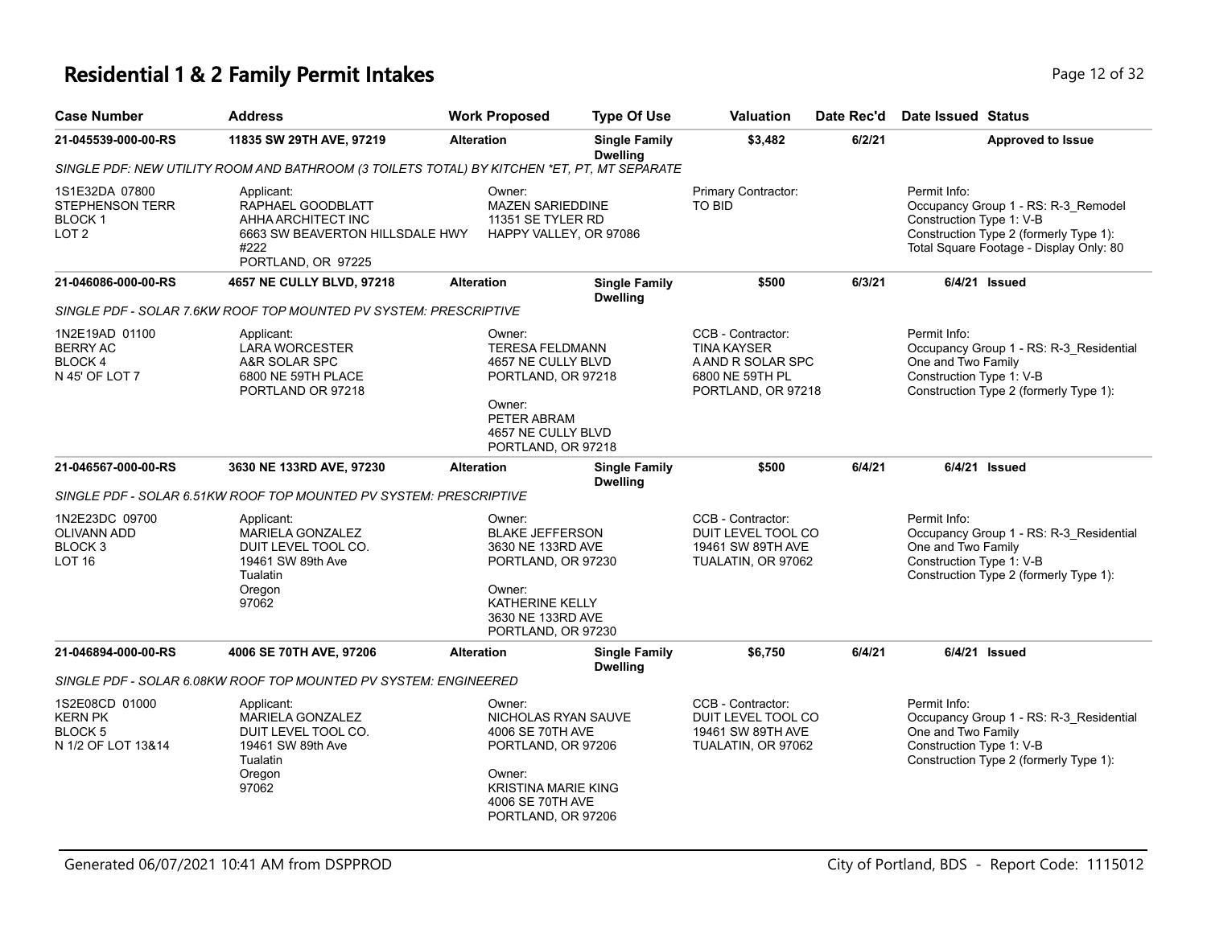# **Residential 1 & 2 Family Permit Intakes Page 12 of 32** Page 12 of 32

| <b>Case Number</b>                                                                 | <b>Address</b>                                                                                                         | <b>Work Proposed</b>                                                                                                                                       | <b>Type Of Use</b>                      | <b>Valuation</b>                                                                                      | Date Rec'd | Date Issued Status                                                                                                                                                   |
|------------------------------------------------------------------------------------|------------------------------------------------------------------------------------------------------------------------|------------------------------------------------------------------------------------------------------------------------------------------------------------|-----------------------------------------|-------------------------------------------------------------------------------------------------------|------------|----------------------------------------------------------------------------------------------------------------------------------------------------------------------|
| 21-045539-000-00-RS                                                                | 11835 SW 29TH AVE, 97219                                                                                               | <b>Alteration</b>                                                                                                                                          | <b>Single Family</b><br><b>Dwelling</b> | \$3,482                                                                                               | 6/2/21     | <b>Approved to Issue</b>                                                                                                                                             |
|                                                                                    | SINGLE PDF: NEW UTILITY ROOM AND BATHROOM (3 TOILETS TOTAL) BY KITCHEN *ET, PT, MT SEPARATE                            |                                                                                                                                                            |                                         |                                                                                                       |            |                                                                                                                                                                      |
| 1S1E32DA 07800<br><b>STEPHENSON TERR</b><br>BLOCK <sub>1</sub><br>LOT <sub>2</sub> | Applicant:<br>RAPHAEL GOODBLATT<br>AHHA ARCHITECT INC<br>6663 SW BEAVERTON HILLSDALE HWY<br>#222<br>PORTLAND, OR 97225 | Owner:<br><b>MAZEN SARIEDDINE</b><br>11351 SE TYLER RD<br>HAPPY VALLEY, OR 97086                                                                           |                                         | Primary Contractor:<br>TO BID                                                                         |            | Permit Info:<br>Occupancy Group 1 - RS: R-3_Remodel<br>Construction Type 1: V-B<br>Construction Type 2 (formerly Type 1):<br>Total Square Footage - Display Only: 80 |
| 21-046086-000-00-RS                                                                | 4657 NE CULLY BLVD, 97218                                                                                              | <b>Alteration</b>                                                                                                                                          | <b>Single Family</b><br><b>Dwelling</b> | \$500                                                                                                 | 6/3/21     | 6/4/21 Issued                                                                                                                                                        |
|                                                                                    | SINGLE PDF - SOLAR 7.6KW ROOF TOP MOUNTED PV SYSTEM: PRESCRIPTIVE                                                      |                                                                                                                                                            |                                         |                                                                                                       |            |                                                                                                                                                                      |
| 1N2E19AD 01100<br><b>BERRY AC</b><br>BLOCK 4<br>N 45' OF LOT 7                     | Applicant:<br><b>LARA WORCESTER</b><br>A&R SOLAR SPC<br>6800 NE 59TH PLACE<br>PORTLAND OR 97218                        | Owner:<br><b>TERESA FELDMANN</b><br>4657 NE CULLY BLVD<br>PORTLAND, OR 97218<br>Owner:<br>PETER ABRAM<br>4657 NE CULLY BLVD<br>PORTLAND, OR 97218          |                                         | CCB - Contractor:<br><b>TINA KAYSER</b><br>A AND R SOLAR SPC<br>6800 NE 59TH PL<br>PORTLAND, OR 97218 |            | Permit Info:<br>Occupancy Group 1 - RS: R-3_Residential<br>One and Two Family<br>Construction Type 1: V-B<br>Construction Type 2 (formerly Type 1):                  |
| 21-046567-000-00-RS                                                                | 3630 NE 133RD AVE, 97230                                                                                               | <b>Alteration</b>                                                                                                                                          | <b>Single Family</b>                    | \$500                                                                                                 | 6/4/21     | $6/4/21$ Issued                                                                                                                                                      |
|                                                                                    | SINGLE PDF - SOLAR 6.51KW ROOF TOP MOUNTED PV SYSTEM: PRESCRIPTIVE                                                     |                                                                                                                                                            | <b>Dwelling</b>                         |                                                                                                       |            |                                                                                                                                                                      |
| 1N2E23DC 09700<br><b>OLIVANN ADD</b><br>BLOCK <sub>3</sub><br><b>LOT 16</b>        | Applicant:<br><b>MARIELA GONZALEZ</b><br>DUIT LEVEL TOOL CO.<br>19461 SW 89th Ave<br>Tualatin<br>Oregon<br>97062       | Owner:<br><b>BLAKE JEFFERSON</b><br>3630 NE 133RD AVE<br>PORTLAND, OR 97230<br>Owner:<br><b>KATHERINE KELLY</b><br>3630 NE 133RD AVE<br>PORTLAND, OR 97230 |                                         | CCB - Contractor:<br>DUIT LEVEL TOOL CO<br>19461 SW 89TH AVE<br>TUALATIN, OR 97062                    |            | Permit Info:<br>Occupancy Group 1 - RS: R-3_Residential<br>One and Two Family<br>Construction Type 1: V-B<br>Construction Type 2 (formerly Type 1):                  |
| 21-046894-000-00-RS                                                                | 4006 SE 70TH AVE, 97206                                                                                                | <b>Alteration</b>                                                                                                                                          | <b>Single Family</b><br><b>Dwelling</b> | \$6,750                                                                                               | 6/4/21     | 6/4/21 Issued                                                                                                                                                        |
|                                                                                    | SINGLE PDF - SOLAR 6.08KW ROOF TOP MOUNTED PV SYSTEM: ENGINEERED                                                       |                                                                                                                                                            |                                         |                                                                                                       |            |                                                                                                                                                                      |
| 1S2E08CD 01000<br><b>KERN PK</b><br>BLOCK <sub>5</sub><br>N 1/2 OF LOT 13&14       | Applicant:<br><b>MARIELA GONZALEZ</b><br>DUIT LEVEL TOOL CO.<br>19461 SW 89th Ave<br>Tualatin<br>Oregon<br>97062       | Owner:<br>NICHOLAS RYAN SAUVE<br>4006 SE 70TH AVE<br>PORTLAND, OR 97206<br>Owner:<br><b>KRISTINA MARIE KING</b><br>4006 SE 70TH AVE<br>PORTLAND, OR 97206  |                                         | CCB - Contractor:<br>DUIT LEVEL TOOL CO<br>19461 SW 89TH AVE<br>TUALATIN, OR 97062                    |            | Permit Info:<br>Occupancy Group 1 - RS: R-3_Residential<br>One and Two Family<br>Construction Type 1: V-B<br>Construction Type 2 (formerly Type 1):                  |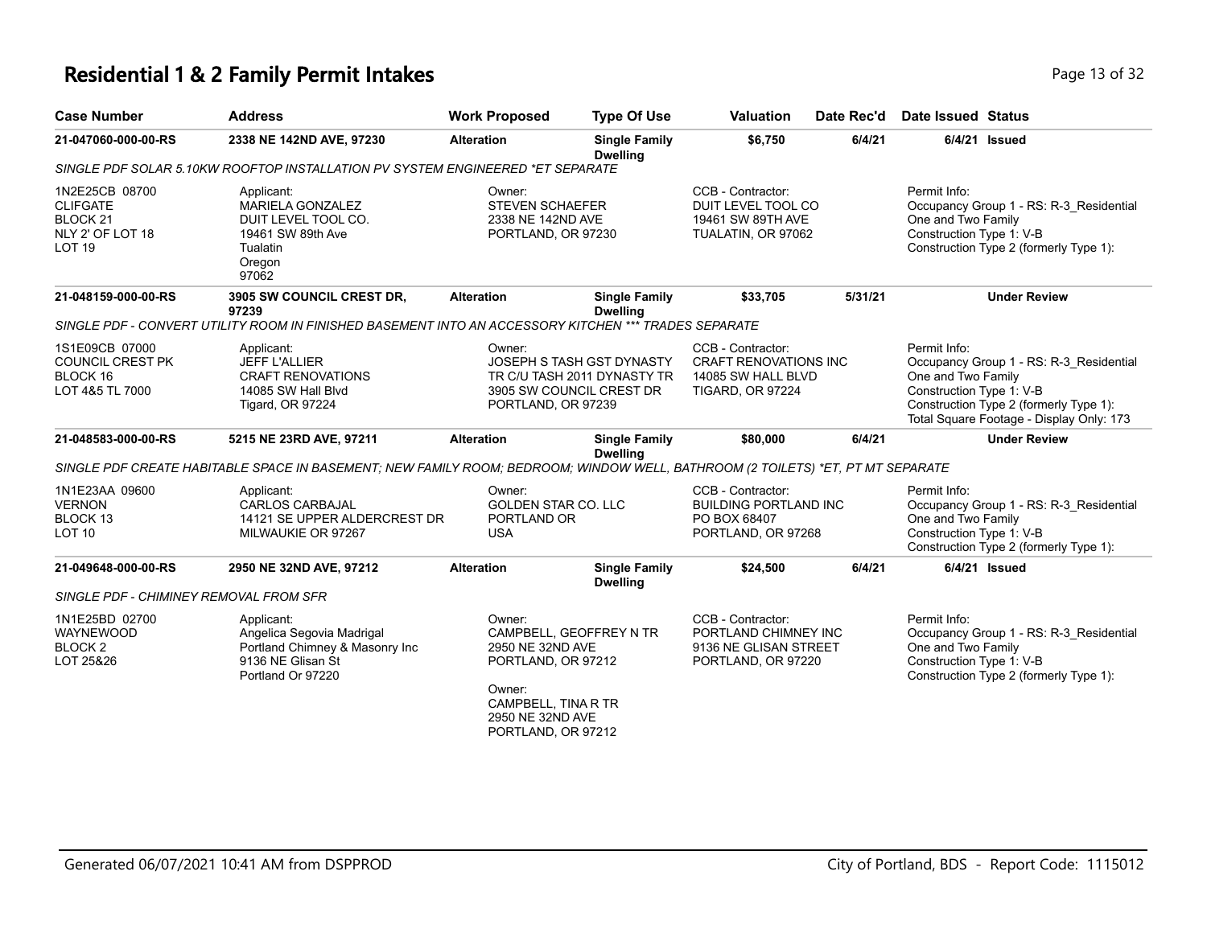### **Residential 1 & 2 Family Permit Intakes Page 13 of 32** Page 13 of 32

**21-047060-000-00-RS 2338 NE 142ND AVE, 97230 Alteration Single Family** 

**Case Number Address Work Proposed Type Of Use** 

|                   |        |                                     |               | . |
|-------------------|--------|-------------------------------------|---------------|---|
| Valuation         |        | Date Rec'd Date Issued Status       |               |   |
| \$6,750           | 6/4/21 |                                     | 6/4/21 Issued |   |
| $\cap$ ontrootor: |        | Dorm <sub>i</sub> lnfa <sub>i</sub> |               |   |

|                                                                                               | SINGLE PDF SOLAR 5.10KW ROOFTOP INSTALLATION PV SYSTEM ENGINEERED *ET SEPARATE                                                 |                                                                                                                      | Dwelling                                |                                                                                                    |         |                                                                                                                                                                                                 |
|-----------------------------------------------------------------------------------------------|--------------------------------------------------------------------------------------------------------------------------------|----------------------------------------------------------------------------------------------------------------------|-----------------------------------------|----------------------------------------------------------------------------------------------------|---------|-------------------------------------------------------------------------------------------------------------------------------------------------------------------------------------------------|
| 1N2E25CB 08700<br><b>CLIFGATE</b><br>BLOCK <sub>21</sub><br>NLY 2' OF LOT 18<br><b>LOT 19</b> | Applicant:<br><b>MARIELA GONZALEZ</b><br>DUIT LEVEL TOOL CO.<br>19461 SW 89th Ave<br>Tualatin<br>Oregon<br>97062               | Owner:<br><b>STEVEN SCHAEFER</b><br>2338 NE 142ND AVE<br>PORTLAND, OR 97230                                          |                                         | CCB - Contractor:<br>DUIT LEVEL TOOL CO<br>19461 SW 89TH AVE<br>TUALATIN, OR 97062                 |         | Permit Info:<br>Occupancy Group 1 - RS: R-3_Residential<br>One and Two Family<br>Construction Type 1: V-B<br>Construction Type 2 (formerly Type 1):                                             |
| 21-048159-000-00-RS                                                                           | 3905 SW COUNCIL CREST DR,<br>97239                                                                                             | <b>Alteration</b>                                                                                                    | <b>Single Family</b><br><b>Dwelling</b> | \$33,705                                                                                           | 5/31/21 | <b>Under Review</b>                                                                                                                                                                             |
|                                                                                               | SINGLE PDF - CONVERT UTILITY ROOM IN FINISHED BASEMENT INTO AN ACCESSORY KITCHEN *** TRADES SEPARATE                           |                                                                                                                      |                                         |                                                                                                    |         |                                                                                                                                                                                                 |
| 1S1E09CB 07000<br><b>COUNCIL CREST PK</b><br>BLOCK 16<br>LOT 4&5 TL 7000                      | Applicant:<br><b>JEFF L'ALLIER</b><br><b>CRAFT RENOVATIONS</b><br>14085 SW Hall Blvd<br>Tigard, OR 97224                       | Owner:<br>JOSEPH S TASH GST DYNASTY<br>TR C/U TASH 2011 DYNASTY TR<br>3905 SW COUNCIL CREST DR<br>PORTLAND, OR 97239 |                                         | CCB - Contractor:<br><b>CRAFT RENOVATIONS INC</b><br>14085 SW HALL BLVD<br><b>TIGARD, OR 97224</b> |         | Permit Info:<br>Occupancy Group 1 - RS: R-3_Residential<br>One and Two Family<br>Construction Type 1: V-B<br>Construction Type 2 (formerly Type 1):<br>Total Square Footage - Display Only: 173 |
| 21-048583-000-00-RS                                                                           | 5215 NE 23RD AVE, 97211                                                                                                        | <b>Alteration</b>                                                                                                    | <b>Single Family</b><br><b>Dwelling</b> | \$80,000                                                                                           | 6/4/21  | <b>Under Review</b>                                                                                                                                                                             |
|                                                                                               | SINGLE PDF CREATE HABITABLE SPACE IN BASEMENT; NEW FAMILY ROOM; BEDROOM; WINDOW WELL, BATHROOM (2 TOILETS) *ET, PT MT SEPARATE |                                                                                                                      |                                         |                                                                                                    |         |                                                                                                                                                                                                 |
| 1N1E23AA 09600<br><b>VERNON</b><br>BLOCK <sub>13</sub><br><b>LOT 10</b>                       | Applicant:<br><b>CARLOS CARBAJAL</b><br>14121 SE UPPER ALDERCREST DR<br>MILWAUKIE OR 97267                                     | Owner:<br><b>GOLDEN STAR CO. LLC</b><br>PORTLAND OR<br><b>USA</b>                                                    |                                         | CCB - Contractor:<br><b>BUILDING PORTLAND INC</b><br>PO BOX 68407<br>PORTLAND, OR 97268            |         | Permit Info:<br>Occupancy Group 1 - RS: R-3 Residential<br>One and Two Family<br>Construction Type 1: V-B<br>Construction Type 2 (formerly Type 1):                                             |
| 21-049648-000-00-RS                                                                           | 2950 NE 32ND AVE, 97212                                                                                                        | <b>Alteration</b>                                                                                                    | <b>Single Family</b><br><b>Dwelling</b> | \$24,500                                                                                           | 6/4/21  | 6/4/21 Issued                                                                                                                                                                                   |
| SINGLE PDF - CHIMINEY REMOVAL FROM SFR                                                        |                                                                                                                                |                                                                                                                      |                                         |                                                                                                    |         |                                                                                                                                                                                                 |
| 1N1E25BD 02700<br>WAYNEWOOD                                                                   | Applicant:<br>Angelica Segovia Madrigal                                                                                        | Owner:                                                                                                               | CAMPBELL, GEOFFREY N TR                 | CCB - Contractor:<br>PORTLAND CHIMNEY INC                                                          |         | Permit Info:<br>Occupancy Group 1 - RS: R-3 Residential                                                                                                                                         |

**Single Family**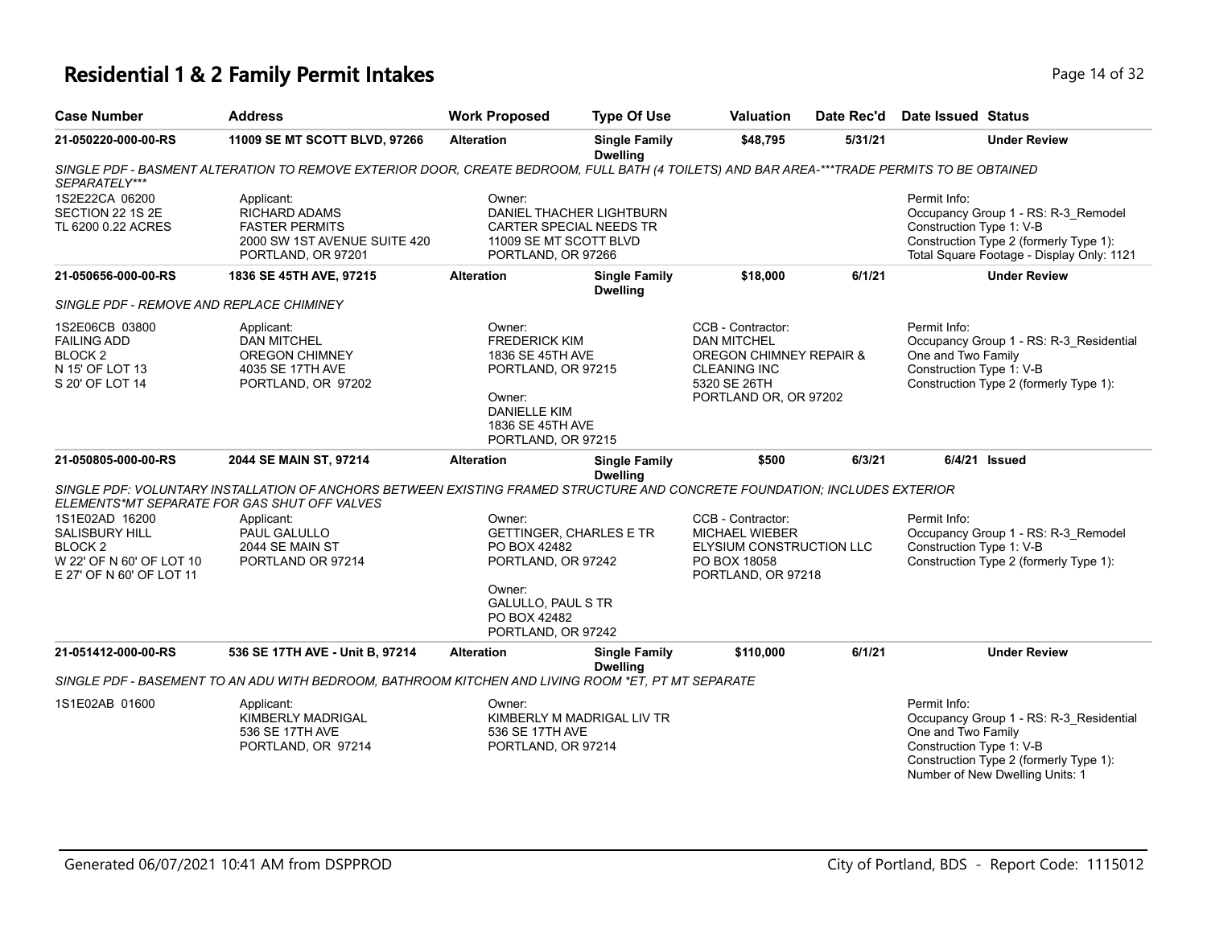# **Residential 1 & 2 Family Permit Intakes Page 14 of 32** Page 14 of 32

| <b>Case Number</b>                                                                                                    | <b>Address</b>                                                                                                             | <b>Work Proposed</b>                                                                                                                                        | <b>Type Of Use</b>                                                                                                                          | <b>Valuation</b>                                                                                                                   | Date Rec'd | Date Issued Status                                                                                                                                                     |  |  |
|-----------------------------------------------------------------------------------------------------------------------|----------------------------------------------------------------------------------------------------------------------------|-------------------------------------------------------------------------------------------------------------------------------------------------------------|---------------------------------------------------------------------------------------------------------------------------------------------|------------------------------------------------------------------------------------------------------------------------------------|------------|------------------------------------------------------------------------------------------------------------------------------------------------------------------------|--|--|
| 21-050220-000-00-RS                                                                                                   | 11009 SE MT SCOTT BLVD, 97266                                                                                              | <b>Alteration</b>                                                                                                                                           | <b>Single Family</b><br><b>Dwelling</b>                                                                                                     | \$48,795                                                                                                                           | 5/31/21    | <b>Under Review</b>                                                                                                                                                    |  |  |
| SEPARATELY***                                                                                                         |                                                                                                                            |                                                                                                                                                             | SINGLE PDF - BASMENT ALTERATION TO REMOVE EXTERIOR DOOR, CREATE BEDROOM, FULL BATH (4 TOILETS) AND BAR AREA-***TRADE PERMITS TO BE OBTAINED |                                                                                                                                    |            |                                                                                                                                                                        |  |  |
| 1S2E22CA 06200<br>SECTION 22 1S 2E<br>TL 6200 0.22 ACRES                                                              | Applicant:<br><b>RICHARD ADAMS</b><br><b>FASTER PERMITS</b><br>2000 SW 1ST AVENUE SUITE 420<br>PORTLAND, OR 97201          | Owner:<br>DANIEL THACHER LIGHTBURN<br>CARTER SPECIAL NEEDS TR<br>11009 SE MT SCOTT BLVD<br>PORTLAND, OR 97266                                               |                                                                                                                                             |                                                                                                                                    |            | Permit Info:<br>Occupancy Group 1 - RS: R-3_Remodel<br>Construction Type 1: V-B<br>Construction Type 2 (formerly Type 1):<br>Total Square Footage - Display Only: 1121 |  |  |
| 21-050656-000-00-RS                                                                                                   | 1836 SE 45TH AVE, 97215                                                                                                    | <b>Alteration</b>                                                                                                                                           | <b>Single Family</b><br><b>Dwelling</b>                                                                                                     | \$18,000                                                                                                                           | 6/1/21     | <b>Under Review</b>                                                                                                                                                    |  |  |
| SINGLE PDF - REMOVE AND REPLACE CHIMINEY                                                                              |                                                                                                                            |                                                                                                                                                             |                                                                                                                                             |                                                                                                                                    |            |                                                                                                                                                                        |  |  |
| 1S2E06CB 03800<br><b>FAILING ADD</b><br>BLOCK <sub>2</sub><br>N 15' OF LOT 13<br>S 20' OF LOT 14                      | Applicant:<br><b>DAN MITCHEL</b><br><b>OREGON CHIMNEY</b><br>4035 SE 17TH AVE<br>PORTLAND, OR 97202                        | Owner:<br><b>FREDERICK KIM</b><br>1836 SE 45TH AVE<br>PORTLAND, OR 97215<br>Owner:<br><b>DANIELLE KIM</b><br>1836 SE 45TH AVE<br>PORTLAND, OR 97215         |                                                                                                                                             | CCB - Contractor:<br><b>DAN MITCHEL</b><br>OREGON CHIMNEY REPAIR &<br><b>CLEANING INC</b><br>5320 SE 26TH<br>PORTLAND OR, OR 97202 |            | Permit Info:<br>Occupancy Group 1 - RS: R-3 Residential<br>One and Two Family<br>Construction Type 1: V-B<br>Construction Type 2 (formerly Type 1):                    |  |  |
| 21-050805-000-00-RS                                                                                                   | 2044 SE MAIN ST, 97214                                                                                                     | <b>Alteration</b>                                                                                                                                           | <b>Single Family</b><br><b>Dwelling</b>                                                                                                     | \$500                                                                                                                              | 6/3/21     | $6/4/21$ Issued                                                                                                                                                        |  |  |
|                                                                                                                       | SINGLE PDF: VOLUNTARY INSTALLATION OF ANCHORS BETWEEN EXISTING FRAMED STRUCTURE AND CONCRETE FOUNDATION; INCLUDES EXTERIOR |                                                                                                                                                             |                                                                                                                                             |                                                                                                                                    |            |                                                                                                                                                                        |  |  |
| 1S1E02AD 16200<br><b>SALISBURY HILL</b><br>BLOCK <sub>2</sub><br>W 22' OF N 60' OF LOT 10<br>E 27' OF N 60' OF LOT 11 | ELEMENTS*MT SEPARATE FOR GAS SHUT OFF VALVES<br>Applicant:<br>PAUL GALULLO<br>2044 SE MAIN ST<br>PORTLAND OR 97214         | Owner:<br><b>GETTINGER, CHARLES E TR</b><br>PO BOX 42482<br>PORTLAND, OR 97242<br>Owner:<br><b>GALULLO, PAUL S TR</b><br>PO BOX 42482<br>PORTLAND, OR 97242 |                                                                                                                                             | CCB - Contractor:<br><b>MICHAEL WIEBER</b><br>ELYSIUM CONSTRUCTION LLC<br>PO BOX 18058<br>PORTLAND, OR 97218                       |            | Permit Info:<br>Occupancy Group 1 - RS: R-3_Remodel<br>Construction Type 1: V-B<br>Construction Type 2 (formerly Type 1):                                              |  |  |
| 21-051412-000-00-RS                                                                                                   | 536 SE 17TH AVE - Unit B, 97214                                                                                            | <b>Alteration</b>                                                                                                                                           | <b>Single Family</b>                                                                                                                        | \$110,000                                                                                                                          | 6/1/21     | <b>Under Review</b>                                                                                                                                                    |  |  |
|                                                                                                                       | SINGLE PDF - BASEMENT TO AN ADU WITH BEDROOM, BATHROOM KITCHEN AND LIVING ROOM *ET, PT MT SEPARATE                         |                                                                                                                                                             | <b>Dwelling</b>                                                                                                                             |                                                                                                                                    |            |                                                                                                                                                                        |  |  |
| 1S1E02AB 01600                                                                                                        | Applicant:<br>KIMBERLY MADRIGAL<br>536 SE 17TH AVE                                                                         | Owner:<br>536 SE 17TH AVE                                                                                                                                   | KIMBERLY M MADRIGAL LIV TR                                                                                                                  |                                                                                                                                    |            | Permit Info:<br>Occupancy Group 1 - RS: R-3_Residential<br>One and Two Family                                                                                          |  |  |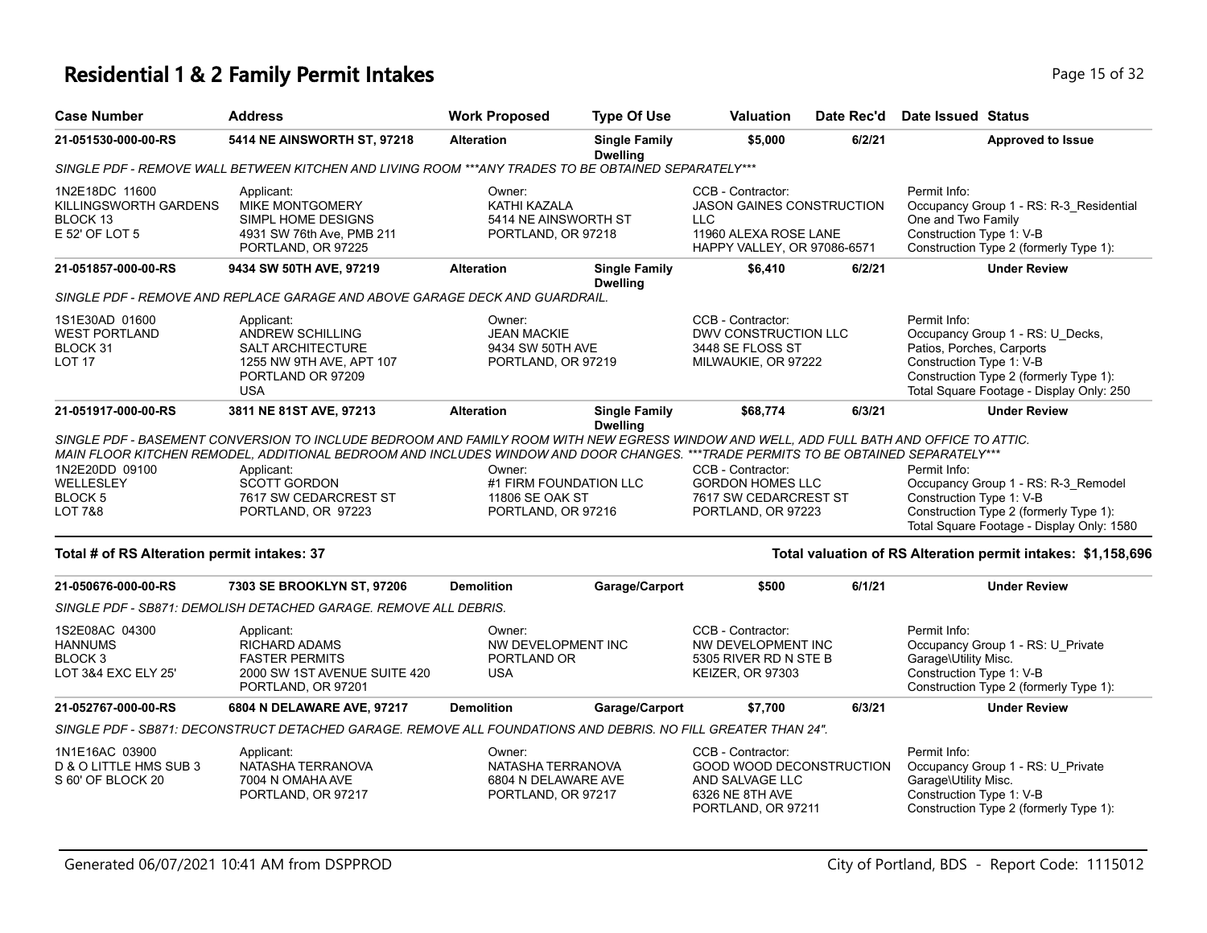#### **Residential 1 & 2 Family Permit Intakes Page 15 of 32 Page 15 of 32**

| <b>Case Number</b>                                                            | <b>Address</b>                                                                                                                                                                                                                                                                | <b>Work Proposed</b>                                                      | <b>Type Of Use</b>                      | <b>Valuation</b>                                                                                                            | Date Rec'd | Date Issued Status                                                    |                                                                                                                            |
|-------------------------------------------------------------------------------|-------------------------------------------------------------------------------------------------------------------------------------------------------------------------------------------------------------------------------------------------------------------------------|---------------------------------------------------------------------------|-----------------------------------------|-----------------------------------------------------------------------------------------------------------------------------|------------|-----------------------------------------------------------------------|----------------------------------------------------------------------------------------------------------------------------|
| 21-051530-000-00-RS                                                           | 5414 NE AINSWORTH ST, 97218                                                                                                                                                                                                                                                   | <b>Alteration</b>                                                         | <b>Single Family</b><br><b>Dwelling</b> | \$5,000                                                                                                                     | 6/2/21     |                                                                       | <b>Approved to Issue</b>                                                                                                   |
|                                                                               | SINGLE PDF - REMOVE WALL BETWEEN KITCHEN AND LIVING ROOM ***ANY TRADES TO BE OBTAINED SEPARATELY***                                                                                                                                                                           |                                                                           |                                         |                                                                                                                             |            |                                                                       |                                                                                                                            |
| 1N2E18DC 11600<br>KILLINGSWORTH GARDENS<br>BLOCK 13<br>E 52' OF LOT 5         | Applicant:<br><b>MIKE MONTGOMERY</b><br>SIMPL HOME DESIGNS<br>4931 SW 76th Ave, PMB 211<br>PORTLAND, OR 97225                                                                                                                                                                 | Owner:<br>KATHI KAZALA<br>5414 NE AINSWORTH ST<br>PORTLAND, OR 97218      |                                         | CCB - Contractor:<br><b>JASON GAINES CONSTRUCTION</b><br><b>LLC</b><br>11960 ALEXA ROSE LANE<br>HAPPY VALLEY, OR 97086-6571 |            | Permit Info:<br>One and Two Family<br>Construction Type 1: V-B        | Occupancy Group 1 - RS: R-3 Residential<br>Construction Type 2 (formerly Type 1):                                          |
| 21-051857-000-00-RS                                                           | 9434 SW 50TH AVE, 97219                                                                                                                                                                                                                                                       | <b>Alteration</b>                                                         | <b>Single Family</b><br><b>Dwelling</b> | \$6,410                                                                                                                     | 6/2/21     |                                                                       | <b>Under Review</b>                                                                                                        |
|                                                                               | SINGLE PDF - REMOVE AND REPLACE GARAGE AND ABOVE GARAGE DECK AND GUARDRAIL.                                                                                                                                                                                                   |                                                                           |                                         |                                                                                                                             |            |                                                                       |                                                                                                                            |
| 1S1E30AD 01600<br><b>WEST PORTLAND</b><br>BLOCK 31<br>LOT <sub>17</sub>       | Applicant:<br><b>ANDREW SCHILLING</b><br><b>SALT ARCHITECTURE</b><br>1255 NW 9TH AVE, APT 107<br>PORTLAND OR 97209<br><b>USA</b>                                                                                                                                              | Owner:<br><b>JEAN MACKIE</b><br>9434 SW 50TH AVE<br>PORTLAND, OR 97219    |                                         | CCB - Contractor:<br><b>DWV CONSTRUCTION LLC</b><br>3448 SE FLOSS ST<br>MILWAUKIE, OR 97222                                 |            | Permit Info:<br>Patios, Porches, Carports<br>Construction Type 1: V-B | Occupancy Group 1 - RS: U_Decks,<br>Construction Type 2 (formerly Type 1):<br>Total Square Footage - Display Only: 250     |
| 21-051917-000-00-RS                                                           | 3811 NE 81ST AVE, 97213                                                                                                                                                                                                                                                       | <b>Alteration</b>                                                         | <b>Single Family</b><br><b>Dwelling</b> | \$68,774                                                                                                                    | 6/3/21     |                                                                       | <b>Under Review</b>                                                                                                        |
|                                                                               | SINGLE PDF - BASEMENT CONVERSION TO INCLUDE BEDROOM AND FAMILY ROOM WITH NEW EGRESS WINDOW AND WELL. ADD FULL BATH AND OFFICE TO ATTIC.<br>MAIN FLOOR KITCHEN REMODEL. ADDITIONAL BEDROOM AND INCLUDES WINDOW AND DOOR CHANGES. ***TRADE PERMITS TO BE OBTAINED SEPARATELY*** |                                                                           |                                         |                                                                                                                             |            |                                                                       |                                                                                                                            |
| 1N2E20DD 09100<br>WELLESLEY<br>BLOCK <sub>5</sub><br><b>LOT 7&amp;8</b>       | Applicant:<br><b>SCOTT GORDON</b><br>7617 SW CEDARCREST ST<br>PORTLAND, OR 97223                                                                                                                                                                                              | Owner:<br>#1 FIRM FOUNDATION LLC<br>11806 SE OAK ST<br>PORTLAND, OR 97216 |                                         | CCB - Contractor:<br><b>GORDON HOMES LLC</b><br>7617 SW CEDARCREST ST<br>PORTLAND, OR 97223                                 |            | Permit Info:<br>Construction Type 1: V-B                              | Occupancy Group 1 - RS: R-3_Remodel<br>Construction Type 2 (formerly Type 1):<br>Total Square Footage - Display Only: 1580 |
| Total # of RS Alteration permit intakes: 37                                   |                                                                                                                                                                                                                                                                               |                                                                           |                                         |                                                                                                                             |            |                                                                       | Total valuation of RS Alteration permit intakes: \$1,158,696                                                               |
| 21-050676-000-00-RS                                                           | 7303 SE BROOKLYN ST, 97206                                                                                                                                                                                                                                                    | <b>Demolition</b>                                                         | Garage/Carport                          | \$500                                                                                                                       | 6/1/21     |                                                                       | <b>Under Review</b>                                                                                                        |
|                                                                               | SINGLE PDF - SB871: DEMOLISH DETACHED GARAGE. REMOVE ALL DEBRIS.                                                                                                                                                                                                              |                                                                           |                                         |                                                                                                                             |            |                                                                       |                                                                                                                            |
| 1S2E08AC 04300<br><b>HANNUMS</b><br>BLOCK <sub>3</sub><br>LOT 3&4 EXC ELY 25' | Applicant:<br><b>RICHARD ADAMS</b><br><b>FASTER PERMITS</b><br>2000 SW 1ST AVENUE SUITE 420<br>PORTLAND, OR 97201                                                                                                                                                             | Owner:<br>NW DEVELOPMENT INC<br>PORTLAND OR<br><b>USA</b>                 |                                         | CCB - Contractor:<br>NW DEVELOPMENT INC<br>5305 RIVER RD N STE B<br><b>KEIZER, OR 97303</b>                                 |            | Permit Info:<br>Garage\Utility Misc.<br>Construction Type 1: V-B      | Occupancy Group 1 - RS: U_Private<br>Construction Type 2 (formerly Type 1):                                                |

*SINGLE PDF - SB871: DECONSTRUCT DETACHED GARAGE. REMOVE ALL FOUNDATIONS AND DEBRIS. NO FILL GREATER THAN 24".*

| 1N1E16AC 03900         | Applicant:         | ::Owner             | CCB - Contractor:        | Permit Info:                           |
|------------------------|--------------------|---------------------|--------------------------|----------------------------------------|
| D & O LITTLE HMS SUB 3 | NATASHA TERRANOVA  | NATASHA TERRANOVA   | GOOD WOOD DECONSTRUCTION | Occupancy Group 1 - RS: U Private      |
| S 60' OF BLOCK 20      | 7004 N OMAHA AVE   | 6804 N DELAWARE AVE | AND SALVAGE LLC          | Garage\Utility Misc.                   |
|                        | PORTLAND, OR 97217 | PORTLAND, OR 97217  | 6326 NE 8TH AVE          | Construction Type 1: V-B               |
|                        |                    |                     | PORTLAND, OR 97211       | Construction Type 2 (formerly Type 1): |

**21-052767-000-00-RS 6804 N DELAWARE AVE, 97217 Demolition Garage/Carport \$7,700 6/3/21 Under Review**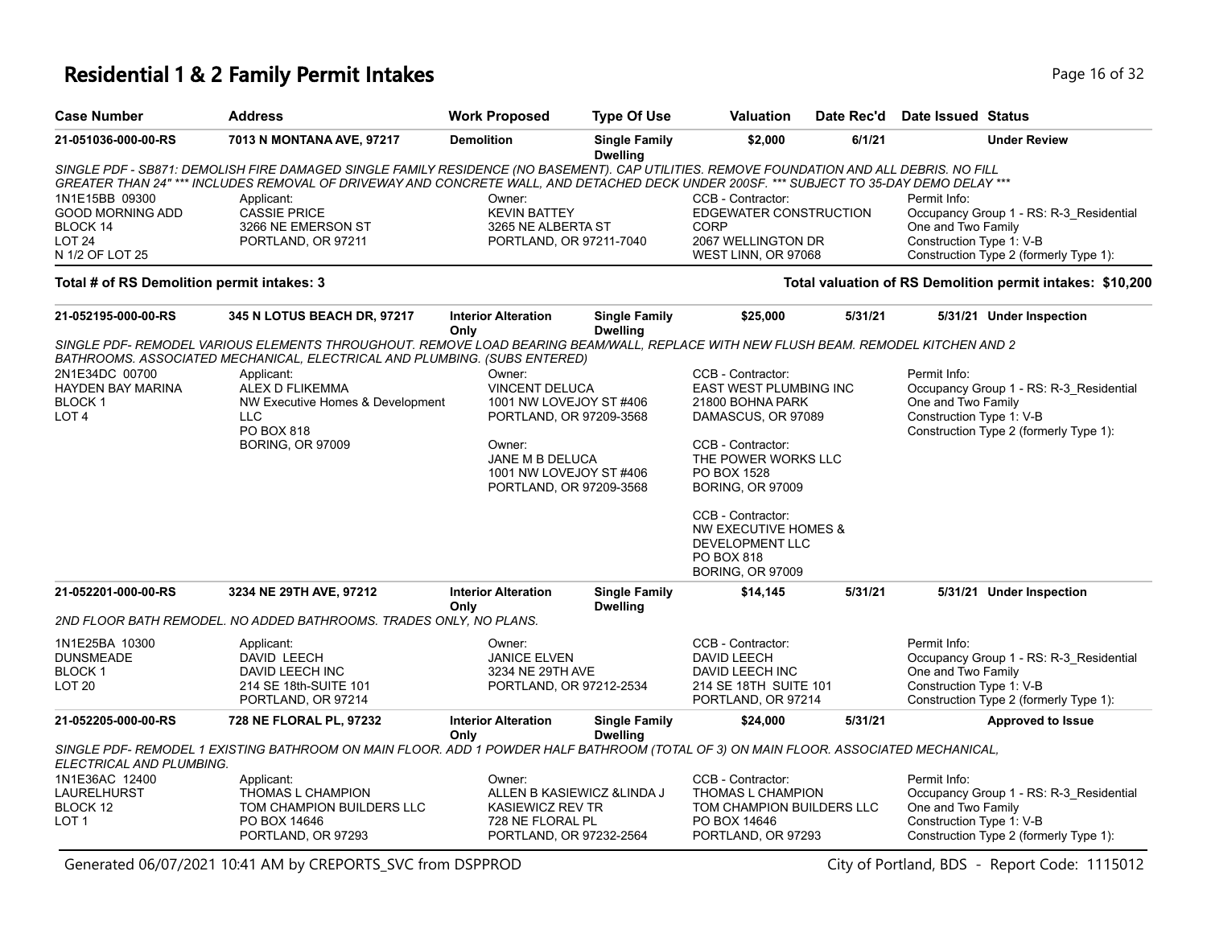### **Residential 1 & 2 Family Permit Intakes Page 16 of 32 Page 16 of 32**

| <b>Case Number</b>                         | <b>Address</b>                                                                                                                            | <b>Work Proposed</b>                          | <b>Type Of Use</b>                      | <b>Valuation</b>                            | Date Rec'd | <b>Date Issued Status</b>                                          |
|--------------------------------------------|-------------------------------------------------------------------------------------------------------------------------------------------|-----------------------------------------------|-----------------------------------------|---------------------------------------------|------------|--------------------------------------------------------------------|
| 21-051036-000-00-RS                        | 7013 N MONTANA AVE, 97217                                                                                                                 | <b>Demolition</b>                             | <b>Single Family</b><br><b>Dwelling</b> | \$2,000                                     | 6/1/21     | <b>Under Review</b>                                                |
|                                            | SINGLE PDF - SB871: DEMOLISH FIRE DAMAGED SINGLE FAMILY RESIDENCE (NO BASEMENT). CAP UTILITIES. REMOVE FOUNDATION AND ALL DEBRIS. NO FILL |                                               |                                         |                                             |            |                                                                    |
|                                            | GREATER THAN 24" *** INCLUDES REMOVAL OF DRIVEWAY AND CONCRETE WALL, AND DETACHED DECK UNDER 200SF. *** SUBJECT TO 35-DAY DEMO DELAY ***  |                                               |                                         |                                             |            |                                                                    |
| 1N1E15BB 09300                             | Applicant:                                                                                                                                | Owner:                                        |                                         | CCB - Contractor:                           |            | Permit Info:                                                       |
| <b>GOOD MORNING ADD</b>                    | <b>CASSIE PRICE</b>                                                                                                                       | <b>KEVIN BATTEY</b>                           |                                         | EDGEWATER CONSTRUCTION                      |            | Occupancy Group 1 - RS: R-3 Residential                            |
| BLOCK 14<br>LOT <sub>24</sub>              | 3266 NE EMERSON ST<br>PORTLAND, OR 97211                                                                                                  | 3265 NE ALBERTA ST<br>PORTLAND, OR 97211-7040 |                                         | <b>CORP</b><br>2067 WELLINGTON DR           |            | One and Two Family<br>Construction Type 1: V-B                     |
| N 1/2 OF LOT 25                            |                                                                                                                                           |                                               |                                         | WEST LINN, OR 97068                         |            | Construction Type 2 (formerly Type 1):                             |
| Total # of RS Demolition permit intakes: 3 |                                                                                                                                           |                                               |                                         |                                             |            | Total valuation of RS Demolition permit intakes: \$10,200          |
| 21-052195-000-00-RS                        | 345 N LOTUS BEACH DR, 97217                                                                                                               | <b>Interior Alteration</b>                    | <b>Single Family</b>                    | \$25,000                                    | 5/31/21    | 5/31/21 Under Inspection                                           |
|                                            |                                                                                                                                           | Only                                          | <b>Dwelling</b>                         |                                             |            |                                                                    |
|                                            | SINGLE PDF- REMODEL VARIOUS ELEMENTS THROUGHOUT. REMOVE LOAD BEARING BEAM/WALL, REPLACE WITH NEW FLUSH BEAM. REMODEL KITCHEN AND 2        |                                               |                                         |                                             |            |                                                                    |
|                                            | BATHROOMS. ASSOCIATED MECHANICAL, ELECTRICAL AND PLUMBING. (SUBS ENTERED)                                                                 | Owner:                                        |                                         |                                             |            | Permit Info:                                                       |
| 2N1E34DC 00700<br><b>HAYDEN BAY MARINA</b> | Applicant:<br>ALEX D FLIKEMMA                                                                                                             | <b>VINCENT DELUCA</b>                         |                                         | CCB - Contractor:<br>EAST WEST PLUMBING INC |            | Occupancy Group 1 - RS: R-3_Residential                            |
| <b>BLOCK1</b>                              | NW Executive Homes & Development                                                                                                          | 1001 NW LOVEJOY ST #406                       |                                         | 21800 BOHNA PARK                            |            | One and Two Family                                                 |
| LOT <sub>4</sub>                           | LLC                                                                                                                                       | PORTLAND, OR 97209-3568<br>DAMASCUS, OR 97089 |                                         |                                             |            | Construction Type 1: V-B                                           |
|                                            | PO BOX 818                                                                                                                                |                                               |                                         |                                             |            | Construction Type 2 (formerly Type 1):                             |
|                                            | <b>BORING, OR 97009</b>                                                                                                                   | Owner:                                        |                                         | CCB - Contractor:                           |            |                                                                    |
|                                            |                                                                                                                                           | JANE M B DELUCA<br>1001 NW LOVEJOY ST #406    |                                         | THE POWER WORKS LLC<br>PO BOX 1528          |            |                                                                    |
|                                            |                                                                                                                                           | PORTLAND, OR 97209-3568                       |                                         | <b>BORING, OR 97009</b>                     |            |                                                                    |
|                                            |                                                                                                                                           |                                               |                                         | CCB - Contractor:                           |            |                                                                    |
|                                            |                                                                                                                                           |                                               |                                         | NW EXECUTIVE HOMES &                        |            |                                                                    |
|                                            |                                                                                                                                           |                                               |                                         | DEVELOPMENT LLC                             |            |                                                                    |
|                                            |                                                                                                                                           |                                               |                                         | PO BOX 818                                  |            |                                                                    |
|                                            | 3234 NE 29TH AVE, 97212                                                                                                                   |                                               | <b>Single Family</b>                    | <b>BORING, OR 97009</b>                     | 5/31/21    |                                                                    |
| 21-052201-000-00-RS                        |                                                                                                                                           | <b>Interior Alteration</b><br>Only            | <b>Dwelling</b>                         | \$14,145                                    |            | 5/31/21 Under Inspection                                           |
|                                            | 2ND FLOOR BATH REMODEL. NO ADDED BATHROOMS. TRADES ONLY, NO PLANS.                                                                        |                                               |                                         |                                             |            |                                                                    |
| 1N1E25BA 10300                             | Applicant:                                                                                                                                | Owner:                                        |                                         | CCB - Contractor:                           |            | Permit Info:                                                       |
| <b>DUNSMEADE</b>                           | DAVID LEECH                                                                                                                               | <b>JANICE ELVEN</b>                           |                                         | <b>DAVID LEECH</b>                          |            | Occupancy Group 1 - RS: R-3_Residential                            |
| <b>BLOCK1</b>                              | DAVID LEECH INC                                                                                                                           | 3234 NE 29TH AVE                              |                                         | DAVID LEECH INC                             |            | One and Two Family                                                 |
| LOT <sub>20</sub>                          | 214 SE 18th-SUITE 101<br>PORTLAND, OR 97214                                                                                               | PORTLAND, OR 97212-2534                       |                                         | 214 SE 18TH SUITE 101<br>PORTLAND, OR 97214 |            | Construction Type 1: V-B<br>Construction Type 2 (formerly Type 1): |
| 21-052205-000-00-RS                        | 728 NE FLORAL PL, 97232                                                                                                                   | <b>Interior Alteration</b>                    | <b>Single Family</b>                    | \$24,000                                    | 5/31/21    | <b>Approved to Issue</b>                                           |
|                                            |                                                                                                                                           | Only                                          | <b>Dwelling</b>                         |                                             |            |                                                                    |
| ELECTRICAL AND PLUMBING.                   | SINGLE PDF- REMODEL 1 EXISTING BATHROOM ON MAIN FLOOR. ADD 1 POWDER HALF BATHROOM (TOTAL OF 3) ON MAIN FLOOR. ASSOCIATED MECHANICAL,      |                                               |                                         |                                             |            |                                                                    |
| 1N1E36AC 12400                             | Applicant:                                                                                                                                | Owner:                                        |                                         | CCB - Contractor:                           |            | Permit Info:                                                       |
| LAURELHURST                                | THOMAS L CHAMPION                                                                                                                         |                                               | ALLEN B KASIEWICZ & LINDA J             | THOMAS L CHAMPION                           |            | Occupancy Group 1 - RS: R-3_Residential                            |
| BLOCK 12                                   | TOM CHAMPION BUILDERS LLC                                                                                                                 | <b>KASIEWICZ REV TR</b>                       |                                         | TOM CHAMPION BUILDERS LLC                   |            | One and Two Family                                                 |
| LOT <sub>1</sub>                           | PO BOX 14646<br>PORTLAND, OR 97293                                                                                                        | 728 NE FLORAL PL<br>PORTLAND, OR 97232-2564   |                                         | PO BOX 14646<br>PORTLAND, OR 97293          |            | Construction Type 1: V-B<br>Construction Type 2 (formerly Type 1): |
|                                            |                                                                                                                                           |                                               |                                         |                                             |            |                                                                    |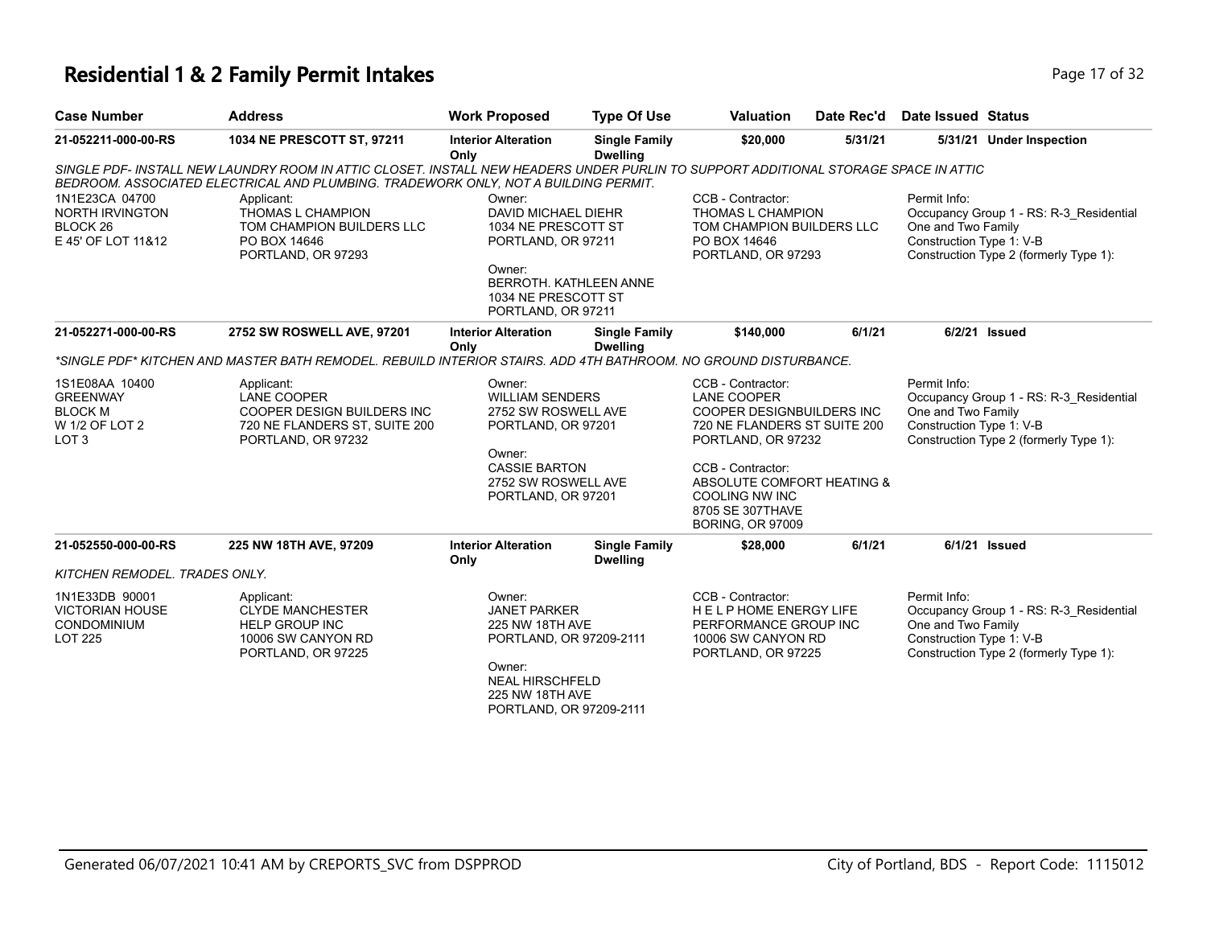### **Residential 1 & 2 Family Permit Intakes Page 17 of 32 Page 17 of 32**

| <b>Case Number</b>                                                                                                                         | <b>Address</b>                                                                                                                                                                                                             | <b>Work Proposed</b>                                                                                                                                          | <b>Type Of Use</b>                      | <b>Valuation</b>                                                                                                                                                                     | Date Rec'd | <b>Date Issued Status</b>                                                                                                                           |  |  |  |
|--------------------------------------------------------------------------------------------------------------------------------------------|----------------------------------------------------------------------------------------------------------------------------------------------------------------------------------------------------------------------------|---------------------------------------------------------------------------------------------------------------------------------------------------------------|-----------------------------------------|--------------------------------------------------------------------------------------------------------------------------------------------------------------------------------------|------------|-----------------------------------------------------------------------------------------------------------------------------------------------------|--|--|--|
| 21-052211-000-00-RS                                                                                                                        | 1034 NE PRESCOTT ST, 97211                                                                                                                                                                                                 | <b>Interior Alteration</b><br>Only                                                                                                                            | <b>Single Family</b><br><b>Dwelling</b> | \$20,000                                                                                                                                                                             | 5/31/21    | 5/31/21 Under Inspection                                                                                                                            |  |  |  |
|                                                                                                                                            | SINGLE PDF- INSTALL NEW LAUNDRY ROOM IN ATTIC CLOSET. INSTALL NEW HEADERS UNDER PURLIN TO SUPPORT ADDITIONAL STORAGE SPACE IN ATTIC<br>BEDROOM. ASSOCIATED ELECTRICAL AND PLUMBING. TRADEWORK ONLY, NOT A BUILDING PERMIT. |                                                                                                                                                               |                                         |                                                                                                                                                                                      |            |                                                                                                                                                     |  |  |  |
| 1N1E23CA 04700<br><b>NORTH IRVINGTON</b><br>BLOCK 26<br>E 45' OF LOT 11&12                                                                 | Applicant:<br>THOMAS L CHAMPION<br>TOM CHAMPION BUILDERS LLC<br>PO BOX 14646<br>PORTLAND, OR 97293                                                                                                                         | Owner:<br>DAVID MICHAEL DIEHR<br>1034 NE PRESCOTT ST<br>PORTLAND, OR 97211<br>Owner:<br>1034 NE PRESCOTT ST<br>PORTLAND, OR 97211                             | BERROTH, KATHLEEN ANNE                  | CCB - Contractor:<br>THOMAS L CHAMPION<br>TOM CHAMPION BUILDERS LLC<br>PO BOX 14646<br>PORTLAND, OR 97293                                                                            |            | Permit Info:<br>Occupancy Group 1 - RS: R-3 Residential<br>One and Two Family<br>Construction Type 1: V-B<br>Construction Type 2 (formerly Type 1): |  |  |  |
| 21-052271-000-00-RS                                                                                                                        | 2752 SW ROSWELL AVE, 97201                                                                                                                                                                                                 | <b>Interior Alteration</b>                                                                                                                                    | <b>Single Family</b>                    | \$140,000                                                                                                                                                                            | 6/1/21     | 6/2/21 Issued                                                                                                                                       |  |  |  |
| <b>Dwelling</b><br>Only<br>*SINGLE PDF* KITCHEN AND MASTER BATH REMODEL. REBUILD INTERIOR STAIRS. ADD 4TH BATHROOM. NO GROUND DISTURBANCE. |                                                                                                                                                                                                                            |                                                                                                                                                               |                                         |                                                                                                                                                                                      |            |                                                                                                                                                     |  |  |  |
| 1S1E08AA 10400<br><b>GREENWAY</b><br><b>BLOCK M</b><br>W 1/2 OF LOT 2<br>LOT <sub>3</sub>                                                  | Applicant:<br><b>LANE COOPER</b><br>COOPER DESIGN BUILDERS INC<br>720 NE FLANDERS ST, SUITE 200<br>PORTLAND, OR 97232                                                                                                      | Owner:<br><b>WILLIAM SENDERS</b><br>2752 SW ROSWELL AVE<br>PORTLAND, OR 97201<br>Owner:<br><b>CASSIE BARTON</b><br>2752 SW ROSWELL AVE                        |                                         | CCB - Contractor:<br><b>LANE COOPER</b><br><b>COOPER DESIGNBUILDERS INC</b><br>720 NE FLANDERS ST SUITE 200<br>PORTLAND, OR 97232<br>CCB - Contractor:<br>ABSOLUTE COMFORT HEATING & |            | Permit Info:<br>Occupancy Group 1 - RS: R-3_Residential<br>One and Two Family<br>Construction Type 1: V-B<br>Construction Type 2 (formerly Type 1): |  |  |  |
|                                                                                                                                            |                                                                                                                                                                                                                            | PORTLAND, OR 97201                                                                                                                                            |                                         | <b>COOLING NW INC</b><br>8705 SE 307THAVE<br><b>BORING, OR 97009</b>                                                                                                                 |            |                                                                                                                                                     |  |  |  |
| 21-052550-000-00-RS                                                                                                                        | 225 NW 18TH AVE, 97209                                                                                                                                                                                                     | <b>Interior Alteration</b><br>Only                                                                                                                            | <b>Single Family</b><br><b>Dwelling</b> | \$28,000                                                                                                                                                                             | 6/1/21     | 6/1/21 Issued                                                                                                                                       |  |  |  |
| KITCHEN REMODEL, TRADES ONLY.                                                                                                              |                                                                                                                                                                                                                            |                                                                                                                                                               |                                         |                                                                                                                                                                                      |            |                                                                                                                                                     |  |  |  |
| 1N1E33DB 90001<br><b>VICTORIAN HOUSE</b><br>CONDOMINIUM<br><b>LOT 225</b>                                                                  | Applicant:<br><b>CLYDE MANCHESTER</b><br><b>HELP GROUP INC</b><br>10006 SW CANYON RD<br>PORTLAND, OR 97225                                                                                                                 | Owner:<br><b>JANET PARKER</b><br>225 NW 18TH AVE<br>PORTLAND, OR 97209-2111<br>Owner:<br><b>NEAL HIRSCHFELD</b><br>225 NW 18TH AVE<br>PORTLAND, OR 97209-2111 |                                         | CCB - Contractor:<br><b>HELPHOME ENERGY LIFE</b><br>PERFORMANCE GROUP INC<br>10006 SW CANYON RD<br>PORTLAND, OR 97225                                                                |            | Permit Info:<br>Occupancy Group 1 - RS: R-3 Residential<br>One and Two Family<br>Construction Type 1: V-B<br>Construction Type 2 (formerly Type 1): |  |  |  |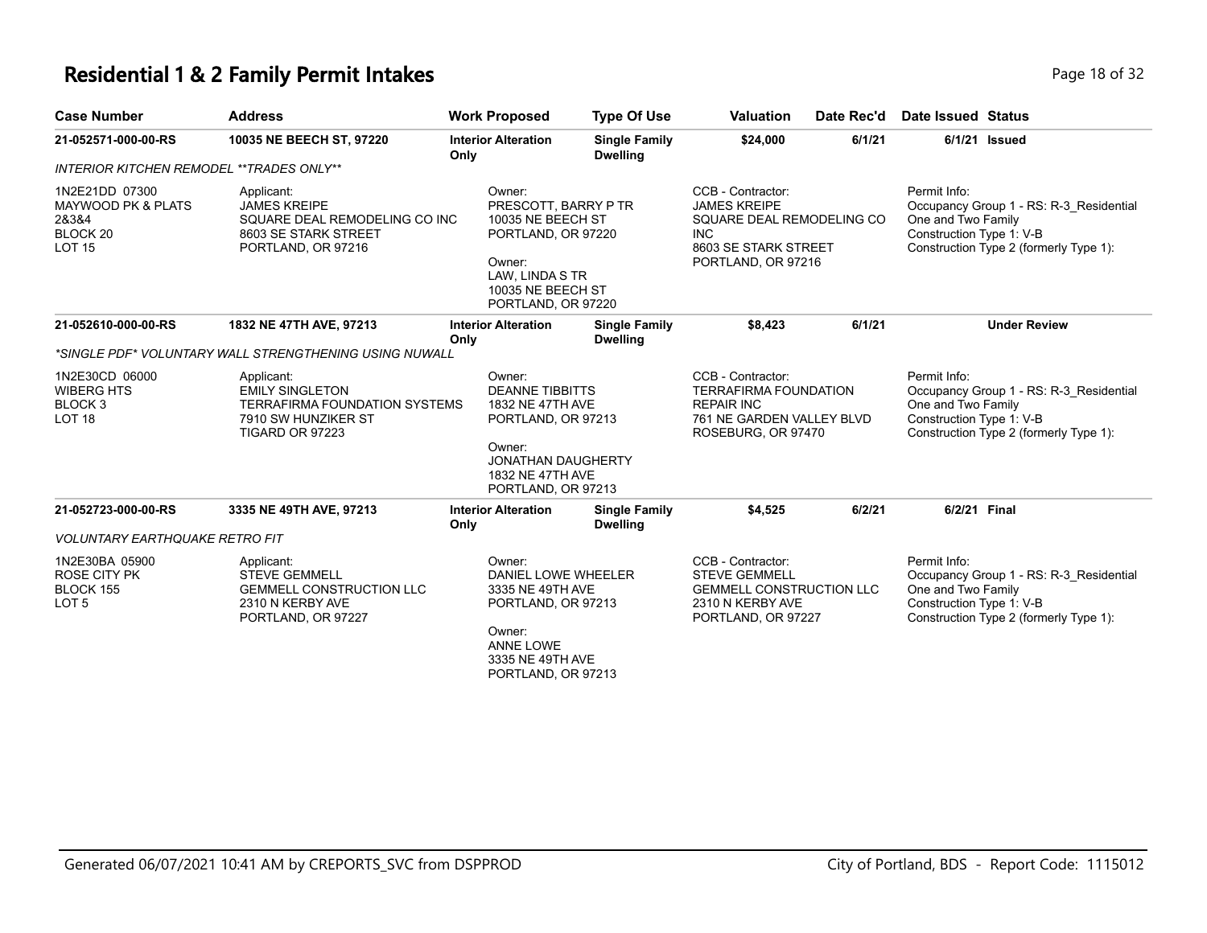### **Residential 1 & 2 Family Permit Intakes Page 18 of 32 Page 18 of 32**

| <b>Case Number</b>                                                                    | <b>Address</b>                                                                                                                | <b>Work Proposed</b>               |                                                                                                                                  | <b>Type Of Use</b>                      | <b>Valuation</b>                                                                                                                  | Date Rec'd | <b>Date Issued Status</b>                                      |                                                                                   |
|---------------------------------------------------------------------------------------|-------------------------------------------------------------------------------------------------------------------------------|------------------------------------|----------------------------------------------------------------------------------------------------------------------------------|-----------------------------------------|-----------------------------------------------------------------------------------------------------------------------------------|------------|----------------------------------------------------------------|-----------------------------------------------------------------------------------|
| 21-052571-000-00-RS                                                                   | 10035 NE BEECH ST, 97220                                                                                                      | <b>Interior Alteration</b><br>Only |                                                                                                                                  | <b>Single Family</b><br><b>Dwelling</b> | \$24,000                                                                                                                          | 6/1/21     |                                                                | 6/1/21 Issued                                                                     |
| INTERIOR KITCHEN REMODEL ** TRADES ONLY**                                             |                                                                                                                               |                                    |                                                                                                                                  |                                         |                                                                                                                                   |            |                                                                |                                                                                   |
| 1N2E21DD 07300<br><b>MAYWOOD PK &amp; PLATS</b><br>28384<br>BLOCK 20<br><b>LOT 15</b> | Applicant:<br><b>JAMES KREIPE</b><br>SQUARE DEAL REMODELING CO INC<br>8603 SE STARK STREET<br>PORTLAND, OR 97216              | Owner:<br>Owner:                   | PRESCOTT, BARRY P TR<br>10035 NE BEECH ST<br>PORTLAND, OR 97220<br>LAW, LINDA S TR<br>10035 NE BEECH ST<br>PORTLAND, OR 97220    |                                         | CCB - Contractor:<br><b>JAMES KREIPE</b><br>SQUARE DEAL REMODELING CO<br><b>INC</b><br>8603 SE STARK STREET<br>PORTLAND, OR 97216 |            | Permit Info:<br>One and Two Family<br>Construction Type 1: V-B | Occupancy Group 1 - RS: R-3 Residential<br>Construction Type 2 (formerly Type 1): |
| 21-052610-000-00-RS                                                                   | 1832 NE 47TH AVE, 97213                                                                                                       | <b>Interior Alteration</b><br>Only |                                                                                                                                  | <b>Single Family</b><br><b>Dwelling</b> | \$8,423                                                                                                                           | 6/1/21     |                                                                | <b>Under Review</b>                                                               |
|                                                                                       | *SINGLE PDF* VOLUNTARY WALL STRENGTHENING USING NUWALL                                                                        |                                    |                                                                                                                                  |                                         |                                                                                                                                   |            |                                                                |                                                                                   |
| 1N2E30CD 06000<br><b>WIBERG HTS</b><br>BLOCK <sub>3</sub><br>LOT <sub>18</sub>        | Applicant:<br><b>EMILY SINGLETON</b><br><b>TERRAFIRMA FOUNDATION SYSTEMS</b><br>7910 SW HUNZIKER ST<br><b>TIGARD OR 97223</b> | Owner:<br>Owner:                   | <b>DEANNE TIBBITTS</b><br>1832 NE 47TH AVE<br>PORTLAND, OR 97213<br>JONATHAN DAUGHERTY<br>1832 NE 47TH AVE<br>PORTLAND, OR 97213 |                                         | CCB - Contractor:<br><b>TERRAFIRMA FOUNDATION</b><br><b>REPAIR INC</b><br>761 NE GARDEN VALLEY BLVD<br>ROSEBURG, OR 97470         |            | Permit Info:<br>One and Two Family<br>Construction Type 1: V-B | Occupancy Group 1 - RS: R-3 Residential<br>Construction Type 2 (formerly Type 1): |
| 21-052723-000-00-RS                                                                   | 3335 NE 49TH AVE, 97213                                                                                                       | <b>Interior Alteration</b><br>Only |                                                                                                                                  | <b>Single Family</b><br><b>Dwelling</b> | \$4,525                                                                                                                           | 6/2/21     | 6/2/21 Final                                                   |                                                                                   |
| <b>VOLUNTARY EARTHQUAKE RETRO FIT</b>                                                 |                                                                                                                               |                                    |                                                                                                                                  |                                         |                                                                                                                                   |            |                                                                |                                                                                   |
| 1N2E30BA 05900<br><b>ROSE CITY PK</b><br>BLOCK 155<br>LOT <sub>5</sub>                | Applicant:<br><b>STEVE GEMMELL</b><br><b>GEMMELL CONSTRUCTION LLC</b><br>2310 N KERBY AVE<br>PORTLAND, OR 97227               | Owner:<br>Owner:                   | DANIEL LOWE WHEELER<br>3335 NE 49TH AVE<br>PORTLAND, OR 97213<br><b>ANNE LOWE</b><br>3335 NE 49TH AVE<br>PORTLAND, OR 97213      |                                         | CCB - Contractor:<br><b>STEVE GEMMELL</b><br>GEMMELL CONSTRUCTION LLC<br>2310 N KERBY AVE<br>PORTLAND, OR 97227                   |            | Permit Info:<br>One and Two Family<br>Construction Type 1: V-B | Occupancy Group 1 - RS: R-3_Residential<br>Construction Type 2 (formerly Type 1): |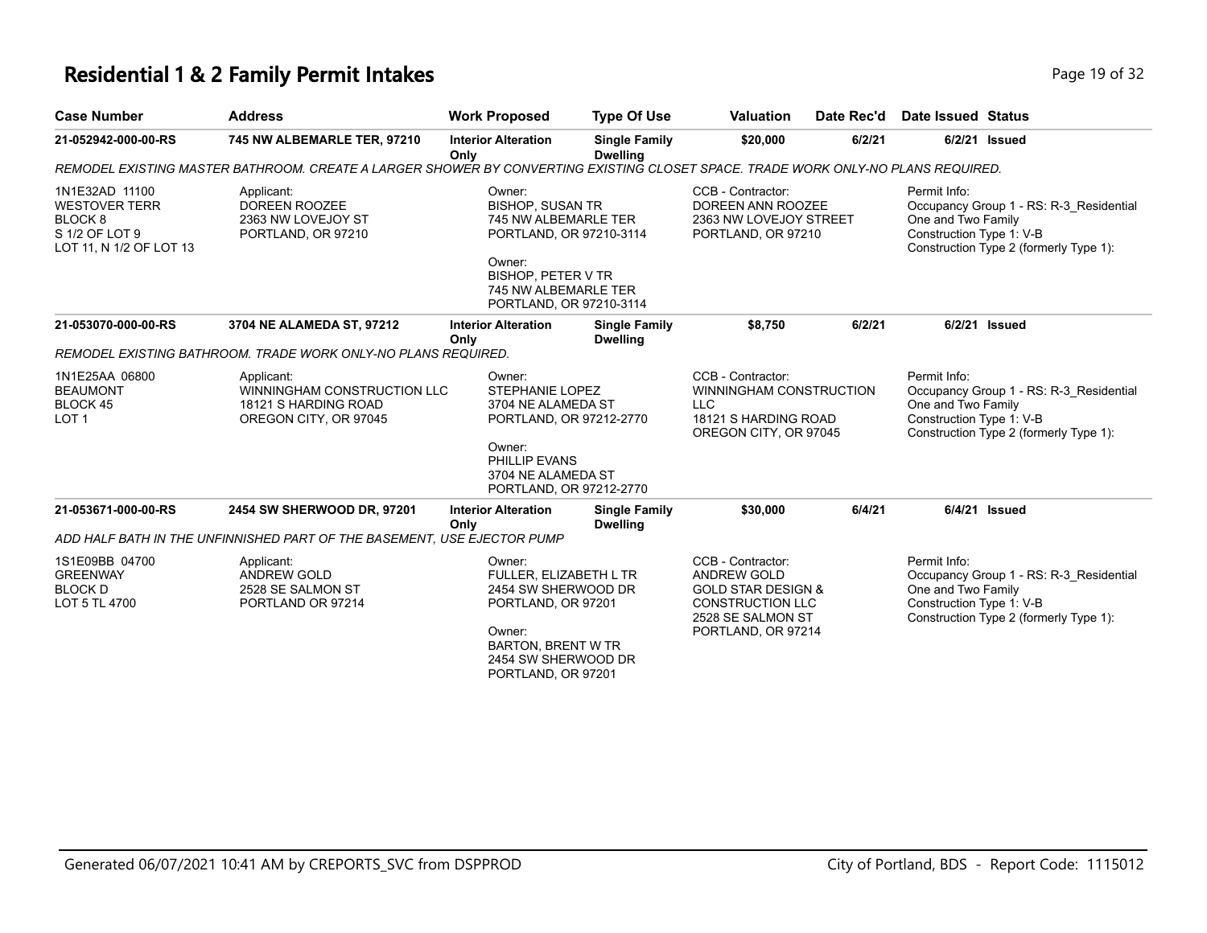### **Residential 1 & 2 Family Permit Intakes Page 19 of 32 Page 19 of 32**

| <b>Case Number</b>                                                                                        | <b>Address</b>                                                                                                                                                                                         | <b>Work Proposed</b>                                                                                                                                              | <b>Type Of Use</b>                                                                     | <b>Valuation</b>                                                                                                                               | Date Rec'd                                                     | <b>Date Issued Status</b>                                                                                                                           |                                                                                   |
|-----------------------------------------------------------------------------------------------------------|--------------------------------------------------------------------------------------------------------------------------------------------------------------------------------------------------------|-------------------------------------------------------------------------------------------------------------------------------------------------------------------|----------------------------------------------------------------------------------------|------------------------------------------------------------------------------------------------------------------------------------------------|----------------------------------------------------------------|-----------------------------------------------------------------------------------------------------------------------------------------------------|-----------------------------------------------------------------------------------|
| 21-052942-000-00-RS                                                                                       | <b>745 NW ALBEMARLE TER, 97210</b>                                                                                                                                                                     | <b>Interior Alteration</b><br>Only                                                                                                                                | <b>Single Family</b><br><b>Dwelling</b>                                                | \$20,000                                                                                                                                       | 6/2/21                                                         |                                                                                                                                                     | 6/2/21 Issued                                                                     |
|                                                                                                           | REMODEL EXISTING MASTER BATHROOM. CREATE A LARGER SHOWER BY CONVERTING EXISTING CLOSET SPACE. TRADE WORK ONLY-NO PLANS REQUIRED.                                                                       |                                                                                                                                                                   |                                                                                        |                                                                                                                                                |                                                                |                                                                                                                                                     |                                                                                   |
| 1N1E32AD 11100<br><b>WESTOVER TERR</b><br>BLOCK <sub>8</sub><br>S 1/2 OF LOT 9<br>LOT 11, N 1/2 OF LOT 13 | Applicant:<br>Owner:<br><b>DOREEN ROOZEE</b><br><b>BISHOP, SUSAN TR</b><br>2363 NW LOVEJOY ST<br>745 NW ALBEMARLE TER<br>PORTLAND, OR 97210<br>PORTLAND, OR 97210-3114<br>Owner:<br>BISHOP, PETER V TR |                                                                                                                                                                   | CCB - Contractor:<br>DOREEN ANN ROOZEE<br>2363 NW LOVEJOY STREET<br>PORTLAND, OR 97210 |                                                                                                                                                | Permit Info:<br>One and Two Family<br>Construction Type 1: V-B | Occupancy Group 1 - RS: R-3_Residential<br>Construction Type 2 (formerly Type 1):                                                                   |                                                                                   |
|                                                                                                           |                                                                                                                                                                                                        | 745 NW ALBEMARLE TER<br>PORTLAND, OR 97210-3114                                                                                                                   |                                                                                        |                                                                                                                                                |                                                                |                                                                                                                                                     |                                                                                   |
| 21-053070-000-00-RS                                                                                       | 3704 NE ALAMEDA ST, 97212                                                                                                                                                                              | <b>Interior Alteration</b><br>Only                                                                                                                                | <b>Single Family</b><br><b>Dwelling</b>                                                | \$8,750                                                                                                                                        | 6/2/21                                                         |                                                                                                                                                     | 6/2/21 Issued                                                                     |
|                                                                                                           | REMODEL EXISTING BATHROOM. TRADE WORK ONLY-NO PLANS REQUIRED.                                                                                                                                          |                                                                                                                                                                   |                                                                                        |                                                                                                                                                |                                                                |                                                                                                                                                     |                                                                                   |
| 1N1E25AA 06800<br><b>BEAUMONT</b><br>BLOCK 45<br>LOT <sub>1</sub>                                         | Applicant:<br>WINNINGHAM CONSTRUCTION LLC<br>18121 S HARDING ROAD<br>OREGON CITY, OR 97045                                                                                                             | Owner:<br><b>STEPHANIE LOPEZ</b><br>3704 NE ALAMEDA ST<br>PORTLAND, OR 97212-2770<br>Owner:<br>PHILLIP EVANS<br>3704 NE ALAMEDA ST<br>PORTLAND, OR 97212-2770     |                                                                                        | CCB - Contractor:<br>WINNINGHAM CONSTRUCTION<br><b>LLC</b><br>18121 S HARDING ROAD<br>OREGON CITY, OR 97045                                    |                                                                | Permit Info:<br>Occupancy Group 1 - RS: R-3_Residential<br>One and Two Family<br>Construction Type 1: V-B<br>Construction Type 2 (formerly Type 1): |                                                                                   |
|                                                                                                           |                                                                                                                                                                                                        |                                                                                                                                                                   |                                                                                        |                                                                                                                                                |                                                                |                                                                                                                                                     |                                                                                   |
| 21-053671-000-00-RS                                                                                       | 2454 SW SHERWOOD DR, 97201                                                                                                                                                                             | <b>Interior Alteration</b><br>Only                                                                                                                                | <b>Single Family</b><br><b>Dwelling</b>                                                | \$30,000                                                                                                                                       | 6/4/21                                                         |                                                                                                                                                     | 6/4/21 Issued                                                                     |
|                                                                                                           | ADD HALF BATH IN THE UNFINNISHED PART OF THE BASEMENT. USE EJECTOR PUMP                                                                                                                                |                                                                                                                                                                   |                                                                                        |                                                                                                                                                |                                                                |                                                                                                                                                     |                                                                                   |
| 1S1E09BB 04700<br><b>GREENWAY</b><br><b>BLOCK D</b><br>LOT 5 TL 4700                                      | Applicant:<br><b>ANDREW GOLD</b><br>2528 SE SALMON ST<br>PORTLAND OR 97214                                                                                                                             | Owner:<br>FULLER, ELIZABETH L TR<br>2454 SW SHERWOOD DR<br>PORTLAND, OR 97201<br>Owner:<br><b>BARTON, BRENT W TR</b><br>2454 SW SHERWOOD DR<br>PORTLAND, OR 97201 |                                                                                        | CCB - Contractor:<br><b>ANDREW GOLD</b><br><b>GOLD STAR DESIGN &amp;</b><br><b>CONSTRUCTION LLC</b><br>2528 SE SALMON ST<br>PORTLAND, OR 97214 |                                                                | Permit Info:<br>One and Two Family<br>Construction Type 1: V-B                                                                                      | Occupancy Group 1 - RS: R-3 Residential<br>Construction Type 2 (formerly Type 1): |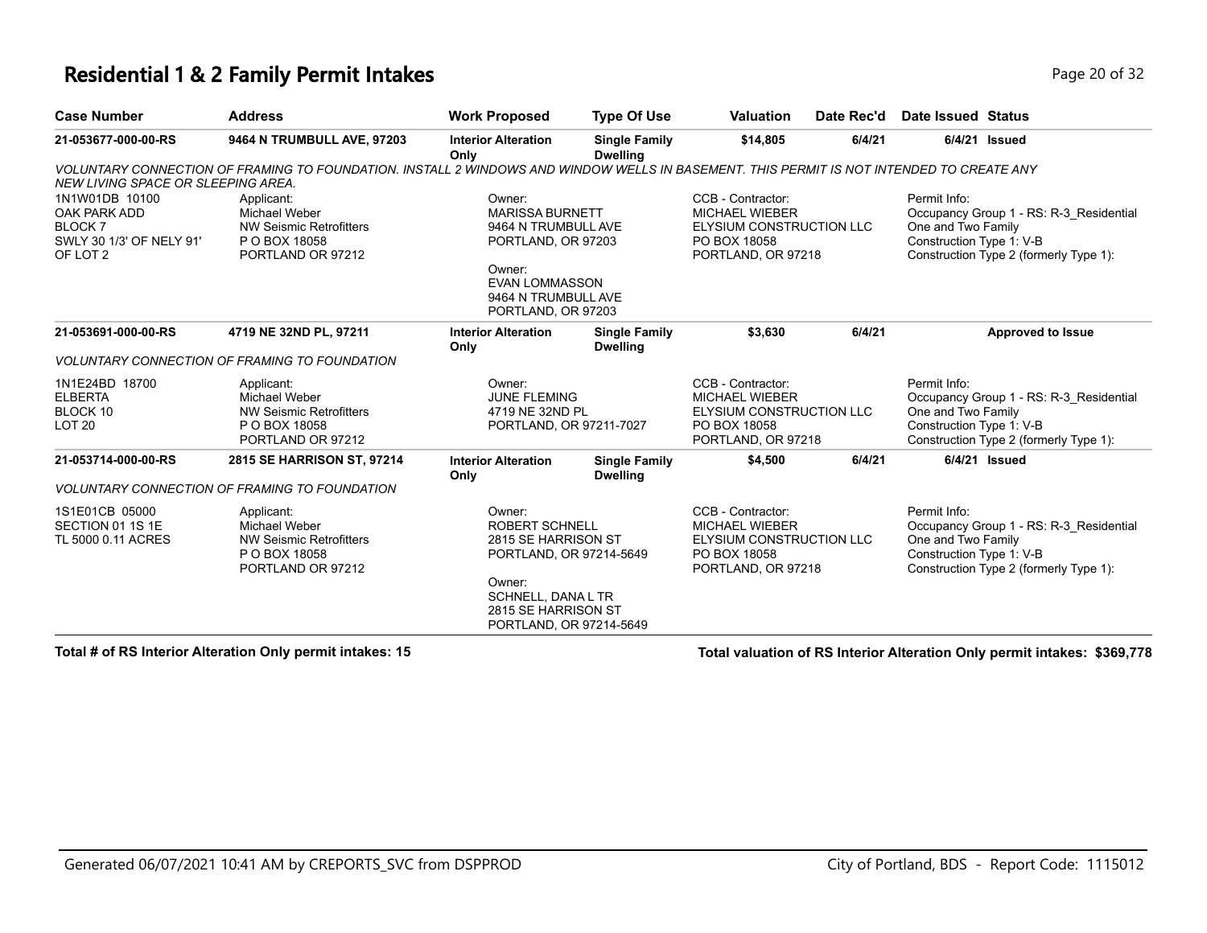#### **Residential 1 & 2 Family Permit Intakes Page 20 of 32 Page 20 of 32**

| <b>Case Number</b>                                                                                 | <b>Address</b>                                                                                                                           | <b>Work Proposed</b>                                                                                                                                                | <b>Type Of Use</b>                      | <b>Valuation</b>                                                                                             | Date Rec'd | <b>Date Issued Status</b>                                      |                                                                                   |
|----------------------------------------------------------------------------------------------------|------------------------------------------------------------------------------------------------------------------------------------------|---------------------------------------------------------------------------------------------------------------------------------------------------------------------|-----------------------------------------|--------------------------------------------------------------------------------------------------------------|------------|----------------------------------------------------------------|-----------------------------------------------------------------------------------|
| 21-053677-000-00-RS                                                                                | 9464 N TRUMBULL AVE, 97203                                                                                                               | <b>Interior Alteration</b><br>Only                                                                                                                                  | <b>Single Family</b><br><b>Dwelling</b> | \$14,805                                                                                                     | 6/4/21     | 6/4/21 Issued                                                  |                                                                                   |
| NEW LIVING SPACE OR SLEEPING AREA.                                                                 | VOLUNTARY CONNECTION OF FRAMING TO FOUNDATION. INSTALL 2 WINDOWS AND WINDOW WELLS IN BASEMENT. THIS PERMIT IS NOT INTENDED TO CREATE ANY |                                                                                                                                                                     |                                         |                                                                                                              |            |                                                                |                                                                                   |
| 1N1W01DB 10100<br>OAK PARK ADD<br><b>BLOCK7</b><br>SWLY 30 1/3' OF NELY 91'<br>OF LOT <sub>2</sub> | Applicant:<br>Michael Weber<br><b>NW Seismic Retrofitters</b><br>P O BOX 18058<br>PORTLAND OR 97212                                      | Owner:<br><b>MARISSA BURNETT</b><br>9464 N TRUMBULL AVE<br>PORTLAND, OR 97203<br>Owner:<br><b>EVAN LOMMASSON</b><br>9464 N TRUMBULL AVE<br>PORTLAND, OR 97203       |                                         | CCB - Contractor:<br><b>MICHAEL WIEBER</b><br>ELYSIUM CONSTRUCTION LLC<br>PO BOX 18058<br>PORTLAND, OR 97218 |            | Permit Info:<br>One and Two Family<br>Construction Type 1: V-B | Occupancy Group 1 - RS: R-3 Residential<br>Construction Type 2 (formerly Type 1): |
| 21-053691-000-00-RS                                                                                | 4719 NE 32ND PL, 97211                                                                                                                   | <b>Interior Alteration</b><br>Only                                                                                                                                  | <b>Single Family</b><br><b>Dwelling</b> | \$3,630                                                                                                      | 6/4/21     |                                                                | <b>Approved to Issue</b>                                                          |
|                                                                                                    | <b>VOLUNTARY CONNECTION OF FRAMING TO FOUNDATION</b>                                                                                     |                                                                                                                                                                     |                                         |                                                                                                              |            |                                                                |                                                                                   |
| 1N1E24BD 18700<br><b>ELBERTA</b><br>BLOCK 10<br><b>LOT 20</b>                                      | Applicant:<br>Michael Weber<br><b>NW Seismic Retrofitters</b><br>P O BOX 18058<br>PORTLAND OR 97212                                      | Owner:<br><b>JUNE FLEMING</b><br>4719 NE 32ND PL<br>PORTLAND, OR 97211-7027                                                                                         |                                         | CCB - Contractor:<br><b>MICHAEL WIEBER</b><br>ELYSIUM CONSTRUCTION LLC<br>PO BOX 18058<br>PORTLAND, OR 97218 |            | Permit Info:<br>One and Two Family<br>Construction Type 1: V-B | Occupancy Group 1 - RS: R-3 Residential<br>Construction Type 2 (formerly Type 1): |
| 21-053714-000-00-RS                                                                                | 2815 SE HARRISON ST, 97214                                                                                                               | <b>Interior Alteration</b><br>Only                                                                                                                                  | <b>Single Family</b><br><b>Dwelling</b> | \$4,500                                                                                                      | 6/4/21     | $6/4/21$ Issued                                                |                                                                                   |
|                                                                                                    | <b>VOLUNTARY CONNECTION OF FRAMING TO FOUNDATION</b>                                                                                     |                                                                                                                                                                     |                                         |                                                                                                              |            |                                                                |                                                                                   |
| 1S1E01CB 05000<br>SECTION 01 1S 1E<br>TL 5000 0.11 ACRES                                           | Applicant:<br>Michael Weber<br><b>NW Seismic Retrofitters</b><br>P O BOX 18058<br>PORTLAND OR 97212                                      | Owner:<br><b>ROBERT SCHNELL</b><br>2815 SE HARRISON ST<br>PORTLAND, OR 97214-5649<br>Owner:<br>SCHNELL, DANA L TR<br>2815 SE HARRISON ST<br>PORTLAND, OR 97214-5649 |                                         | CCB - Contractor:<br>MICHAEL WIEBER<br>ELYSIUM CONSTRUCTION LLC<br>PO BOX 18058<br>PORTLAND, OR 97218        |            | Permit Info:<br>One and Two Family<br>Construction Type 1: V-B | Occupancy Group 1 - RS: R-3 Residential<br>Construction Type 2 (formerly Type 1): |

**Total # of RS Interior Alteration Only permit intakes: 15 Total valuation of RS Interior Alteration Only permit intakes: \$369,778**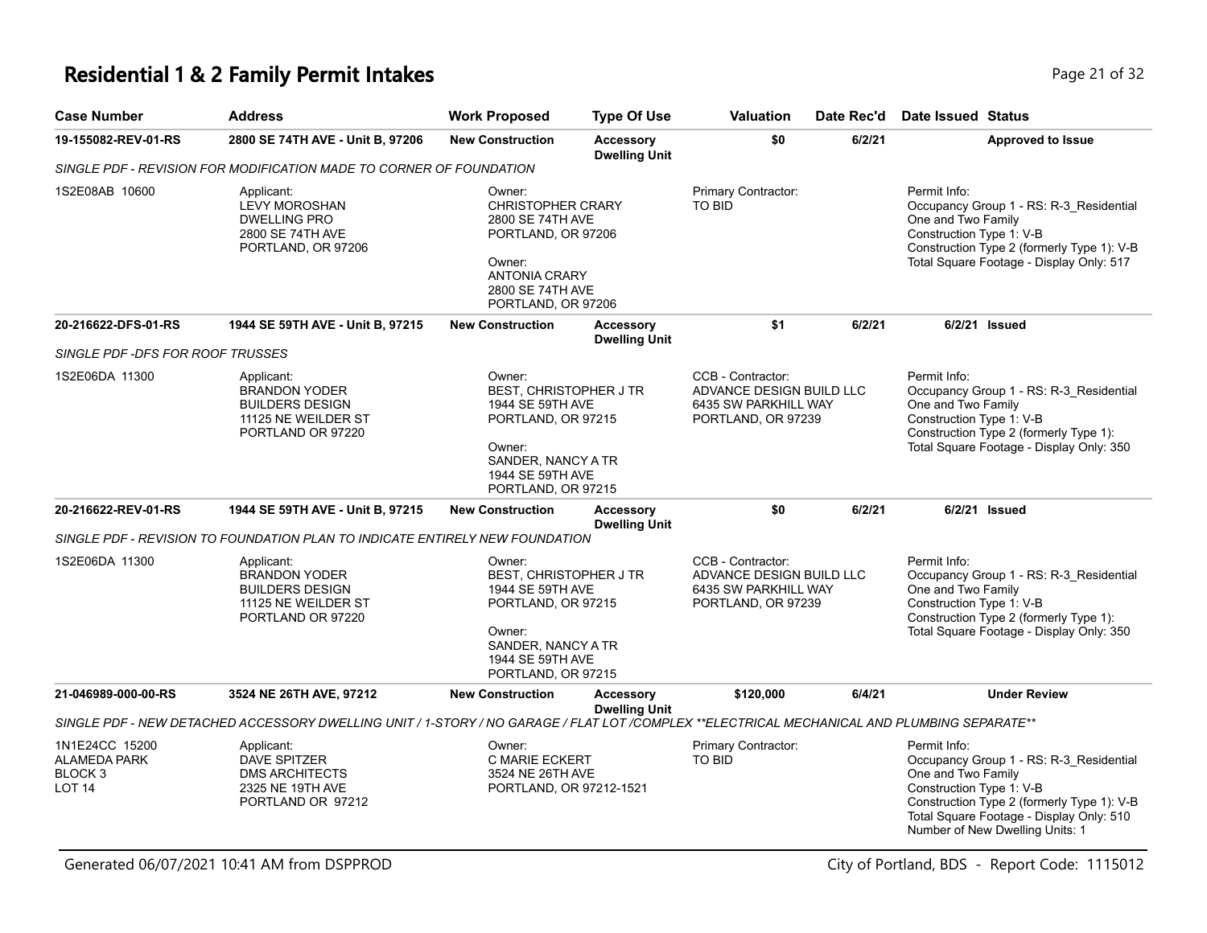## **Residential 1 & 2 Family Permit Intakes Page 21 of 32** Page 21 of 32

| <b>Case Number</b>                                                    | <b>Address</b>                                                                                                                              | <b>Work Proposed</b>                                                                                                                                        | <b>Type Of Use</b>                       | Valuation                                                                                   | Date Rec'd | <b>Date Issued Status</b>                                                                                                                                                                                                              |
|-----------------------------------------------------------------------|---------------------------------------------------------------------------------------------------------------------------------------------|-------------------------------------------------------------------------------------------------------------------------------------------------------------|------------------------------------------|---------------------------------------------------------------------------------------------|------------|----------------------------------------------------------------------------------------------------------------------------------------------------------------------------------------------------------------------------------------|
| 19-155082-REV-01-RS                                                   | 2800 SE 74TH AVE - Unit B, 97206                                                                                                            | <b>New Construction</b>                                                                                                                                     | <b>Accessory</b><br><b>Dwelling Unit</b> | \$0                                                                                         | 6/2/21     | <b>Approved to Issue</b>                                                                                                                                                                                                               |
|                                                                       | SINGLE PDF - REVISION FOR MODIFICATION MADE TO CORNER OF FOUNDATION                                                                         |                                                                                                                                                             |                                          |                                                                                             |            |                                                                                                                                                                                                                                        |
| 1S2E08AB 10600                                                        | Applicant:<br><b>LEVY MOROSHAN</b><br><b>DWELLING PRO</b><br>2800 SE 74TH AVE<br>PORTLAND, OR 97206                                         | Owner:<br><b>CHRISTOPHER CRARY</b><br>2800 SE 74TH AVE<br>PORTLAND, OR 97206<br>Owner:<br>ANTONIA CRARY<br>2800 SE 74TH AVE<br>PORTLAND, OR 97206           |                                          | Primary Contractor:<br><b>TO BID</b>                                                        |            | Permit Info:<br>Occupancy Group 1 - RS: R-3_Residential<br>One and Two Family<br>Construction Type 1: V-B<br>Construction Type 2 (formerly Type 1): V-B<br>Total Square Footage - Display Only: 517                                    |
| 20-216622-DFS-01-RS                                                   | 1944 SE 59TH AVE - Unit B, 97215                                                                                                            | <b>New Construction</b>                                                                                                                                     | <b>Accessory</b><br><b>Dwelling Unit</b> | \$1                                                                                         | 6/2/21     | 6/2/21 Issued                                                                                                                                                                                                                          |
| SINGLE PDF -DFS FOR ROOF TRUSSES                                      |                                                                                                                                             |                                                                                                                                                             |                                          |                                                                                             |            |                                                                                                                                                                                                                                        |
| 1S2E06DA 11300                                                        | Applicant:<br><b>BRANDON YODER</b><br><b>BUILDERS DESIGN</b><br>11125 NE WEILDER ST<br>PORTLAND OR 97220                                    | Owner:<br><b>BEST, CHRISTOPHER J TR</b><br>1944 SE 59TH AVE<br>PORTLAND, OR 97215<br>Owner:<br>SANDER, NANCY A TR<br>1944 SE 59TH AVE<br>PORTLAND, OR 97215 |                                          | CCB - Contractor:<br>ADVANCE DESIGN BUILD LLC<br>6435 SW PARKHILL WAY<br>PORTLAND, OR 97239 |            | Permit Info:<br>Occupancy Group 1 - RS: R-3_Residential<br>One and Two Family<br>Construction Type 1: V-B<br>Construction Type 2 (formerly Type 1):<br>Total Square Footage - Display Only: 350                                        |
| 20-216622-REV-01-RS                                                   | 1944 SE 59TH AVE - Unit B, 97215                                                                                                            | <b>New Construction</b>                                                                                                                                     | <b>Accessory</b><br><b>Dwelling Unit</b> | \$0                                                                                         | 6/2/21     | 6/2/21 Issued                                                                                                                                                                                                                          |
|                                                                       | SINGLE PDF - REVISION TO FOUNDATION PLAN TO INDICATE ENTIRELY NEW FOUNDATION                                                                |                                                                                                                                                             |                                          |                                                                                             |            |                                                                                                                                                                                                                                        |
| 1S2E06DA 11300                                                        | Applicant:<br><b>BRANDON YODER</b><br><b>BUILDERS DESIGN</b><br>11125 NE WEILDER ST<br>PORTLAND OR 97220                                    | Owner:<br><b>BEST, CHRISTOPHER J TR</b><br>1944 SE 59TH AVE<br>PORTLAND, OR 97215<br>Owner:<br>SANDER, NANCY A TR<br>1944 SE 59TH AVE<br>PORTLAND, OR 97215 |                                          | CCB - Contractor:<br>ADVANCE DESIGN BUILD LLC<br>6435 SW PARKHILL WAY<br>PORTLAND, OR 97239 |            | Permit Info:<br>Occupancy Group 1 - RS: R-3 Residential<br>One and Two Family<br>Construction Type 1: V-B<br>Construction Type 2 (formerly Type 1):<br>Total Square Footage - Display Only: 350                                        |
| 21-046989-000-00-RS                                                   | 3524 NE 26TH AVE, 97212                                                                                                                     | <b>New Construction</b>                                                                                                                                     | <b>Accessory</b><br><b>Dwelling Unit</b> | \$120,000                                                                                   | 6/4/21     | <b>Under Review</b>                                                                                                                                                                                                                    |
|                                                                       | SINGLE PDF - NEW DETACHED ACCESSORY DWELLING UNIT / 1-STORY / NO GARAGE / FLAT LOT /COMPLEX **ELECTRICAL MECHANICAL AND PLUMBING SEPARATE** |                                                                                                                                                             |                                          |                                                                                             |            |                                                                                                                                                                                                                                        |
| 1N1E24CC 15200<br>ALAMEDA PARK<br>BLOCK <sub>3</sub><br><b>LOT 14</b> | Applicant:<br><b>DAVE SPITZER</b><br><b>DMS ARCHITECTS</b><br>2325 NE 19TH AVE<br>PORTLAND OR 97212                                         | Owner:<br>C MARIE ECKERT<br>3524 NE 26TH AVE<br>PORTLAND, OR 97212-1521                                                                                     |                                          | Primary Contractor:<br>TO BID                                                               |            | Permit Info:<br>Occupancy Group 1 - RS: R-3_Residential<br>One and Two Family<br>Construction Type 1: V-B<br>Construction Type 2 (formerly Type 1): V-B<br>Total Square Footage - Display Only: 510<br>Number of New Dwelling Units: 1 |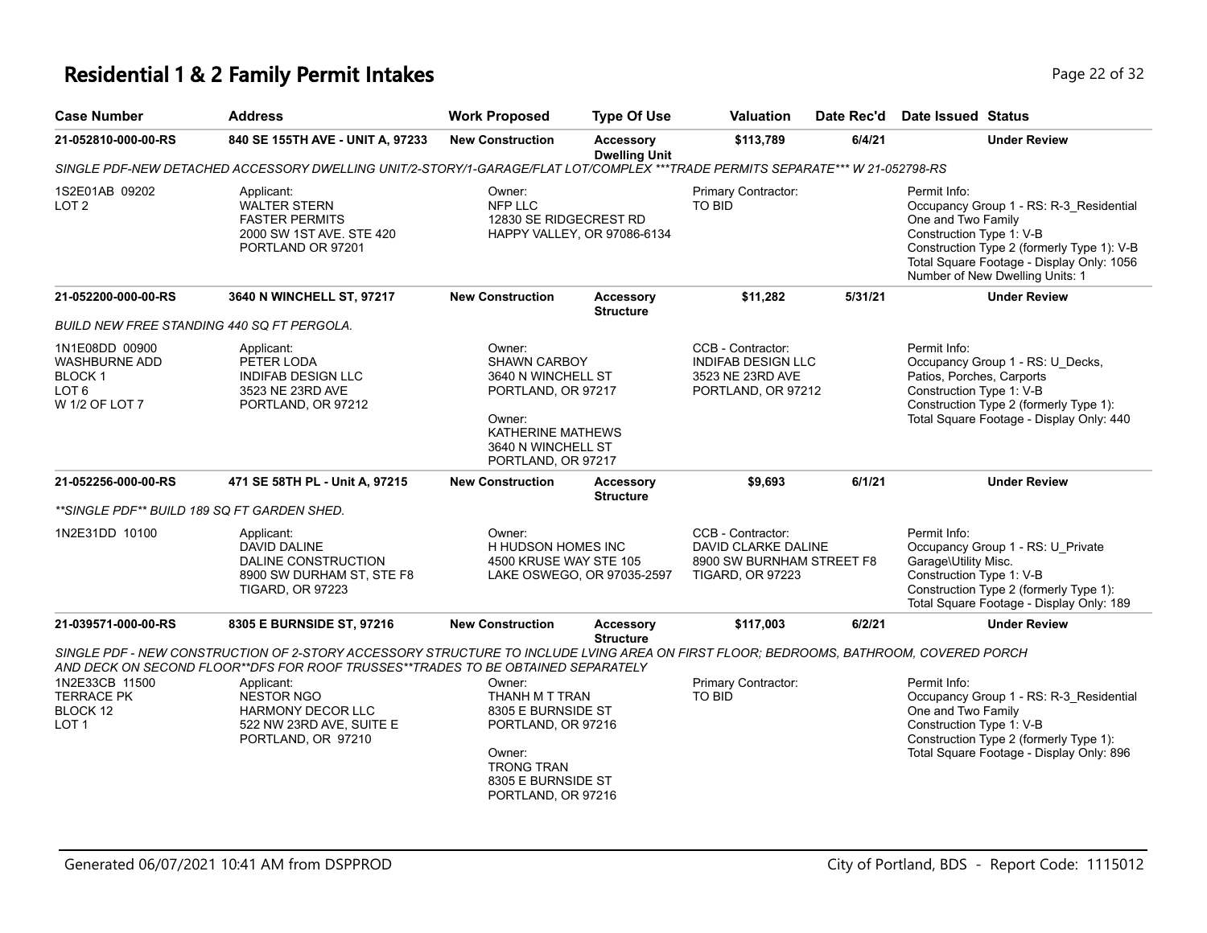# **Residential 1 & 2 Family Permit Intakes Page 22 of 32** Page 22 of 32

| <b>Case Number</b>                                                                      | <b>Address</b>                                                                                                                                                                                                           | <b>Work Proposed</b>                                                                                                                                 | <b>Type Of Use</b>                       | <b>Valuation</b>                                                                                 | Date Rec'd | <b>Date Issued Status</b>                                                                                                                                                                                                               |  |  |  |  |  |
|-----------------------------------------------------------------------------------------|--------------------------------------------------------------------------------------------------------------------------------------------------------------------------------------------------------------------------|------------------------------------------------------------------------------------------------------------------------------------------------------|------------------------------------------|--------------------------------------------------------------------------------------------------|------------|-----------------------------------------------------------------------------------------------------------------------------------------------------------------------------------------------------------------------------------------|--|--|--|--|--|
| 21-052810-000-00-RS                                                                     | 840 SE 155TH AVE - UNIT A, 97233                                                                                                                                                                                         | <b>New Construction</b>                                                                                                                              | <b>Accessory</b><br><b>Dwelling Unit</b> | 6/4/21<br>\$113,789                                                                              |            | <b>Under Review</b>                                                                                                                                                                                                                     |  |  |  |  |  |
|                                                                                         | SINGLE PDF-NEW DETACHED ACCESSORY DWELLING UNIT/2-STORY/1-GARAGE/FLAT LOT/COMPLEX ***TRADE PERMITS SEPARATE*** W 21-052798-RS                                                                                            |                                                                                                                                                      |                                          |                                                                                                  |            |                                                                                                                                                                                                                                         |  |  |  |  |  |
| 1S2E01AB 09202<br>LOT <sub>2</sub>                                                      | Applicant:<br><b>WALTER STERN</b><br><b>FASTER PERMITS</b><br>2000 SW 1ST AVE. STE 420<br>PORTLAND OR 97201                                                                                                              | Owner:<br>NFP LLC<br>12830 SE RIDGECREST RD                                                                                                          | HAPPY VALLEY, OR 97086-6134              | Primary Contractor:<br><b>TO BID</b>                                                             |            | Permit Info:<br>Occupancy Group 1 - RS: R-3 Residential<br>One and Two Family<br>Construction Type 1: V-B<br>Construction Type 2 (formerly Type 1): V-B<br>Total Square Footage - Display Only: 1056<br>Number of New Dwelling Units: 1 |  |  |  |  |  |
| 21-052200-000-00-RS                                                                     | 3640 N WINCHELL ST, 97217                                                                                                                                                                                                | <b>New Construction</b>                                                                                                                              | <b>Accessory</b><br><b>Structure</b>     | \$11,282                                                                                         | 5/31/21    | <b>Under Review</b>                                                                                                                                                                                                                     |  |  |  |  |  |
| <b>BUILD NEW FREE STANDING 440 SQ FT PERGOLA.</b>                                       |                                                                                                                                                                                                                          |                                                                                                                                                      |                                          |                                                                                                  |            |                                                                                                                                                                                                                                         |  |  |  |  |  |
| 1N1E08DD 00900<br><b>WASHBURNE ADD</b><br>BLOCK 1<br>LOT <sub>6</sub><br>W 1/2 OF LOT 7 | Applicant:<br>PETER LODA<br><b>INDIFAB DESIGN LLC</b><br>3523 NE 23RD AVE<br>PORTLAND, OR 97212                                                                                                                          | Owner:<br><b>SHAWN CARBOY</b><br>3640 N WINCHELL ST<br>PORTLAND, OR 97217<br>Owner:<br>KATHERINE MATHEWS<br>3640 N WINCHELL ST<br>PORTLAND, OR 97217 |                                          | CCB - Contractor:<br><b>INDIFAB DESIGN LLC</b><br>3523 NE 23RD AVE<br>PORTLAND, OR 97212         |            | Permit Info:<br>Occupancy Group 1 - RS: U_Decks,<br>Patios, Porches, Carports<br>Construction Type 1: V-B<br>Construction Type 2 (formerly Type 1):<br>Total Square Footage - Display Only: 440                                         |  |  |  |  |  |
| 21-052256-000-00-RS                                                                     | 471 SE 58TH PL - Unit A, 97215                                                                                                                                                                                           | <b>New Construction</b>                                                                                                                              | <b>Accessory</b><br><b>Structure</b>     | \$9,693                                                                                          | 6/1/21     | <b>Under Review</b>                                                                                                                                                                                                                     |  |  |  |  |  |
| **SINGLE PDF** BUILD 189 SQ FT GARDEN SHED.                                             |                                                                                                                                                                                                                          |                                                                                                                                                      |                                          |                                                                                                  |            |                                                                                                                                                                                                                                         |  |  |  |  |  |
| 1N2E31DD 10100                                                                          | Applicant:<br>DAVID DALINE<br><b>DALINE CONSTRUCTION</b><br>8900 SW DURHAM ST, STE F8<br><b>TIGARD, OR 97223</b>                                                                                                         | Owner:<br>H HUDSON HOMES INC<br>4500 KRUSE WAY STE 105                                                                                               | LAKE OSWEGO, OR 97035-2597               | CCB - Contractor:<br>DAVID CLARKE DALINE<br>8900 SW BURNHAM STREET F8<br><b>TIGARD, OR 97223</b> |            | Permit Info:<br>Occupancy Group 1 - RS: U_Private<br>Garage\Utility Misc.<br>Construction Type 1: V-B<br>Construction Type 2 (formerly Type 1):<br>Total Square Footage - Display Only: 189                                             |  |  |  |  |  |
| 21-039571-000-00-RS                                                                     | 8305 E BURNSIDE ST, 97216                                                                                                                                                                                                | <b>New Construction</b>                                                                                                                              | Accessory<br><b>Structure</b>            | \$117,003                                                                                        | 6/2/21     | <b>Under Review</b>                                                                                                                                                                                                                     |  |  |  |  |  |
|                                                                                         | SINGLE PDF - NEW CONSTRUCTION OF 2-STORY ACCESSORY STRUCTURE TO INCLUDE LVING AREA ON FIRST FLOOR; BEDROOMS, BATHROOM, COVERED PORCH<br>AND DECK ON SECOND FLOOR**DFS FOR ROOF TRUSSES**TRADES TO BE OBTAINED SEPARATELY |                                                                                                                                                      |                                          |                                                                                                  |            |                                                                                                                                                                                                                                         |  |  |  |  |  |
| 1N2E33CB 11500<br><b>TERRACE PK</b><br>BLOCK 12<br>LOT <sub>1</sub>                     | Applicant:<br><b>NESTOR NGO</b><br><b>HARMONY DECOR LLC</b><br>522 NW 23RD AVE, SUITE E<br>PORTLAND, OR 97210                                                                                                            | Owner:<br>THANH M T TRAN<br>8305 E BURNSIDE ST<br>PORTLAND, OR 97216<br>Owner:<br><b>TRONG TRAN</b><br>8305 E BURNSIDE ST<br>PORTLAND, OR 97216      |                                          | Primary Contractor:<br><b>TO BID</b>                                                             |            | Permit Info:<br>Occupancy Group 1 - RS: R-3_Residential<br>One and Two Family<br>Construction Type 1: V-B<br>Construction Type 2 (formerly Type 1):<br>Total Square Footage - Display Only: 896                                         |  |  |  |  |  |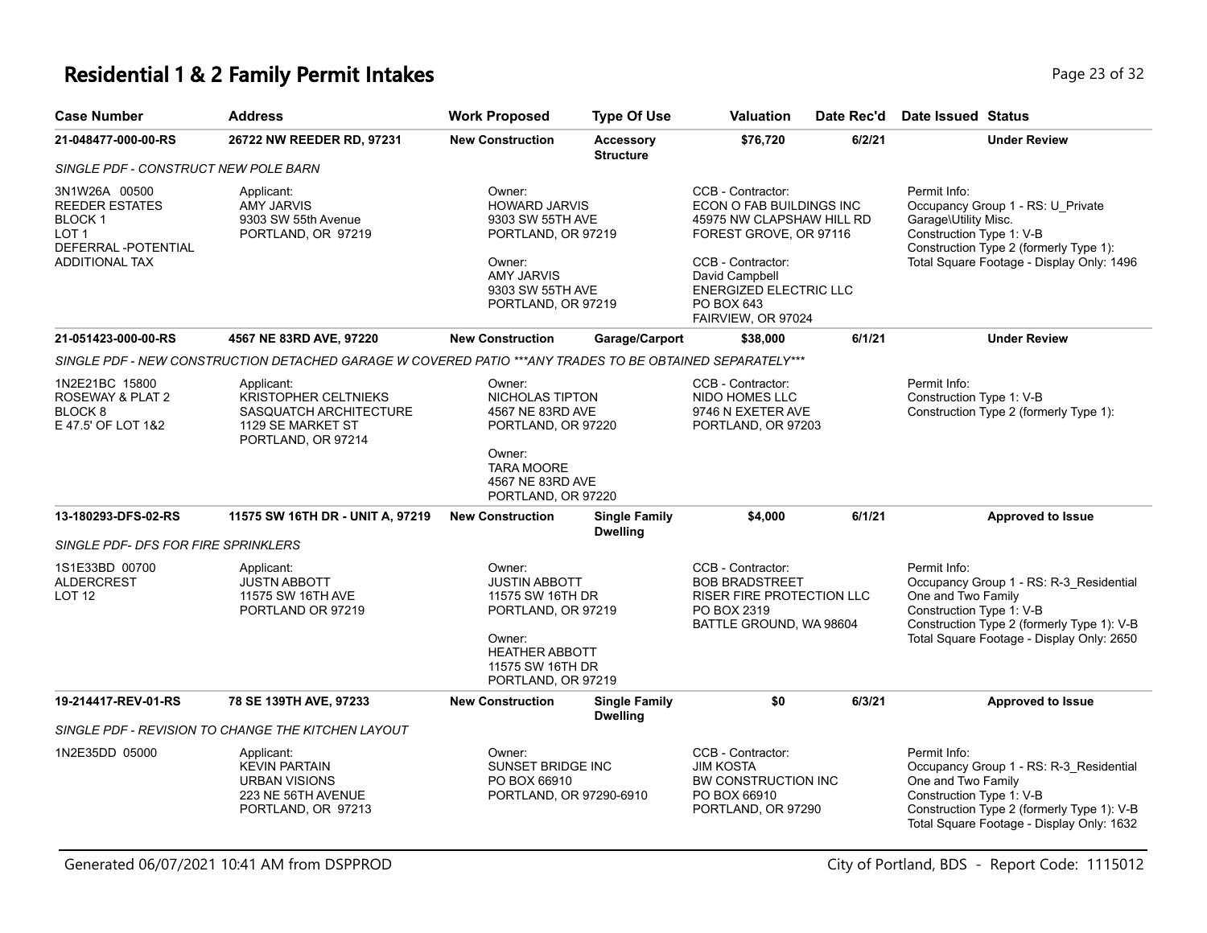## **Residential 1 & 2 Family Permit Intakes Page 11 October 23 of 32** Page 23 of 32

| <b>Case Number</b>                                                                                                       | <b>Address</b>                                                                                                 | <b>Work Proposed</b>                                                                                                                                  | <b>Type Of Use</b>                      | <b>Valuation</b>                                                                                                                                                                                                 | Date Rec'd | <b>Date Issued Status</b>                                                                                                                                                                            |
|--------------------------------------------------------------------------------------------------------------------------|----------------------------------------------------------------------------------------------------------------|-------------------------------------------------------------------------------------------------------------------------------------------------------|-----------------------------------------|------------------------------------------------------------------------------------------------------------------------------------------------------------------------------------------------------------------|------------|------------------------------------------------------------------------------------------------------------------------------------------------------------------------------------------------------|
| 21-048477-000-00-RS                                                                                                      | 26722 NW REEDER RD, 97231                                                                                      | <b>New Construction</b>                                                                                                                               | <b>Accessory</b><br><b>Structure</b>    | \$76,720                                                                                                                                                                                                         | 6/2/21     | <b>Under Review</b>                                                                                                                                                                                  |
| SINGLE PDF - CONSTRUCT NEW POLE BARN                                                                                     |                                                                                                                |                                                                                                                                                       |                                         |                                                                                                                                                                                                                  |            |                                                                                                                                                                                                      |
| 3N1W26A 00500<br><b>REEDER ESTATES</b><br>BLOCK <sub>1</sub><br>LOT <sub>1</sub><br>DEFERRAL-POTENTIAL<br>ADDITIONAL TAX | Applicant:<br><b>AMY JARVIS</b><br>9303 SW 55th Avenue<br>PORTLAND, OR 97219                                   | Owner:<br><b>HOWARD JARVIS</b><br>9303 SW 55TH AVE<br>PORTLAND, OR 97219<br>Owner:<br><b>AMY JARVIS</b><br>9303 SW 55TH AVE<br>PORTLAND, OR 97219     |                                         | CCB - Contractor:<br>ECON O FAB BUILDINGS INC<br>45975 NW CLAPSHAW HILL RD<br>FOREST GROVE, OR 97116<br>CCB - Contractor:<br>David Campbell<br><b>ENERGIZED ELECTRIC LLC</b><br>PO BOX 643<br>FAIRVIEW, OR 97024 |            | Permit Info:<br>Occupancy Group 1 - RS: U_Private<br>Garage\Utility Misc.<br>Construction Type 1: V-B<br>Construction Type 2 (formerly Type 1):<br>Total Square Footage - Display Only: 1496         |
| 21-051423-000-00-RS                                                                                                      | 4567 NE 83RD AVE, 97220                                                                                        | <b>New Construction</b>                                                                                                                               | Garage/Carport                          | \$38,000                                                                                                                                                                                                         | 6/1/21     | <b>Under Review</b>                                                                                                                                                                                  |
|                                                                                                                          | SINGLE PDF - NEW CONSTRUCTION DETACHED GARAGE W COVERED PATIO ***ANY TRADES TO BE OBTAINED SEPARATELY***       |                                                                                                                                                       |                                         |                                                                                                                                                                                                                  |            |                                                                                                                                                                                                      |
| 1N2E21BC 15800<br>ROSEWAY & PLAT 2<br>BLOCK <sub>8</sub><br>E 47.5' OF LOT 1&2                                           | Applicant:<br><b>KRISTOPHER CELTNIEKS</b><br>SASQUATCH ARCHITECTURE<br>1129 SE MARKET ST<br>PORTLAND, OR 97214 | Owner:<br>NICHOLAS TIPTON<br>4567 NE 83RD AVE<br>PORTLAND, OR 97220                                                                                   |                                         | CCB - Contractor:<br>NIDO HOMES LLC<br>9746 N EXETER AVE<br>PORTLAND, OR 97203                                                                                                                                   |            | Permit Info:<br>Construction Type 1: V-B<br>Construction Type 2 (formerly Type 1):                                                                                                                   |
|                                                                                                                          |                                                                                                                | Owner:<br><b>TARA MOORE</b><br>4567 NE 83RD AVE<br>PORTLAND, OR 97220                                                                                 |                                         |                                                                                                                                                                                                                  |            |                                                                                                                                                                                                      |
| 13-180293-DFS-02-RS                                                                                                      | 11575 SW 16TH DR - UNIT A, 97219                                                                               | <b>New Construction</b>                                                                                                                               | <b>Single Family</b><br><b>Dwelling</b> | \$4,000                                                                                                                                                                                                          | 6/1/21     | <b>Approved to Issue</b>                                                                                                                                                                             |
| SINGLE PDF- DFS FOR FIRE SPRINKLERS                                                                                      |                                                                                                                |                                                                                                                                                       |                                         |                                                                                                                                                                                                                  |            |                                                                                                                                                                                                      |
| 1S1E33BD 00700<br><b>ALDERCREST</b><br>LOT <sub>12</sub>                                                                 | Applicant:<br><b>JUSTN ABBOTT</b><br>11575 SW 16TH AVE<br>PORTLAND OR 97219                                    | Owner:<br><b>JUSTIN ABBOTT</b><br>11575 SW 16TH DR<br>PORTLAND, OR 97219<br>Owner:<br><b>HEATHER ABBOTT</b><br>11575 SW 16TH DR<br>PORTLAND, OR 97219 |                                         | CCB - Contractor:<br><b>BOB BRADSTREET</b><br><b>RISER FIRE PROTECTION LLC</b><br>PO BOX 2319<br>BATTLE GROUND, WA 98604                                                                                         |            | Permit Info:<br>Occupancy Group 1 - RS: R-3_Residential<br>One and Two Family<br>Construction Type 1: V-B<br>Construction Type 2 (formerly Type 1): V-B<br>Total Square Footage - Display Only: 2650 |
| 19-214417-REV-01-RS                                                                                                      | 78 SE 139TH AVE, 97233                                                                                         | <b>New Construction</b>                                                                                                                               | <b>Single Family</b><br><b>Dwelling</b> | \$0                                                                                                                                                                                                              | 6/3/21     | <b>Approved to Issue</b>                                                                                                                                                                             |
|                                                                                                                          | SINGLE PDF - REVISION TO CHANGE THE KITCHEN LAYOUT                                                             |                                                                                                                                                       |                                         |                                                                                                                                                                                                                  |            |                                                                                                                                                                                                      |
| 1N2E35DD 05000                                                                                                           | Applicant:<br><b>KEVIN PARTAIN</b><br><b>URBAN VISIONS</b><br>223 NE 56TH AVENUE<br>PORTLAND, OR 97213         | Owner:<br>SUNSET BRIDGE INC<br>PO BOX 66910<br>PORTLAND, OR 97290-6910                                                                                |                                         | CCB - Contractor:<br><b>JIM KOSTA</b><br><b>BW CONSTRUCTION INC</b><br>PO BOX 66910<br>PORTLAND, OR 97290                                                                                                        |            | Permit Info:<br>Occupancy Group 1 - RS: R-3_Residential<br>One and Two Family<br>Construction Type 1: V-B<br>Construction Type 2 (formerly Type 1): V-B<br>Total Square Footage - Display Only: 1632 |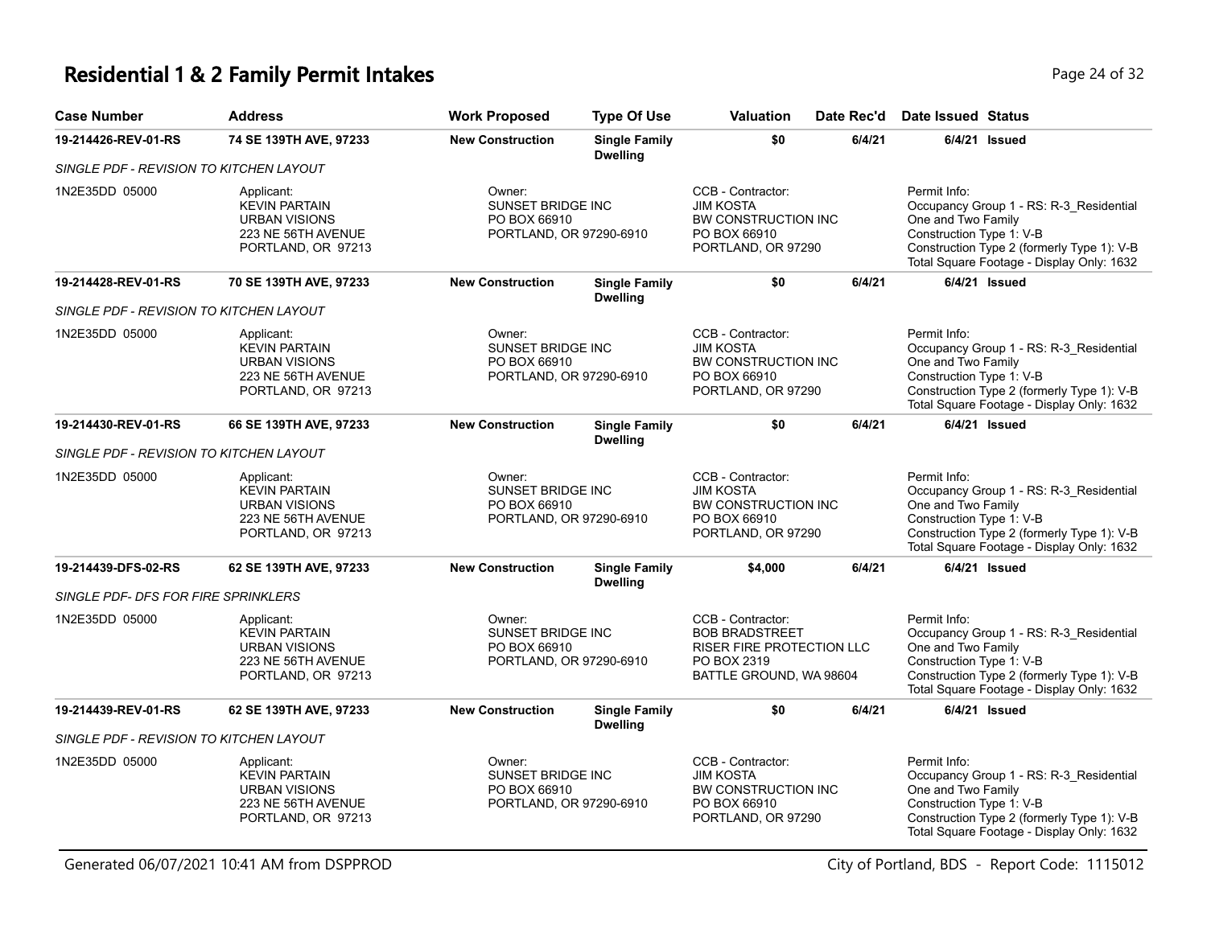## **Residential 1 & 2 Family Permit Intakes Page 24 of 32** Page 24 of 32

| <b>Case Number</b>                         | <b>Address</b>                                                                                         | <b>Work Proposed</b>                                                   | <b>Type Of Use</b>                      | Valuation                                                                                                         | Date Rec'd | <b>Date Issued Status</b>                                      |                                                                                                                                    |
|--------------------------------------------|--------------------------------------------------------------------------------------------------------|------------------------------------------------------------------------|-----------------------------------------|-------------------------------------------------------------------------------------------------------------------|------------|----------------------------------------------------------------|------------------------------------------------------------------------------------------------------------------------------------|
| 19-214426-REV-01-RS                        | 74 SE 139TH AVE, 97233                                                                                 | <b>New Construction</b>                                                | <b>Single Family</b><br><b>Dwelling</b> | \$0                                                                                                               | 6/4/21     |                                                                | $6/4/21$ Issued                                                                                                                    |
| SINGLE PDF - REVISION TO KITCHEN LAYOUT    |                                                                                                        |                                                                        |                                         |                                                                                                                   |            |                                                                |                                                                                                                                    |
| 1N2E35DD 05000                             | Applicant:<br><b>KEVIN PARTAIN</b><br><b>URBAN VISIONS</b><br>223 NE 56TH AVENUE<br>PORTLAND, OR 97213 | Owner:<br>SUNSET BRIDGE INC<br>PO BOX 66910<br>PORTLAND, OR 97290-6910 |                                         | CCB - Contractor:<br><b>JIM KOSTA</b><br>BW CONSTRUCTION INC<br>PO BOX 66910<br>PORTLAND, OR 97290                |            | Permit Info:<br>One and Two Family<br>Construction Type 1: V-B | Occupancy Group 1 - RS: R-3_Residential<br>Construction Type 2 (formerly Type 1): V-B<br>Total Square Footage - Display Only: 1632 |
| 19-214428-REV-01-RS                        | 70 SE 139TH AVE, 97233                                                                                 | <b>New Construction</b>                                                | <b>Single Family</b><br><b>Dwelling</b> | \$0                                                                                                               | 6/4/21     |                                                                | 6/4/21 Issued                                                                                                                      |
| SINGLE PDF - REVISION TO KITCHEN LAYOUT    |                                                                                                        |                                                                        |                                         |                                                                                                                   |            |                                                                |                                                                                                                                    |
| 1N2E35DD 05000                             | Applicant:<br><b>KEVIN PARTAIN</b><br><b>URBAN VISIONS</b><br>223 NE 56TH AVENUE<br>PORTLAND, OR 97213 | Owner:<br>SUNSET BRIDGE INC<br>PO BOX 66910<br>PORTLAND, OR 97290-6910 |                                         | CCB - Contractor:<br><b>JIM KOSTA</b><br>BW CONSTRUCTION INC<br>PO BOX 66910<br>PORTLAND, OR 97290                |            | Permit Info:<br>One and Two Family<br>Construction Type 1: V-B | Occupancy Group 1 - RS: R-3_Residential<br>Construction Type 2 (formerly Type 1): V-B<br>Total Square Footage - Display Only: 1632 |
| 19-214430-REV-01-RS                        | 66 SE 139TH AVE, 97233                                                                                 | <b>New Construction</b>                                                | <b>Single Family</b><br><b>Dwelling</b> | \$0                                                                                                               | 6/4/21     |                                                                | 6/4/21 Issued                                                                                                                      |
| SINGLE PDF - REVISION TO KITCHEN LAYOUT    |                                                                                                        |                                                                        |                                         |                                                                                                                   |            |                                                                |                                                                                                                                    |
| 1N2E35DD 05000                             | Applicant:<br><b>KEVIN PARTAIN</b><br><b>URBAN VISIONS</b><br>223 NE 56TH AVENUE<br>PORTLAND, OR 97213 | Owner:<br>SUNSET BRIDGE INC<br>PO BOX 66910<br>PORTLAND, OR 97290-6910 |                                         | CCB - Contractor:<br><b>JIM KOSTA</b><br>BW CONSTRUCTION INC<br>PO BOX 66910<br>PORTLAND, OR 97290                |            | Permit Info:<br>One and Two Family<br>Construction Type 1: V-B | Occupancy Group 1 - RS: R-3_Residential<br>Construction Type 2 (formerly Type 1): V-B<br>Total Square Footage - Display Only: 1632 |
| 19-214439-DFS-02-RS                        | 62 SE 139TH AVE, 97233                                                                                 | <b>New Construction</b>                                                | <b>Single Family</b><br><b>Dwelling</b> | \$4,000                                                                                                           | 6/4/21     |                                                                | 6/4/21 Issued                                                                                                                      |
| <b>SINGLE PDF- DFS FOR FIRE SPRINKLERS</b> |                                                                                                        |                                                                        |                                         |                                                                                                                   |            |                                                                |                                                                                                                                    |
| 1N2E35DD 05000                             | Applicant:<br><b>KEVIN PARTAIN</b><br><b>URBAN VISIONS</b><br>223 NE 56TH AVENUE<br>PORTLAND, OR 97213 | Owner:<br>SUNSET BRIDGE INC<br>PO BOX 66910<br>PORTLAND, OR 97290-6910 |                                         | CCB - Contractor:<br><b>BOB BRADSTREET</b><br>RISER FIRE PROTECTION LLC<br>PO BOX 2319<br>BATTLE GROUND, WA 98604 |            | Permit Info:<br>One and Two Family<br>Construction Type 1: V-B | Occupancy Group 1 - RS: R-3_Residential<br>Construction Type 2 (formerly Type 1): V-B<br>Total Square Footage - Display Only: 1632 |
| 19-214439-REV-01-RS                        | 62 SE 139TH AVE, 97233                                                                                 | <b>New Construction</b>                                                | <b>Single Family</b><br><b>Dwelling</b> | \$0                                                                                                               | 6/4/21     |                                                                | $6/4/21$ Issued                                                                                                                    |
| SINGLE PDF - REVISION TO KITCHEN LAYOUT    |                                                                                                        |                                                                        |                                         |                                                                                                                   |            |                                                                |                                                                                                                                    |
| 1N2E35DD 05000                             | Applicant:<br><b>KEVIN PARTAIN</b><br><b>URBAN VISIONS</b><br>223 NE 56TH AVENUE<br>PORTLAND, OR 97213 | Owner:<br>SUNSET BRIDGE INC<br>PO BOX 66910<br>PORTLAND, OR 97290-6910 |                                         | CCB - Contractor:<br><b>JIM KOSTA</b><br>BW CONSTRUCTION INC<br>PO BOX 66910<br>PORTLAND, OR 97290                |            | Permit Info:<br>One and Two Family<br>Construction Type 1: V-B | Occupancy Group 1 - RS: R-3_Residential<br>Construction Type 2 (formerly Type 1): V-B<br>Total Square Footage - Display Only: 1632 |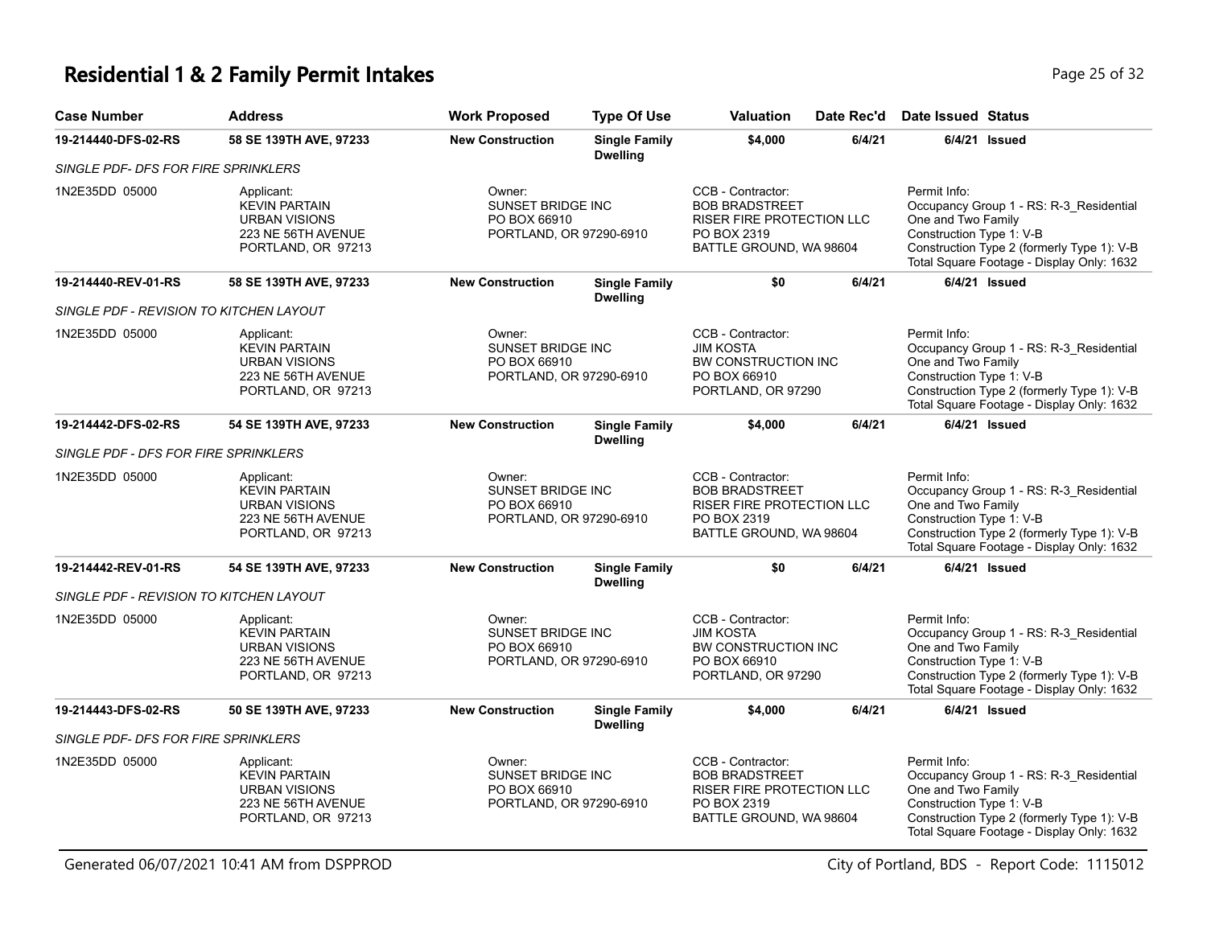### **Residential 1 & 2 Family Permit Intakes Page 25 of 32** Page 25 of 32

| <b>Case Number</b>                      | <b>Address</b>                                                                                         | <b>Work Proposed</b>                                                          | <b>Type Of Use</b>                      | Valuation                                                                                                                | Date Rec'd | <b>Date Issued Status</b>                                      |                                                                                                                                    |
|-----------------------------------------|--------------------------------------------------------------------------------------------------------|-------------------------------------------------------------------------------|-----------------------------------------|--------------------------------------------------------------------------------------------------------------------------|------------|----------------------------------------------------------------|------------------------------------------------------------------------------------------------------------------------------------|
| 19-214440-DFS-02-RS                     | 58 SE 139TH AVE, 97233                                                                                 | <b>New Construction</b>                                                       | <b>Single Family</b><br><b>Dwelling</b> | \$4,000                                                                                                                  | 6/4/21     | $6/4/21$ Issued                                                |                                                                                                                                    |
| SINGLE PDF- DFS FOR FIRE SPRINKLERS     |                                                                                                        |                                                                               |                                         |                                                                                                                          |            |                                                                |                                                                                                                                    |
| 1N2E35DD 05000                          | Applicant:<br><b>KEVIN PARTAIN</b><br><b>URBAN VISIONS</b><br>223 NE 56TH AVENUE<br>PORTLAND, OR 97213 | Owner:<br>SUNSET BRIDGE INC<br>PO BOX 66910<br>PORTLAND, OR 97290-6910        |                                         | CCB - Contractor:<br><b>BOB BRADSTREET</b><br>RISER FIRE PROTECTION LLC<br>PO BOX 2319<br>BATTLE GROUND, WA 98604        |            | Permit Info:<br>One and Two Family<br>Construction Type 1: V-B | Occupancy Group 1 - RS: R-3_Residential<br>Construction Type 2 (formerly Type 1): V-B<br>Total Square Footage - Display Only: 1632 |
| 19-214440-REV-01-RS                     | 58 SE 139TH AVE, 97233                                                                                 | <b>New Construction</b>                                                       | <b>Single Family</b><br><b>Dwelling</b> | \$0                                                                                                                      | 6/4/21     | 6/4/21 Issued                                                  |                                                                                                                                    |
| SINGLE PDF - REVISION TO KITCHEN LAYOUT |                                                                                                        |                                                                               |                                         |                                                                                                                          |            |                                                                |                                                                                                                                    |
| 1N2E35DD 05000                          | Applicant:<br><b>KEVIN PARTAIN</b><br><b>URBAN VISIONS</b><br>223 NE 56TH AVENUE<br>PORTLAND, OR 97213 | Owner:<br><b>SUNSET BRIDGE INC</b><br>PO BOX 66910<br>PORTLAND, OR 97290-6910 |                                         | CCB - Contractor:<br><b>JIM KOSTA</b><br>BW CONSTRUCTION INC<br>PO BOX 66910<br>PORTLAND, OR 97290                       |            | Permit Info:<br>One and Two Family<br>Construction Type 1: V-B | Occupancy Group 1 - RS: R-3_Residential<br>Construction Type 2 (formerly Type 1): V-B<br>Total Square Footage - Display Only: 1632 |
| 19-214442-DFS-02-RS                     | 54 SE 139TH AVE, 97233                                                                                 | <b>New Construction</b>                                                       | <b>Single Family</b><br><b>Dwelling</b> | \$4,000                                                                                                                  | 6/4/21     | $6/4/21$ Issued                                                |                                                                                                                                    |
| SINGLE PDF - DFS FOR FIRE SPRINKLERS    |                                                                                                        |                                                                               |                                         |                                                                                                                          |            |                                                                |                                                                                                                                    |
| 1N2E35DD 05000                          | Applicant:<br><b>KEVIN PARTAIN</b><br><b>URBAN VISIONS</b><br>223 NE 56TH AVENUE<br>PORTLAND, OR 97213 | Owner:<br>SUNSET BRIDGE INC<br>PO BOX 66910<br>PORTLAND, OR 97290-6910        |                                         | CCB - Contractor:<br><b>BOB BRADSTREET</b><br><b>RISER FIRE PROTECTION LLC</b><br>PO BOX 2319<br>BATTLE GROUND, WA 98604 |            | Permit Info:<br>One and Two Family<br>Construction Type 1: V-B | Occupancy Group 1 - RS: R-3_Residential<br>Construction Type 2 (formerly Type 1): V-B<br>Total Square Footage - Display Only: 1632 |
| 19-214442-REV-01-RS                     | 54 SE 139TH AVE, 97233                                                                                 | <b>New Construction</b>                                                       | <b>Single Family</b><br><b>Dwelling</b> | \$0                                                                                                                      | 6/4/21     | $6/4/21$ Issued                                                |                                                                                                                                    |
| SINGLE PDF - REVISION TO KITCHEN LAYOUT |                                                                                                        |                                                                               |                                         |                                                                                                                          |            |                                                                |                                                                                                                                    |
| 1N2E35DD 05000                          | Applicant:<br><b>KEVIN PARTAIN</b><br><b>URBAN VISIONS</b><br>223 NE 56TH AVENUE<br>PORTLAND, OR 97213 | Owner:<br><b>SUNSET BRIDGE INC</b><br>PO BOX 66910<br>PORTLAND, OR 97290-6910 |                                         | CCB - Contractor:<br><b>JIM KOSTA</b><br>BW CONSTRUCTION INC<br>PO BOX 66910<br>PORTLAND, OR 97290                       |            | Permit Info:<br>One and Two Family<br>Construction Type 1: V-B | Occupancy Group 1 - RS: R-3_Residential<br>Construction Type 2 (formerly Type 1): V-B<br>Total Square Footage - Display Only: 1632 |
| 19-214443-DFS-02-RS                     | 50 SE 139TH AVE, 97233                                                                                 | <b>New Construction</b>                                                       | <b>Single Family</b><br><b>Dwelling</b> | \$4,000                                                                                                                  | 6/4/21     | $6/4/21$ Issued                                                |                                                                                                                                    |
| SINGLE PDF- DFS FOR FIRE SPRINKLERS     |                                                                                                        |                                                                               |                                         |                                                                                                                          |            |                                                                |                                                                                                                                    |
| 1N2E35DD 05000                          | Applicant:<br><b>KEVIN PARTAIN</b><br><b>URBAN VISIONS</b><br>223 NE 56TH AVENUE<br>PORTLAND, OR 97213 | Owner:<br>SUNSET BRIDGE INC<br>PO BOX 66910<br>PORTLAND, OR 97290-6910        |                                         | CCB - Contractor:<br><b>BOB BRADSTREET</b><br>RISER FIRE PROTECTION LLC<br>PO BOX 2319<br>BATTLE GROUND, WA 98604        |            | Permit Info:<br>One and Two Family<br>Construction Type 1: V-B | Occupancy Group 1 - RS: R-3_Residential<br>Construction Type 2 (formerly Type 1): V-B<br>Total Square Footage - Display Only: 1632 |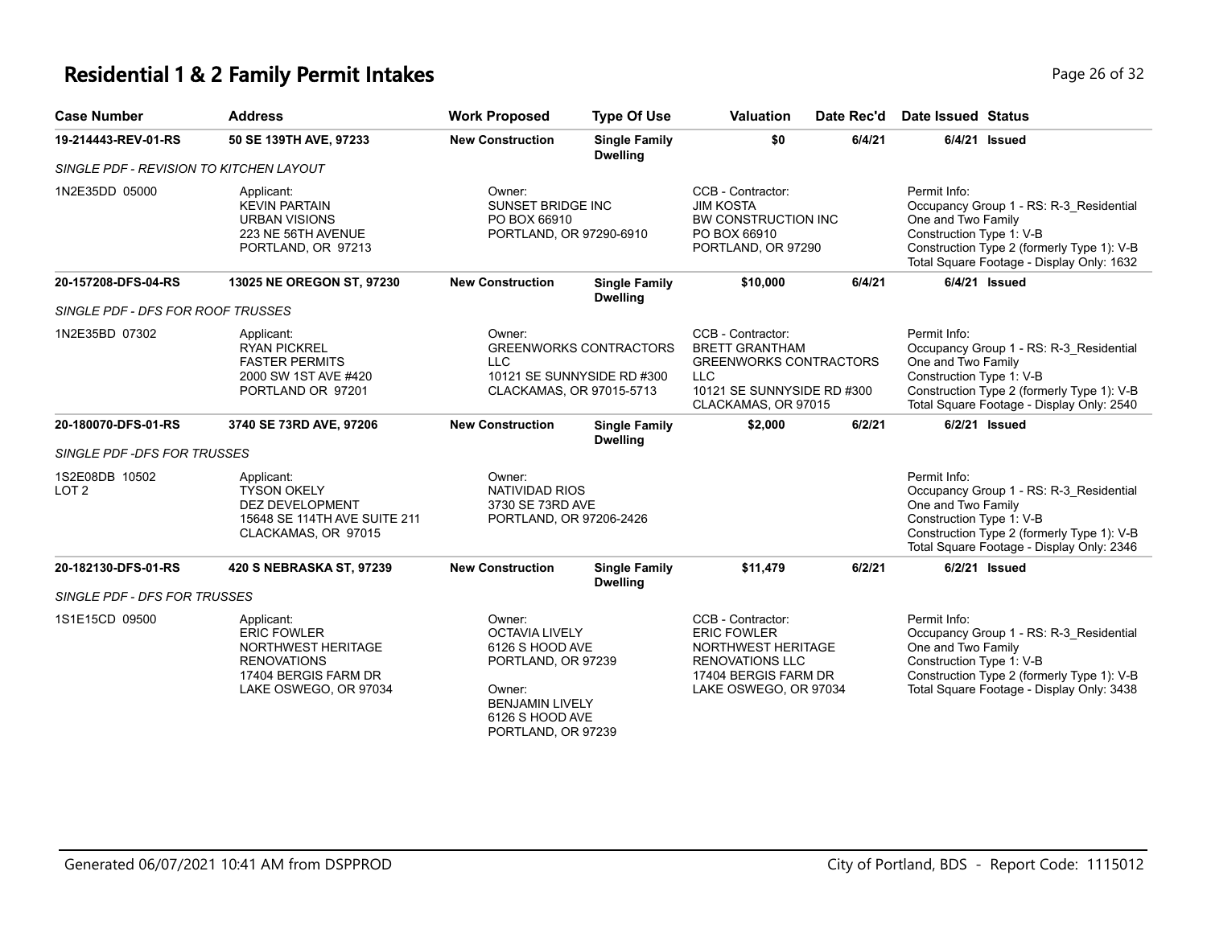# **Residential 1 & 2 Family Permit Intakes Page 26 of 32** Page 26 of 32

| <b>Case Number</b>                      | <b>Address</b>                                                                                                                | <b>Work Proposed</b>                                                                                                                                  | <b>Type Of Use</b>                                          | <b>Valuation</b>                                                                                                                               | Date Rec'd | <b>Date Issued Status</b>                                                                                                                                                                            |
|-----------------------------------------|-------------------------------------------------------------------------------------------------------------------------------|-------------------------------------------------------------------------------------------------------------------------------------------------------|-------------------------------------------------------------|------------------------------------------------------------------------------------------------------------------------------------------------|------------|------------------------------------------------------------------------------------------------------------------------------------------------------------------------------------------------------|
| 19-214443-REV-01-RS                     | 50 SE 139TH AVE, 97233                                                                                                        | <b>New Construction</b>                                                                                                                               | <b>Single Family</b><br><b>Dwelling</b>                     | \$0                                                                                                                                            | 6/4/21     | 6/4/21 Issued                                                                                                                                                                                        |
| SINGLE PDF - REVISION TO KITCHEN LAYOUT |                                                                                                                               |                                                                                                                                                       |                                                             |                                                                                                                                                |            |                                                                                                                                                                                                      |
| 1N2E35DD 05000                          | Applicant:<br><b>KEVIN PARTAIN</b><br><b>URBAN VISIONS</b><br>223 NE 56TH AVENUE<br>PORTLAND, OR 97213                        | Owner:<br><b>SUNSET BRIDGE INC</b><br>PO BOX 66910<br>PORTLAND, OR 97290-6910                                                                         |                                                             | CCB - Contractor:<br><b>JIM KOSTA</b><br><b>BW CONSTRUCTION INC</b><br>PO BOX 66910<br>PORTLAND, OR 97290                                      |            | Permit Info:<br>Occupancy Group 1 - RS: R-3_Residential<br>One and Two Family<br>Construction Type 1: V-B<br>Construction Type 2 (formerly Type 1): V-B<br>Total Square Footage - Display Only: 1632 |
| 20-157208-DFS-04-RS                     | 13025 NE OREGON ST, 97230                                                                                                     | <b>New Construction</b>                                                                                                                               | <b>Single Family</b><br><b>Dwelling</b>                     | \$10,000                                                                                                                                       | 6/4/21     | $6/4/21$ Issued                                                                                                                                                                                      |
| SINGLE PDF - DFS FOR ROOF TRUSSES       |                                                                                                                               |                                                                                                                                                       |                                                             |                                                                                                                                                |            |                                                                                                                                                                                                      |
| 1N2E35BD 07302                          | Applicant:<br><b>RYAN PICKREL</b><br><b>FASTER PERMITS</b><br>2000 SW 1ST AVE #420<br>PORTLAND OR 97201                       | Owner:<br>LLC<br>CLACKAMAS, OR 97015-5713                                                                                                             | <b>GREENWORKS CONTRACTORS</b><br>10121 SE SUNNYSIDE RD #300 | CCB - Contractor:<br><b>BRETT GRANTHAM</b><br><b>GREENWORKS CONTRACTORS</b><br><b>LLC</b><br>10121 SE SUNNYSIDE RD #300<br>CLACKAMAS, OR 97015 |            | Permit Info:<br>Occupancy Group 1 - RS: R-3_Residential<br>One and Two Family<br>Construction Type 1: V-B<br>Construction Type 2 (formerly Type 1): V-B<br>Total Square Footage - Display Only: 2540 |
| 20-180070-DFS-01-RS                     | 3740 SE 73RD AVE, 97206                                                                                                       | <b>New Construction</b>                                                                                                                               | <b>Single Family</b><br><b>Dwelling</b>                     | \$2,000                                                                                                                                        | 6/2/21     | 6/2/21 Issued                                                                                                                                                                                        |
| SINGLE PDF - DFS FOR TRUSSES            |                                                                                                                               |                                                                                                                                                       |                                                             |                                                                                                                                                |            |                                                                                                                                                                                                      |
| 1S2E08DB 10502<br>LOT <sub>2</sub>      | Applicant:<br><b>TYSON OKELY</b><br>DEZ DEVELOPMENT<br>15648 SE 114TH AVE SUITE 211<br>CLACKAMAS, OR 97015                    | Owner:<br><b>NATIVIDAD RIOS</b><br>3730 SE 73RD AVE<br>PORTLAND, OR 97206-2426                                                                        |                                                             |                                                                                                                                                |            | Permit Info:<br>Occupancy Group 1 - RS: R-3_Residential<br>One and Two Family<br>Construction Type 1: V-B<br>Construction Type 2 (formerly Type 1): V-B<br>Total Square Footage - Display Only: 2346 |
| 20-182130-DFS-01-RS                     | 420 S NEBRASKA ST, 97239                                                                                                      | <b>New Construction</b>                                                                                                                               | <b>Single Family</b><br><b>Dwelling</b>                     | \$11,479                                                                                                                                       | 6/2/21     | 6/2/21 Issued                                                                                                                                                                                        |
| SINGLE PDF - DFS FOR TRUSSES            |                                                                                                                               |                                                                                                                                                       |                                                             |                                                                                                                                                |            |                                                                                                                                                                                                      |
| 1S1E15CD 09500                          | Applicant:<br><b>ERIC FOWLER</b><br>NORTHWEST HERITAGE<br><b>RENOVATIONS</b><br>17404 BERGIS FARM DR<br>LAKE OSWEGO, OR 97034 | Owner:<br><b>OCTAVIA LIVELY</b><br>6126 S HOOD AVE<br>PORTLAND, OR 97239<br>Owner:<br><b>BENJAMIN LIVELY</b><br>6126 S HOOD AVE<br>PORTLAND, OR 97239 |                                                             | CCB - Contractor:<br><b>ERIC FOWLER</b><br>NORTHWEST HERITAGE<br><b>RENOVATIONS LLC</b><br>17404 BERGIS FARM DR<br>LAKE OSWEGO, OR 97034       |            | Permit Info:<br>Occupancy Group 1 - RS: R-3_Residential<br>One and Two Family<br>Construction Type 1: V-B<br>Construction Type 2 (formerly Type 1): V-B<br>Total Square Footage - Display Only: 3438 |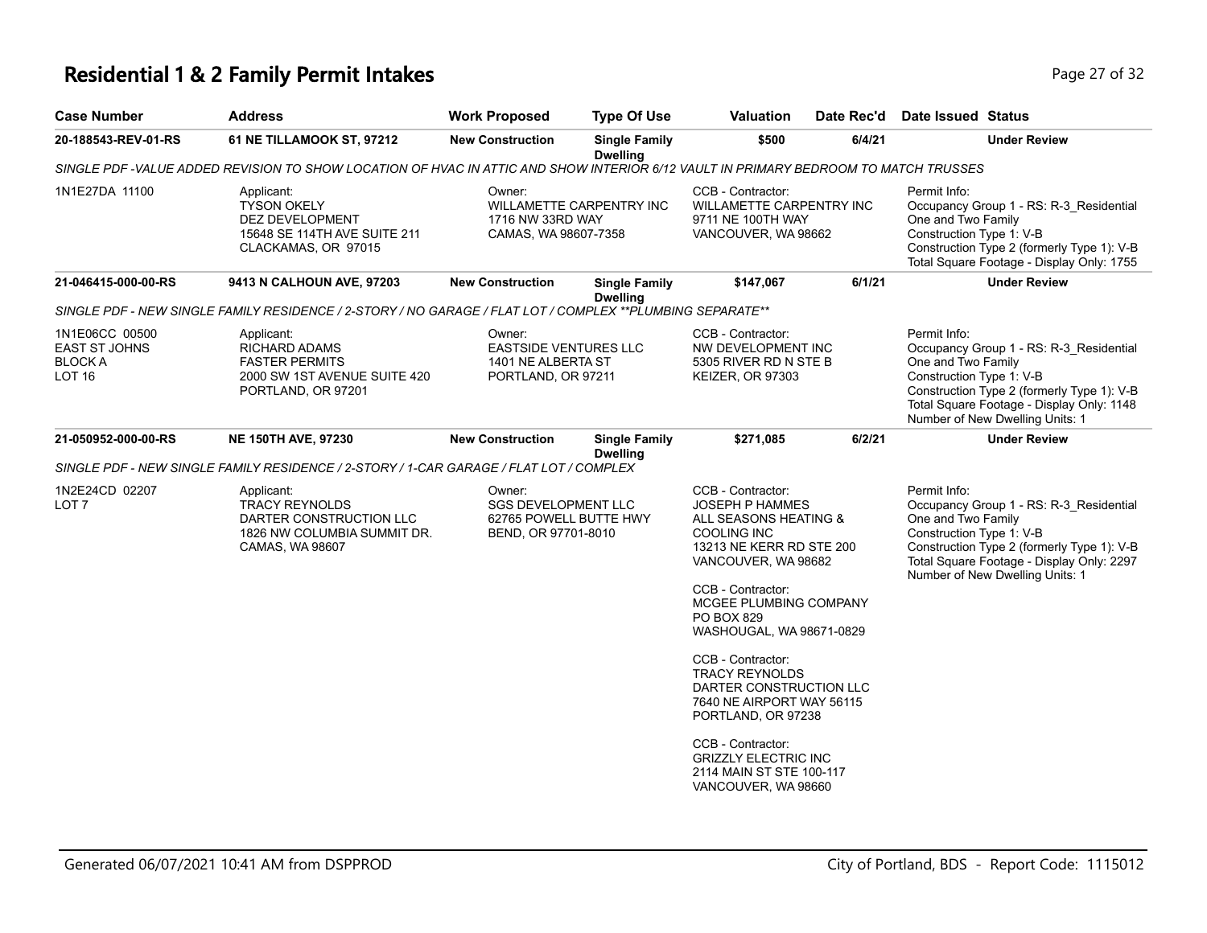## **Residential 1 & 2 Family Permit Intakes Page 27 of 32 Page 27 of 32**

| <b>Case Number</b>                                                        | Address                                                                                                                             | <b>Work Proposed</b>                                                                  | <b>Type Of Use</b>                      | <b>Valuation</b>                                                                                                                                                                                                                                                                                                                                    | Date Rec'd | Date Issued Status                                                                                                                                                                                                                      |  |
|---------------------------------------------------------------------------|-------------------------------------------------------------------------------------------------------------------------------------|---------------------------------------------------------------------------------------|-----------------------------------------|-----------------------------------------------------------------------------------------------------------------------------------------------------------------------------------------------------------------------------------------------------------------------------------------------------------------------------------------------------|------------|-----------------------------------------------------------------------------------------------------------------------------------------------------------------------------------------------------------------------------------------|--|
| 20-188543-REV-01-RS                                                       | 61 NE TILLAMOOK ST, 97212                                                                                                           | <b>New Construction</b>                                                               | <b>Single Family</b><br><b>Dwelling</b> | \$500                                                                                                                                                                                                                                                                                                                                               | 6/4/21     | <b>Under Review</b>                                                                                                                                                                                                                     |  |
|                                                                           | SINGLE PDF -VALUE ADDED REVISION TO SHOW LOCATION OF HVAC IN ATTIC AND SHOW INTERIOR 6/12 VAULT IN PRIMARY BEDROOM TO MATCH TRUSSES |                                                                                       |                                         |                                                                                                                                                                                                                                                                                                                                                     |            |                                                                                                                                                                                                                                         |  |
| 1N1E27DA 11100                                                            | Applicant:<br><b>TYSON OKELY</b><br>DEZ DEVELOPMENT<br>15648 SE 114TH AVE SUITE 211<br>CLACKAMAS, OR 97015                          | Owner:<br>1716 NW 33RD WAY<br>CAMAS, WA 98607-7358                                    | WILLAMETTE CARPENTRY INC                | CCB - Contractor:<br>WILLAMETTE CARPENTRY INC<br>9711 NE 100TH WAY<br>VANCOUVER, WA 98662                                                                                                                                                                                                                                                           |            | Permit Info:<br>Occupancy Group 1 - RS: R-3_Residential<br>One and Two Family<br>Construction Type 1: V-B<br>Construction Type 2 (formerly Type 1): V-B<br>Total Square Footage - Display Only: 1755                                    |  |
| 21-046415-000-00-RS                                                       | 9413 N CALHOUN AVE, 97203                                                                                                           | <b>New Construction</b>                                                               | <b>Single Family</b><br><b>Dwelling</b> | \$147,067                                                                                                                                                                                                                                                                                                                                           | 6/1/21     | <b>Under Review</b>                                                                                                                                                                                                                     |  |
|                                                                           | SINGLE PDF - NEW SINGLE FAMILY RESIDENCE / 2-STORY / NO GARAGE / FLAT LOT / COMPLEX ** PLUMBING SEPARATE**                          |                                                                                       |                                         |                                                                                                                                                                                                                                                                                                                                                     |            |                                                                                                                                                                                                                                         |  |
| 1N1E06CC 00500<br><b>EAST ST JOHNS</b><br><b>BLOCK A</b><br><b>LOT 16</b> | Applicant:<br><b>RICHARD ADAMS</b><br><b>FASTER PERMITS</b><br>2000 SW 1ST AVENUE SUITE 420<br>PORTLAND, OR 97201                   | Owner:<br><b>EASTSIDE VENTURES LLC</b><br>1401 NE ALBERTA ST<br>PORTLAND, OR 97211    |                                         | CCB - Contractor:<br>NW DEVELOPMENT INC<br>5305 RIVER RD N STE B<br><b>KEIZER, OR 97303</b>                                                                                                                                                                                                                                                         |            | Permit Info:<br>Occupancy Group 1 - RS: R-3 Residential<br>One and Two Family<br>Construction Type 1: V-B<br>Construction Type 2 (formerly Type 1): V-B<br>Total Square Footage - Display Only: 1148<br>Number of New Dwelling Units: 1 |  |
| 21-050952-000-00-RS                                                       | <b>NE 150TH AVE, 97230</b>                                                                                                          | <b>New Construction</b>                                                               | <b>Single Family</b>                    | \$271,085                                                                                                                                                                                                                                                                                                                                           | 6/2/21     | <b>Under Review</b>                                                                                                                                                                                                                     |  |
|                                                                           | SINGLE PDF - NEW SINGLE FAMILY RESIDENCE / 2-STORY / 1-CAR GARAGE / FLAT LOT / COMPLEX                                              |                                                                                       | <b>Dwelling</b>                         |                                                                                                                                                                                                                                                                                                                                                     |            |                                                                                                                                                                                                                                         |  |
| 1N2E24CD 02207<br>LOT <sub>7</sub>                                        | Applicant:<br><b>TRACY REYNOLDS</b><br>DARTER CONSTRUCTION LLC<br>1826 NW COLUMBIA SUMMIT DR.<br>CAMAS, WA 98607                    | Owner:<br><b>SGS DEVELOPMENT LLC</b><br>62765 POWELL BUTTE HWY<br>BEND, OR 97701-8010 |                                         | CCB - Contractor:<br><b>JOSEPH P HAMMES</b><br>ALL SEASONS HEATING &<br><b>COOLING INC</b><br>13213 NE KERR RD STE 200<br>VANCOUVER, WA 98682<br>CCB - Contractor:<br>MCGEE PLUMBING COMPANY<br><b>PO BOX 829</b><br>WASHOUGAL, WA 98671-0829<br>CCB - Contractor:<br><b>TRACY REYNOLDS</b><br>DARTER CONSTRUCTION LLC<br>7640 NE AIRPORT WAY 56115 |            | Permit Info:<br>Occupancy Group 1 - RS: R-3_Residential<br>One and Two Family<br>Construction Type 1: V-B<br>Construction Type 2 (formerly Type 1): V-B<br>Total Square Footage - Display Only: 2297<br>Number of New Dwelling Units: 1 |  |
|                                                                           |                                                                                                                                     |                                                                                       |                                         | PORTLAND, OR 97238<br>CCB - Contractor:<br><b>GRIZZLY ELECTRIC INC</b><br>2114 MAIN ST STE 100-117<br>VANCOUVER, WA 98660                                                                                                                                                                                                                           |            |                                                                                                                                                                                                                                         |  |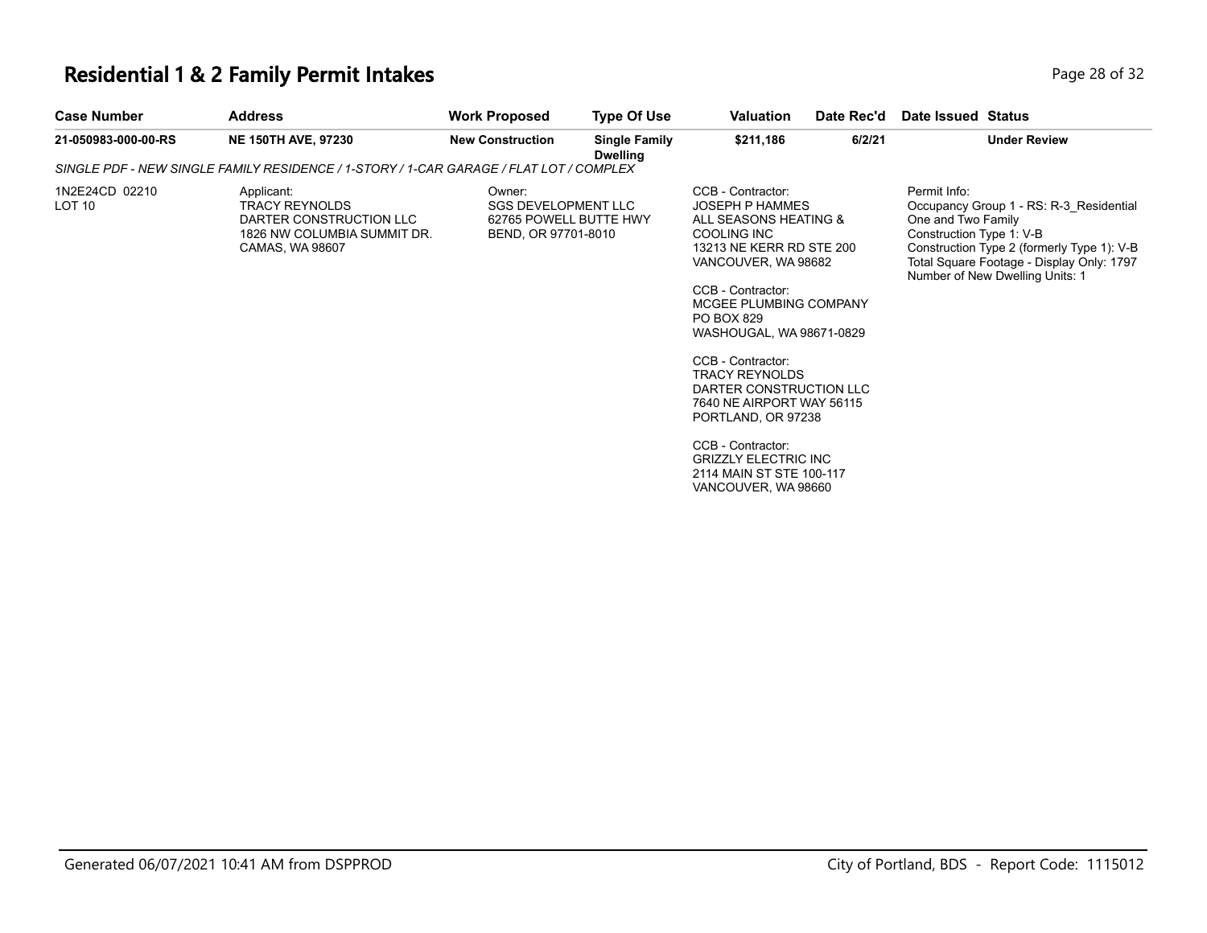## **Residential 1 & 2 Family Permit Intakes Page 28 of 32 Page 28 of 32**

| <b>Case Number</b>                  | <b>Address</b>                                                                                                   | <b>Work Proposed</b>                                                                  | <b>Type Of Use</b>                      | Valuation                                                                                                                                                                                                                                                                                                                                                                                                                                                          | Date Rec'd | Date Issued Status                                                                                                                                                                                                                      |
|-------------------------------------|------------------------------------------------------------------------------------------------------------------|---------------------------------------------------------------------------------------|-----------------------------------------|--------------------------------------------------------------------------------------------------------------------------------------------------------------------------------------------------------------------------------------------------------------------------------------------------------------------------------------------------------------------------------------------------------------------------------------------------------------------|------------|-----------------------------------------------------------------------------------------------------------------------------------------------------------------------------------------------------------------------------------------|
| 21-050983-000-00-RS                 | <b>NE 150TH AVE, 97230</b>                                                                                       | <b>New Construction</b>                                                               | <b>Single Family</b><br><b>Dwelling</b> | \$211,186                                                                                                                                                                                                                                                                                                                                                                                                                                                          | 6/2/21     | <b>Under Review</b>                                                                                                                                                                                                                     |
|                                     | SINGLE PDF - NEW SINGLE FAMILY RESIDENCE / 1-STORY / 1-CAR GARAGE / FLAT LOT / COMPLEX                           |                                                                                       |                                         |                                                                                                                                                                                                                                                                                                                                                                                                                                                                    |            |                                                                                                                                                                                                                                         |
| 1N2E24CD 02210<br>LOT <sub>10</sub> | Applicant:<br><b>TRACY REYNOLDS</b><br>DARTER CONSTRUCTION LLC<br>1826 NW COLUMBIA SUMMIT DR.<br>CAMAS, WA 98607 | Owner:<br><b>SGS DEVELOPMENT LLC</b><br>62765 POWELL BUTTE HWY<br>BEND, OR 97701-8010 |                                         | CCB - Contractor:<br><b>JOSEPH P HAMMES</b><br>ALL SEASONS HEATING &<br>COOLING INC<br>13213 NE KERR RD STE 200<br>VANCOUVER, WA 98682<br>CCB - Contractor:<br>MCGEE PLUMBING COMPANY<br>PO BOX 829<br>WASHOUGAL, WA 98671-0829<br>CCB - Contractor:<br><b>TRACY REYNOLDS</b><br>DARTER CONSTRUCTION LLC<br>7640 NE AIRPORT WAY 56115<br>PORTLAND, OR 97238<br>CCB - Contractor:<br><b>GRIZZLY ELECTRIC INC</b><br>2114 MAIN ST STE 100-117<br>VANCOUVER, WA 98660 |            | Permit Info:<br>Occupancy Group 1 - RS: R-3 Residential<br>One and Two Family<br>Construction Type 1: V-B<br>Construction Type 2 (formerly Type 1): V-B<br>Total Square Footage - Display Only: 1797<br>Number of New Dwelling Units: 1 |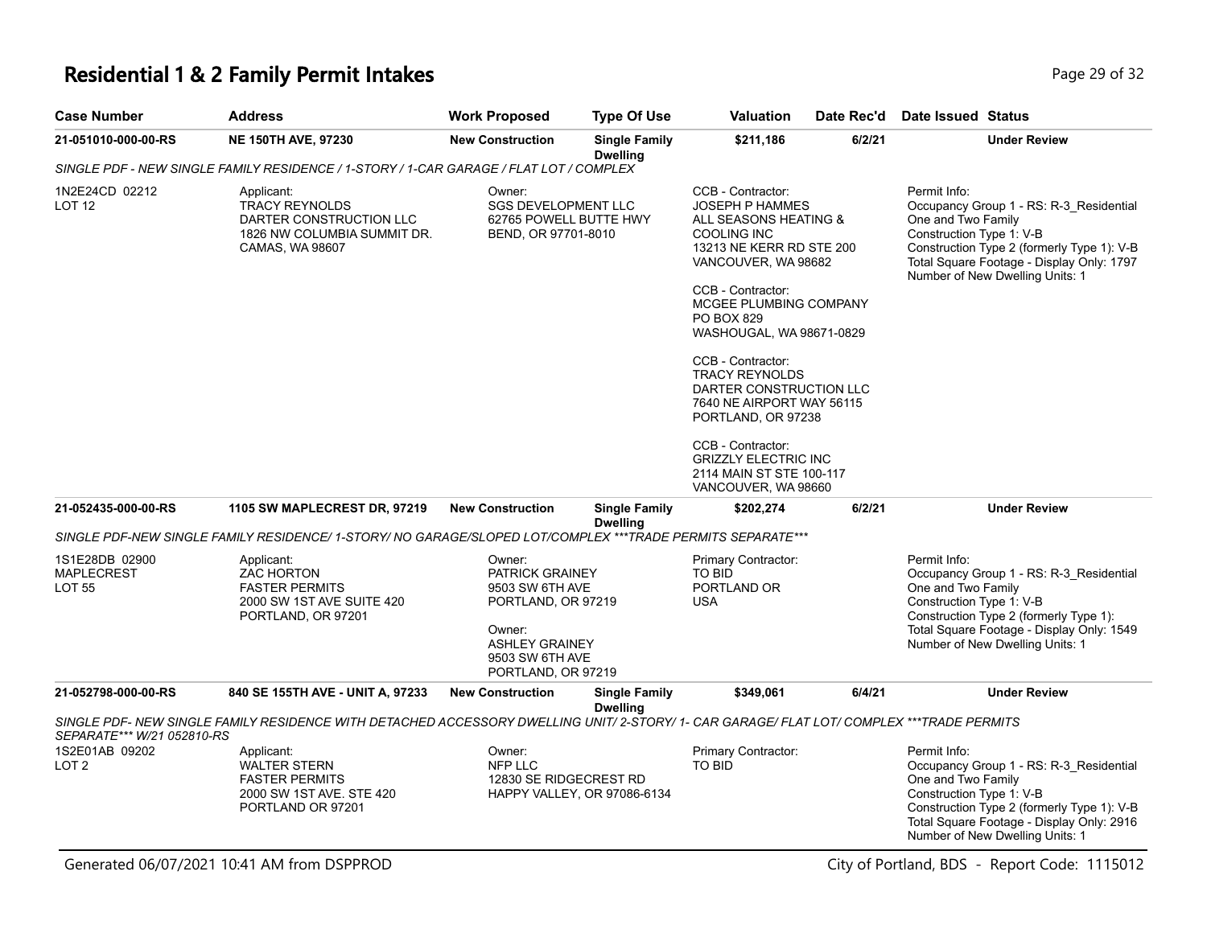# **Residential 1 & 2 Family Permit Intakes Page 29 of 32** Page 29 of 32

| <b>Case Number</b>                                   | <b>Address</b>                                                                                                                            | <b>Work Proposed</b>                                                                                                                           | <b>Type Of Use</b>                      | <b>Valuation</b>                                                                                                                                                                                                                       | Date Rec'd | Date Issued Status                                                                                                                                                                                                                      |
|------------------------------------------------------|-------------------------------------------------------------------------------------------------------------------------------------------|------------------------------------------------------------------------------------------------------------------------------------------------|-----------------------------------------|----------------------------------------------------------------------------------------------------------------------------------------------------------------------------------------------------------------------------------------|------------|-----------------------------------------------------------------------------------------------------------------------------------------------------------------------------------------------------------------------------------------|
| 21-051010-000-00-RS                                  | <b>NE 150TH AVE, 97230</b>                                                                                                                | <b>New Construction</b>                                                                                                                        | <b>Single Family</b><br><b>Dwelling</b> | \$211,186                                                                                                                                                                                                                              | 6/2/21     | <b>Under Review</b>                                                                                                                                                                                                                     |
|                                                      | SINGLE PDF - NEW SINGLE FAMILY RESIDENCE / 1-STORY / 1-CAR GARAGE / FLAT LOT / COMPLEX                                                    |                                                                                                                                                |                                         |                                                                                                                                                                                                                                        |            |                                                                                                                                                                                                                                         |
| 1N2E24CD 02212<br>LOT <sub>12</sub>                  | Applicant:<br><b>TRACY REYNOLDS</b><br>DARTER CONSTRUCTION LLC<br>1826 NW COLUMBIA SUMMIT DR.<br><b>CAMAS, WA 98607</b>                   | Owner:<br><b>SGS DEVELOPMENT LLC</b><br>62765 POWELL BUTTE HWY<br>BEND, OR 97701-8010                                                          |                                         | CCB - Contractor:<br><b>JOSEPH P HAMMES</b><br>ALL SEASONS HEATING &<br><b>COOLING INC</b><br>13213 NE KERR RD STE 200<br>VANCOUVER, WA 98682<br>CCB - Contractor:<br>MCGEE PLUMBING COMPANY<br>PO BOX 829<br>WASHOUGAL, WA 98671-0829 |            | Permit Info:<br>Occupancy Group 1 - RS: R-3_Residential<br>One and Two Family<br>Construction Type 1: V-B<br>Construction Type 2 (formerly Type 1): V-B<br>Total Square Footage - Display Only: 1797<br>Number of New Dwelling Units: 1 |
|                                                      |                                                                                                                                           |                                                                                                                                                |                                         | CCB - Contractor:<br><b>TRACY REYNOLDS</b><br>DARTER CONSTRUCTION LLC<br>7640 NE AIRPORT WAY 56115<br>PORTLAND, OR 97238                                                                                                               |            |                                                                                                                                                                                                                                         |
|                                                      |                                                                                                                                           |                                                                                                                                                |                                         | CCB - Contractor:<br><b>GRIZZLY ELECTRIC INC</b><br>2114 MAIN ST STE 100-117<br>VANCOUVER, WA 98660                                                                                                                                    |            |                                                                                                                                                                                                                                         |
| 21-052435-000-00-RS                                  | <b>1105 SW MAPLECREST DR, 97219</b>                                                                                                       | <b>New Construction</b>                                                                                                                        | <b>Single Family</b><br><b>Dwelling</b> | \$202,274                                                                                                                                                                                                                              | 6/2/21     | <b>Under Review</b>                                                                                                                                                                                                                     |
|                                                      | SINGLE PDF-NEW SINGLE FAMILY RESIDENCE/ 1-STORY/ NO GARAGE/SLOPED LOT/COMPLEX ***TRADE PERMITS SEPARATE***                                |                                                                                                                                                |                                         |                                                                                                                                                                                                                                        |            |                                                                                                                                                                                                                                         |
| 1S1E28DB 02900<br><b>MAPLECREST</b><br><b>LOT 55</b> | Applicant:<br>ZAC HORTON<br><b>FASTER PERMITS</b><br>2000 SW 1ST AVE SUITE 420<br>PORTLAND, OR 97201                                      | Owner:<br>PATRICK GRAINEY<br>9503 SW 6TH AVE<br>PORTLAND, OR 97219<br>Owner:<br><b>ASHLEY GRAINEY</b><br>9503 SW 6TH AVE<br>PORTLAND, OR 97219 |                                         | Primary Contractor:<br><b>TO BID</b><br>PORTLAND OR<br><b>USA</b>                                                                                                                                                                      |            | Permit Info:<br>Occupancy Group 1 - RS: R-3_Residential<br>One and Two Family<br>Construction Type 1: V-B<br>Construction Type 2 (formerly Type 1):<br>Total Square Footage - Display Only: 1549<br>Number of New Dwelling Units: 1     |
| 21-052798-000-00-RS                                  | 840 SE 155TH AVE - UNIT A, 97233                                                                                                          | <b>New Construction</b>                                                                                                                        | <b>Single Family</b><br><b>Dwelling</b> | \$349,061                                                                                                                                                                                                                              | 6/4/21     | <b>Under Review</b>                                                                                                                                                                                                                     |
| SEPARATE*** W/21 052810-RS                           | SINGLE PDF- NEW SINGLE FAMILY RESIDENCE WITH DETACHED ACCESSORY DWELLING UNIT/ 2-STORY/ 1- CAR GARAGE/ FLAT LOT/ COMPLEX ***TRADE PERMITS |                                                                                                                                                |                                         |                                                                                                                                                                                                                                        |            |                                                                                                                                                                                                                                         |
| 1S2E01AB 09202<br>LOT <sub>2</sub>                   | Applicant:<br>WALTER STERN<br><b>FASTER PERMITS</b><br>2000 SW 1ST AVE. STE 420<br>PORTLAND OR 97201                                      | Owner:<br>NFP LLC<br>12830 SE RIDGECREST RD<br>HAPPY VALLEY, OR 97086-6134                                                                     |                                         | Primary Contractor:<br>TO BID                                                                                                                                                                                                          |            | Permit Info:<br>Occupancy Group 1 - RS: R-3_Residential<br>One and Two Family<br>Construction Type 1: V-B<br>Construction Type 2 (formerly Type 1): V-B<br>Total Square Footage - Display Only: 2916<br>Number of New Dwelling Units: 1 |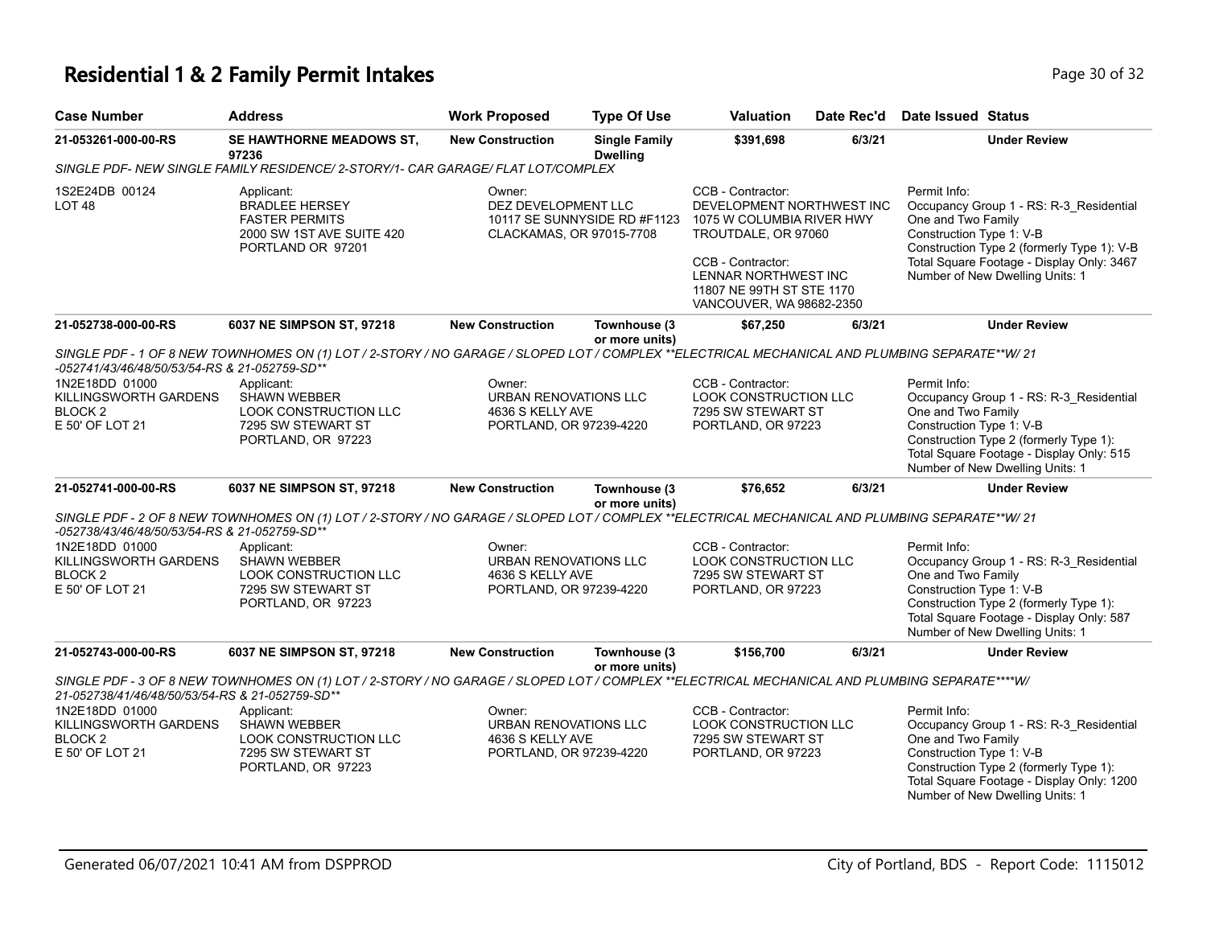### **Residential 1 & 2 Family Permit Intakes Page 10 of 32** Page 30 of 32

| <b>Case Number</b>                                                               | <b>Address</b>                                                                                                                                 | <b>Work Proposed</b>                                                                  | <b>Type Of Use</b>                      | <b>Valuation</b>                                                                                                                                                                                         | Date Rec'd | <b>Date Issued Status</b>                                                                                                                                                                                                               |  |
|----------------------------------------------------------------------------------|------------------------------------------------------------------------------------------------------------------------------------------------|---------------------------------------------------------------------------------------|-----------------------------------------|----------------------------------------------------------------------------------------------------------------------------------------------------------------------------------------------------------|------------|-----------------------------------------------------------------------------------------------------------------------------------------------------------------------------------------------------------------------------------------|--|
| 21-053261-000-00-RS                                                              | SE HAWTHORNE MEADOWS ST,<br>97236                                                                                                              | <b>New Construction</b>                                                               | <b>Single Family</b><br><b>Dwelling</b> | \$391,698                                                                                                                                                                                                | 6/3/21     | <b>Under Review</b>                                                                                                                                                                                                                     |  |
|                                                                                  | SINGLE PDF- NEW SINGLE FAMILY RESIDENCE/ 2-STORY/1- CAR GARAGE/ FLAT LOT/COMPLEX                                                               |                                                                                       |                                         |                                                                                                                                                                                                          |            |                                                                                                                                                                                                                                         |  |
| 1S2E24DB 00124<br>LOT <sub>48</sub>                                              | Applicant:<br><b>BRADLEE HERSEY</b><br><b>FASTER PERMITS</b><br>2000 SW 1ST AVE SUITE 420<br>PORTLAND OR 97201                                 | Owner:<br>DEZ DEVELOPMENT LLC<br>CLACKAMAS, OR 97015-7708                             | 10117 SE SUNNYSIDE RD #F1123            | CCB - Contractor:<br>DEVELOPMENT NORTHWEST INC<br>1075 W COLUMBIA RIVER HWY<br>TROUTDALE, OR 97060<br>CCB - Contractor:<br>LENNAR NORTHWEST INC<br>11807 NE 99TH ST STE 1170<br>VANCOUVER, WA 98682-2350 |            | Permit Info:<br>Occupancy Group 1 - RS: R-3_Residential<br>One and Two Family<br>Construction Type 1: V-B<br>Construction Type 2 (formerly Type 1): V-B<br>Total Square Footage - Display Only: 3467<br>Number of New Dwelling Units: 1 |  |
| 21-052738-000-00-RS                                                              | 6037 NE SIMPSON ST, 97218                                                                                                                      | <b>New Construction</b>                                                               | Townhouse (3<br>or more units)          | \$67,250                                                                                                                                                                                                 | 6/3/21     | <b>Under Review</b>                                                                                                                                                                                                                     |  |
| -052741/43/46/48/50/53/54-RS & 21-052759-SD**                                    | SINGLE PDF - 1 OF 8 NEW TOWNHOMES ON (1) LOT / 2-STORY / NO GARAGE / SLOPED LOT / COMPLEX **ELECTRICAL MECHANICAL AND PLUMBING SEPARATE**W/ 21 |                                                                                       |                                         |                                                                                                                                                                                                          |            |                                                                                                                                                                                                                                         |  |
| 1N2E18DD 01000<br>KILLINGSWORTH GARDENS<br>BLOCK <sub>2</sub><br>E 50' OF LOT 21 | Applicant:<br>SHAWN WEBBER<br><b>LOOK CONSTRUCTION LLC</b><br>7295 SW STEWART ST<br>PORTLAND, OR 97223                                         | Owner:<br>URBAN RENOVATIONS LLC<br>4636 S KELLY AVE<br>PORTLAND, OR 97239-4220        |                                         | CCB - Contractor:<br>LOOK CONSTRUCTION LLC<br>7295 SW STEWART ST<br>PORTLAND, OR 97223                                                                                                                   |            | Permit Info:<br>Occupancy Group 1 - RS: R-3_Residential<br>One and Two Family<br>Construction Type 1: V-B<br>Construction Type 2 (formerly Type 1):<br>Total Square Footage - Display Only: 515<br>Number of New Dwelling Units: 1      |  |
| 21-052741-000-00-RS                                                              | 6037 NE SIMPSON ST, 97218                                                                                                                      | <b>New Construction</b>                                                               | Townhouse (3<br>or more units)          | \$76,652                                                                                                                                                                                                 | 6/3/21     | <b>Under Review</b>                                                                                                                                                                                                                     |  |
| -052738/43/46/48/50/53/54-RS & 21-052759-SD**                                    | SINGLE PDF - 2 OF 8 NEW TOWNHOMES ON (1) LOT / 2-STORY / NO GARAGE / SLOPED LOT / COMPLEX **ELECTRICAL MECHANICAL AND PLUMBING SEPARATE**W/ 21 |                                                                                       |                                         |                                                                                                                                                                                                          |            |                                                                                                                                                                                                                                         |  |
| 1N2E18DD 01000<br>KILLINGSWORTH GARDENS<br><b>BLOCK2</b><br>E 50' OF LOT 21      | Applicant:<br><b>SHAWN WEBBER</b><br>LOOK CONSTRUCTION LLC<br>7295 SW STEWART ST<br>PORTLAND, OR 97223                                         | Owner:<br><b>URBAN RENOVATIONS LLC</b><br>4636 S KELLY AVE<br>PORTLAND, OR 97239-4220 |                                         | CCB - Contractor:<br>LOOK CONSTRUCTION LLC<br>7295 SW STEWART ST<br>PORTLAND, OR 97223                                                                                                                   |            | Permit Info:<br>Occupancy Group 1 - RS: R-3_Residential<br>One and Two Family<br>Construction Type 1: V-B<br>Construction Type 2 (formerly Type 1):<br>Total Square Footage - Display Only: 587<br>Number of New Dwelling Units: 1      |  |
| 21-052743-000-00-RS                                                              | 6037 NE SIMPSON ST, 97218                                                                                                                      | <b>New Construction</b>                                                               | Townhouse (3<br>or more units)          | \$156,700                                                                                                                                                                                                | 6/3/21     | <b>Under Review</b>                                                                                                                                                                                                                     |  |
| 21-052738/41/46/48/50/53/54-RS & 21-052759-SD**                                  | SINGLE PDF - 3 OF 8 NEW TOWNHOMES ON (1) LOT / 2-STORY / NO GARAGE / SLOPED LOT / COMPLEX **ELECTRICAL MECHANICAL AND PLUMBING SEPARATE****W/  |                                                                                       |                                         |                                                                                                                                                                                                          |            |                                                                                                                                                                                                                                         |  |
| 1N2E18DD 01000<br>KILLINGSWORTH GARDENS<br>BLOCK <sub>2</sub><br>E 50' OF LOT 21 | Applicant:<br><b>SHAWN WEBBER</b><br><b>LOOK CONSTRUCTION LLC</b><br>7295 SW STEWART ST<br>PORTLAND, OR 97223                                  | Owner:<br>URBAN RENOVATIONS LLC<br>4636 S KELLY AVE<br>PORTLAND, OR 97239-4220        |                                         | CCB - Contractor:<br><b>LOOK CONSTRUCTION LLC</b><br>7295 SW STEWART ST<br>PORTLAND, OR 97223                                                                                                            |            | Permit Info:<br>Occupancy Group 1 - RS: R-3_Residential<br>One and Two Family<br>Construction Type 1: V-B<br>Construction Type 2 (formerly Type 1):<br>Total Square Footage - Display Only: 1200<br>Number of New Dwelling Units: 1     |  |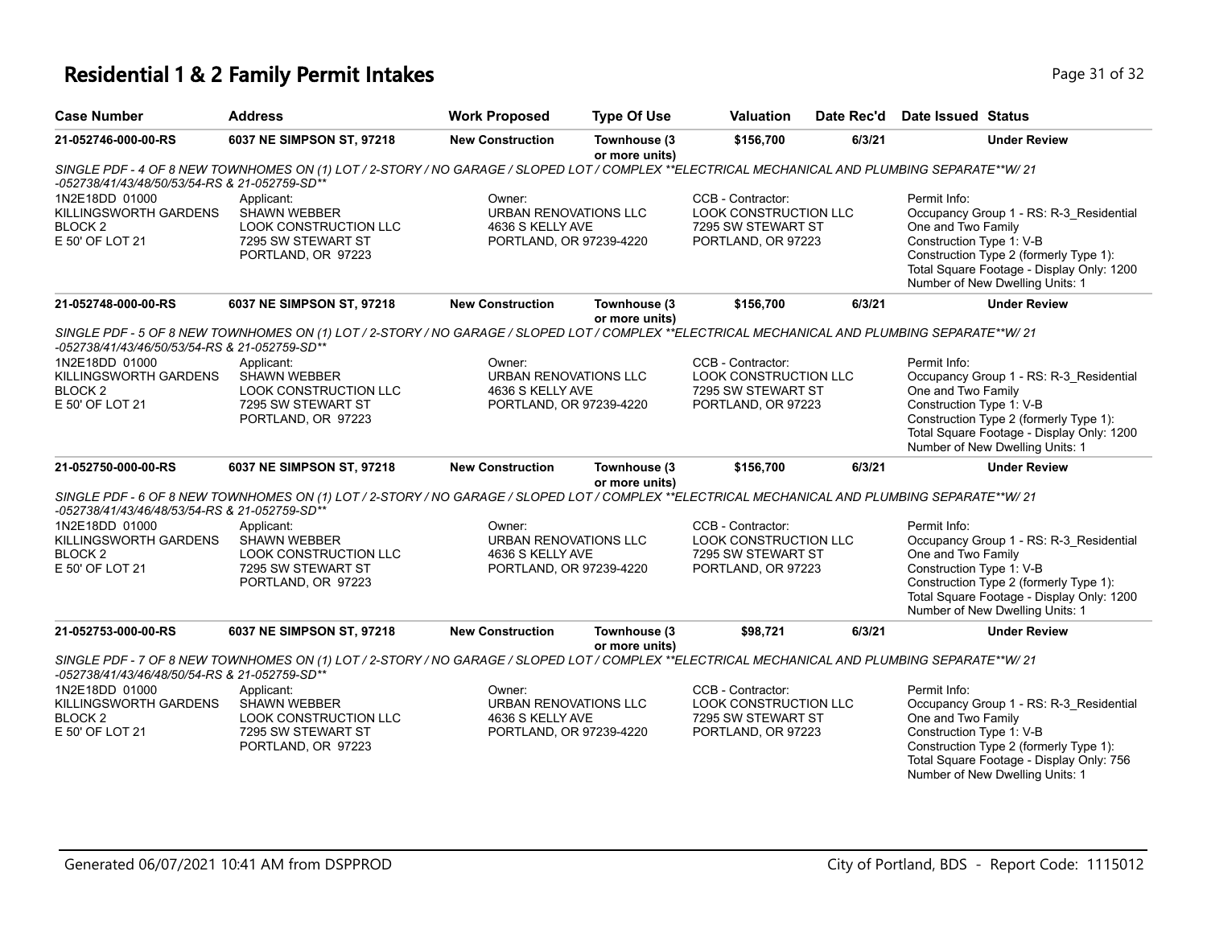# **Residential 1 & 2 Family Permit Intakes Page 11 of 32** Page 31 of 32

| <b>Case Number</b>                                                               | <b>Address</b>                                                                                                                                 | <b>Work Proposed</b>                                                           | <b>Type Of Use</b>             | <b>Valuation</b>                                                                              | Date Rec'd | <b>Date Issued Status</b>                                      |                                                                                                                                                                   |
|----------------------------------------------------------------------------------|------------------------------------------------------------------------------------------------------------------------------------------------|--------------------------------------------------------------------------------|--------------------------------|-----------------------------------------------------------------------------------------------|------------|----------------------------------------------------------------|-------------------------------------------------------------------------------------------------------------------------------------------------------------------|
| 21-052746-000-00-RS                                                              | 6037 NE SIMPSON ST, 97218                                                                                                                      | <b>New Construction</b>                                                        | Townhouse (3<br>or more units) | \$156,700                                                                                     | 6/3/21     |                                                                | <b>Under Review</b>                                                                                                                                               |
| -052738/41/43/48/50/53/54-RS & 21-052759-SD**                                    | SINGLE PDF - 4 OF 8 NEW TOWNHOMES ON (1) LOT / 2-STORY / NO GARAGE / SLOPED LOT / COMPLEX **ELECTRICAL MECHANICAL AND PLUMBING SEPARATE**W/ 21 |                                                                                |                                |                                                                                               |            |                                                                |                                                                                                                                                                   |
| 1N2E18DD 01000<br>KILLINGSWORTH GARDENS<br>BLOCK <sub>2</sub><br>E 50' OF LOT 21 | Applicant:<br><b>SHAWN WEBBER</b><br><b>LOOK CONSTRUCTION LLC</b><br>7295 SW STEWART ST<br>PORTLAND, OR 97223                                  | Owner:<br>URBAN RENOVATIONS LLC<br>4636 S KELLY AVE<br>PORTLAND, OR 97239-4220 |                                | CCB - Contractor:<br>LOOK CONSTRUCTION LLC<br>7295 SW STEWART ST<br>PORTLAND, OR 97223        |            | Permit Info:<br>One and Two Family<br>Construction Type 1: V-B | Occupancy Group 1 - RS: R-3_Residential<br>Construction Type 2 (formerly Type 1):<br>Total Square Footage - Display Only: 1200<br>Number of New Dwelling Units: 1 |
| 21-052748-000-00-RS                                                              | 6037 NE SIMPSON ST, 97218                                                                                                                      | <b>New Construction</b>                                                        | Townhouse (3<br>or more units) | \$156,700                                                                                     | 6/3/21     |                                                                | <b>Under Review</b>                                                                                                                                               |
| -052738/41/43/46/50/53/54-RS & 21-052759-SD**                                    | SINGLE PDF - 5 OF 8 NEW TOWNHOMES ON (1) LOT / 2-STORY / NO GARAGE / SLOPED LOT / COMPLEX **ELECTRICAL MECHANICAL AND PLUMBING SEPARATE**W/ 21 |                                                                                |                                |                                                                                               |            |                                                                |                                                                                                                                                                   |
| 1N2E18DD 01000<br>KILLINGSWORTH GARDENS<br>BLOCK <sub>2</sub><br>E 50' OF LOT 21 | Applicant:<br><b>SHAWN WEBBER</b><br><b>LOOK CONSTRUCTION LLC</b><br>7295 SW STEWART ST<br>PORTLAND, OR 97223                                  | Owner:<br>URBAN RENOVATIONS LLC<br>4636 S KELLY AVE<br>PORTLAND, OR 97239-4220 |                                | CCB - Contractor:<br><b>LOOK CONSTRUCTION LLC</b><br>7295 SW STEWART ST<br>PORTLAND, OR 97223 |            | Permit Info:<br>One and Two Family<br>Construction Type 1: V-B | Occupancy Group 1 - RS: R-3_Residential<br>Construction Type 2 (formerly Type 1):<br>Total Square Footage - Display Only: 1200<br>Number of New Dwelling Units: 1 |
| 21-052750-000-00-RS                                                              | 6037 NE SIMPSON ST, 97218                                                                                                                      | <b>New Construction</b>                                                        | Townhouse (3<br>or more units) | \$156,700                                                                                     | 6/3/21     |                                                                | <b>Under Review</b>                                                                                                                                               |
| -052738/41/43/46/48/53/54-RS & 21-052759-SD**                                    | SINGLE PDF - 6 OF 8 NEW TOWNHOMES ON (1) LOT / 2-STORY / NO GARAGE / SLOPED LOT / COMPLEX **ELECTRICAL MECHANICAL AND PLUMBING SEPARATE**W/ 21 |                                                                                |                                |                                                                                               |            |                                                                |                                                                                                                                                                   |
| 1N2E18DD 01000<br>KILLINGSWORTH GARDENS<br><b>BLOCK2</b><br>E 50' OF LOT 21      | Applicant:<br><b>SHAWN WEBBER</b><br><b>LOOK CONSTRUCTION LLC</b><br>7295 SW STEWART ST<br>PORTLAND, OR 97223                                  | Owner:<br>URBAN RENOVATIONS LLC<br>4636 S KELLY AVE<br>PORTLAND, OR 97239-4220 |                                | CCB - Contractor:<br>LOOK CONSTRUCTION LLC<br>7295 SW STEWART ST<br>PORTLAND, OR 97223        |            | Permit Info:<br>One and Two Family<br>Construction Type 1: V-B | Occupancy Group 1 - RS: R-3_Residential<br>Construction Type 2 (formerly Type 1):<br>Total Square Footage - Display Only: 1200<br>Number of New Dwelling Units: 1 |
| 21-052753-000-00-RS                                                              | 6037 NE SIMPSON ST, 97218                                                                                                                      | <b>New Construction</b>                                                        | Townhouse (3<br>or more units) | \$98,721                                                                                      | 6/3/21     |                                                                | <b>Under Review</b>                                                                                                                                               |
| -052738/41/43/46/48/50/54-RS & 21-052759-SD**                                    | SINGLE PDF - 7 OF 8 NEW TOWNHOMES ON (1) LOT / 2-STORY / NO GARAGE / SLOPED LOT / COMPLEX **ELECTRICAL MECHANICAL AND PLUMBING SEPARATE**W/ 21 |                                                                                |                                |                                                                                               |            |                                                                |                                                                                                                                                                   |
| 1N2E18DD 01000                                                                   | Applicant:                                                                                                                                     | Owner:                                                                         |                                | CCB - Contractor:                                                                             |            | Permit Info:                                                   |                                                                                                                                                                   |
| KILLINGSWORTH GARDENS<br><b>BLOCK2</b>                                           | SHAWN WEBBER<br>LOOK CONSTRUCTION LLC                                                                                                          | URBAN RENOVATIONS LLC<br>4636 S KELLY AVE                                      |                                | LOOK CONSTRUCTION LLC<br>7295 SW STEWART ST                                                   |            | One and Two Family                                             | Occupancy Group 1 - RS: R-3_Residential                                                                                                                           |
| E 50' OF LOT 21                                                                  | 7295 SW STEWART ST<br>PORTLAND, OR 97223                                                                                                       | PORTLAND, OR 97239-4220                                                        |                                | PORTLAND, OR 97223                                                                            |            | Construction Type 1: V-B                                       | Construction Type 2 (formerly Type 1):<br>Total Square Footage - Display Only: 756<br>Number of New Dwelling Units: 1                                             |